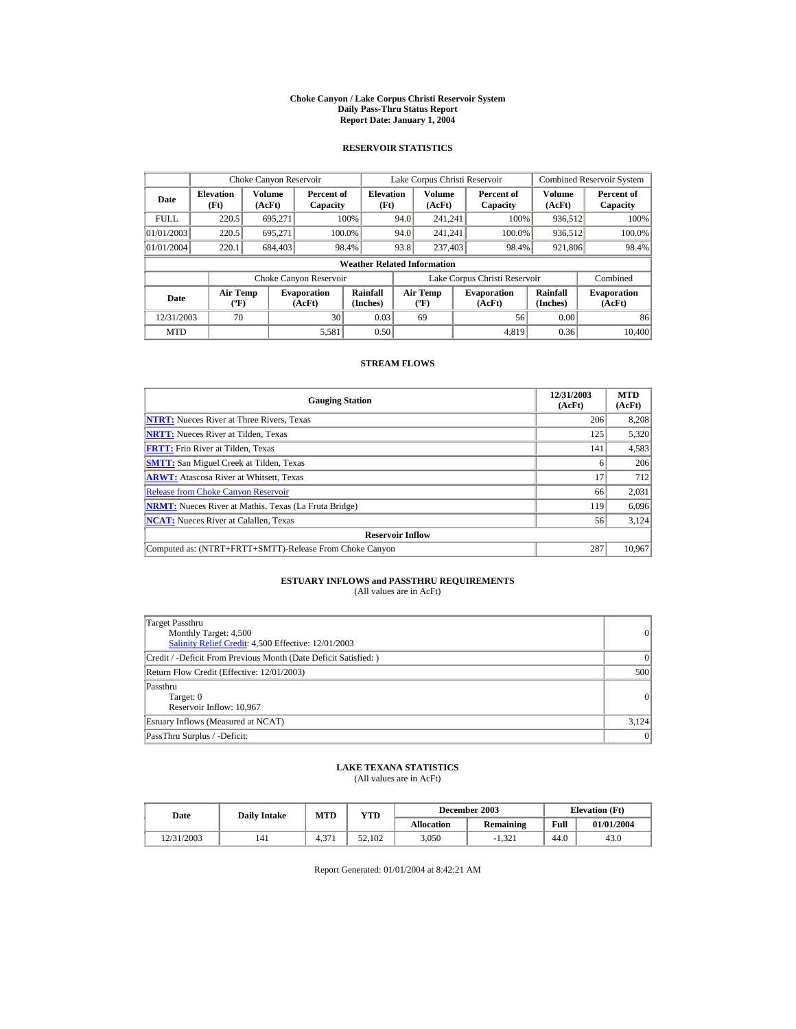#### **Choke Canyon / Lake Corpus Christi Reservoir System Daily Pass-Thru Status Report Report Date: January 1, 2004**

## **RESERVOIR STATISTICS**

|             | Choke Canyon Reservoir                      |                  |                              |                          | Lake Corpus Christi Reservoir |                                             |  |                               |                      | Combined Reservoir System    |  |  |
|-------------|---------------------------------------------|------------------|------------------------------|--------------------------|-------------------------------|---------------------------------------------|--|-------------------------------|----------------------|------------------------------|--|--|
| Date        | <b>Elevation</b><br>(Ft)                    | Volume<br>(AcFt) | Percent of<br>Capacity       | <b>Elevation</b><br>(Ft) |                               | Volume<br>(AcFt)                            |  | Percent of<br>Capacity        | Volume<br>(AcFt)     | Percent of<br>Capacity       |  |  |
| <b>FULL</b> | 220.5                                       | 695.271          |                              | 100%                     | 94.0                          | 241.241                                     |  | 100%                          | 936,512              | 100%                         |  |  |
| 01/01/2003  | 220.5                                       | 695.271          |                              | 100.0%                   | 94.0                          | 241.241                                     |  | 100.0%                        | 936,512              | 100.0%                       |  |  |
| 01/01/2004  | 220.1                                       | 684,403          |                              | 98.4%                    | 93.8                          | 237,403                                     |  | 98.4%                         | 921,806              | 98.4%                        |  |  |
|             | <b>Weather Related Information</b>          |                  |                              |                          |                               |                                             |  |                               |                      |                              |  |  |
|             |                                             |                  | Choke Canyon Reservoir       |                          |                               |                                             |  | Lake Corpus Christi Reservoir |                      | Combined                     |  |  |
| Date        | <b>Air Temp</b><br>$({}^{\circ}\mathrm{F})$ |                  | <b>Evaporation</b><br>(AcFt) | Rainfall<br>(Inches)     |                               | <b>Air Temp</b><br>$({}^{\circ}\mathbf{F})$ |  | <b>Evaporation</b><br>(AcFt)  | Rainfall<br>(Inches) | <b>Evaporation</b><br>(AcFt) |  |  |
| 12/31/2003  | 70                                          |                  | 30                           | 0.03                     |                               | 69                                          |  | 56                            | 0.00                 | 86                           |  |  |
| <b>MTD</b>  |                                             |                  | 5,581                        | 0.50                     |                               |                                             |  | 4.819                         | 0.36                 | 10.400                       |  |  |

### **STREAM FLOWS**

| <b>Gauging Station</b>                                       | 12/31/2003<br>(AcFt) | <b>MTD</b><br>(AcFt) |
|--------------------------------------------------------------|----------------------|----------------------|
| <b>NTRT:</b> Nueces River at Three Rivers, Texas             | 206                  | 8,208                |
| <b>NRTT:</b> Nueces River at Tilden, Texas                   | 125                  | 5,320                |
| <b>FRTT:</b> Frio River at Tilden, Texas                     | 141                  | 4,583                |
| <b>SMTT:</b> San Miguel Creek at Tilden, Texas               | <sub>0</sub>         | 206                  |
| <b>ARWT:</b> Atascosa River at Whitsett, Texas               | 17                   | 712                  |
| <b>Release from Choke Canyon Reservoir</b>                   | 66                   | 2,031                |
| <b>NRMT:</b> Nueces River at Mathis, Texas (La Fruta Bridge) | 119                  | 6,096                |
| <b>NCAT:</b> Nueces River at Calallen, Texas                 | 56                   | 3,124                |
| <b>Reservoir Inflow</b>                                      |                      |                      |
| Computed as: (NTRT+FRTT+SMTT)-Release From Choke Canyon      | 287                  | 10,967               |

# **ESTUARY INFLOWS and PASSTHRU REQUIREMENTS**<br>(All values are in AcFt)

| Target Passthru<br>Monthly Target: 4,500<br>Salinity Relief Credit: 4,500 Effective: 12/01/2003 | 0         |
|-------------------------------------------------------------------------------------------------|-----------|
| Credit / -Deficit From Previous Month (Date Deficit Satisfied: )                                | $\vert$ 0 |
| Return Flow Credit (Effective: 12/01/2003)                                                      | 500       |
| Passthru<br>Target: 0<br>Reservoir Inflow: 10,967                                               | 0         |
| Estuary Inflows (Measured at NCAT)                                                              | 3,124     |
| PassThru Surplus / -Deficit:                                                                    | 0         |

## **LAKE TEXANA STATISTICS**

(All values are in AcFt)

| Date       | <b>Daily Intake</b> | MTD          | $_{\rm VTD}$ |            | December 2003 | <b>Elevation</b> (Ft) |            |
|------------|---------------------|--------------|--------------|------------|---------------|-----------------------|------------|
|            |                     |              |              | Allocation | Remaining     | Full                  | 01/01/2004 |
| 12/31/2003 | 141                 | .27<br>t. 37 | 52.102       | 3.050      | $-1.321$      | 44.0                  | 43.0       |

Report Generated: 01/01/2004 at 8:42:21 AM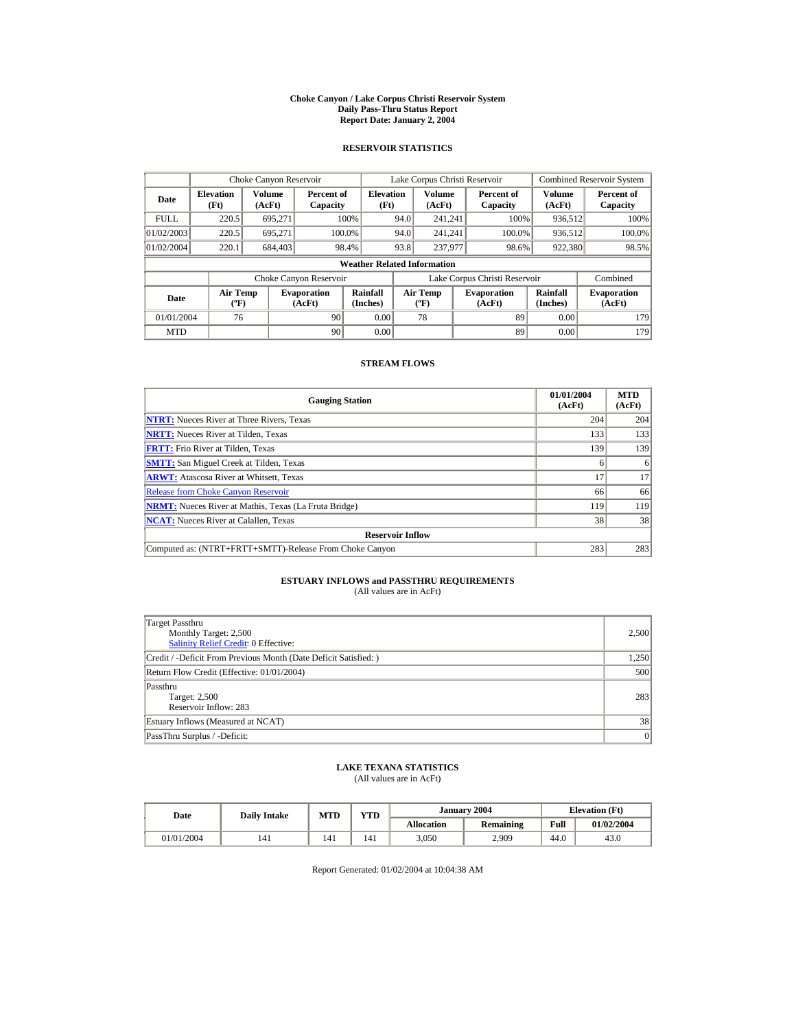#### **Choke Canyon / Lake Corpus Christi Reservoir System Daily Pass-Thru Status Report Report Date: January 2, 2004**

## **RESERVOIR STATISTICS**

|             | Choke Canyon Reservoir                      |                  |                              |                          | Lake Corpus Christi Reservoir |                                             |  |                               |                      | <b>Combined Reservoir System</b> |  |  |
|-------------|---------------------------------------------|------------------|------------------------------|--------------------------|-------------------------------|---------------------------------------------|--|-------------------------------|----------------------|----------------------------------|--|--|
| Date        | <b>Elevation</b><br>(Ft)                    | Volume<br>(AcFt) | Percent of<br>Capacity       | <b>Elevation</b><br>(Ft) |                               | Volume<br>(AcFt)                            |  | Percent of<br>Capacity        | Volume<br>(AcFt)     | Percent of<br>Capacity           |  |  |
| <b>FULL</b> | 220.5                                       | 695.271          |                              | 100%                     | 94.0                          | 241.241                                     |  | 100%                          | 936,512              | $100\%$                          |  |  |
| 01/02/2003  | 220.5                                       | 695.271          | 100.0%                       |                          | 94.0                          | 241.241                                     |  | 100.0%                        | 936,512              | 100.0%                           |  |  |
| 01/02/2004  | 220.1                                       | 684,403          | 98.4%                        |                          | 93.8                          | 237,977                                     |  | 98.6%                         | 922,380              | 98.5%                            |  |  |
|             | <b>Weather Related Information</b>          |                  |                              |                          |                               |                                             |  |                               |                      |                                  |  |  |
|             |                                             |                  | Choke Canyon Reservoir       |                          |                               |                                             |  | Lake Corpus Christi Reservoir |                      | Combined                         |  |  |
| Date        | <b>Air Temp</b><br>$({}^{\circ}\mathrm{F})$ |                  | <b>Evaporation</b><br>(AcFt) | Rainfall<br>(Inches)     |                               | <b>Air Temp</b><br>$({}^{\circ}\mathrm{F})$ |  | <b>Evaporation</b><br>(AcFt)  | Rainfall<br>(Inches) | <b>Evaporation</b><br>(AcFt)     |  |  |
| 01/01/2004  | 76                                          |                  | 90                           | 0.00                     |                               | 78                                          |  | 89                            | 0.00                 | 179                              |  |  |
| <b>MTD</b>  |                                             |                  | 90                           | 0.00                     |                               |                                             |  | 89                            | 0.00                 | 179                              |  |  |

### **STREAM FLOWS**

| <b>Gauging Station</b>                                       | 01/01/2004<br>(AcFt) | <b>MTD</b><br>(AcFt) |
|--------------------------------------------------------------|----------------------|----------------------|
| <b>NTRT:</b> Nueces River at Three Rivers, Texas             | 204                  | 204                  |
| <b>NRTT:</b> Nueces River at Tilden. Texas                   | 133                  | 133                  |
| <b>FRTT:</b> Frio River at Tilden. Texas                     | 139                  | 139                  |
| <b>SMTT:</b> San Miguel Creek at Tilden, Texas               |                      | 6                    |
| <b>ARWT:</b> Atascosa River at Whitsett, Texas               | 17                   | 17                   |
| <b>Release from Choke Canyon Reservoir</b>                   | 66                   | 66                   |
| <b>NRMT:</b> Nueces River at Mathis, Texas (La Fruta Bridge) | 119                  | 119                  |
| <b>NCAT:</b> Nueces River at Calallen, Texas                 | 38                   | 38                   |
| <b>Reservoir Inflow</b>                                      |                      |                      |
| Computed as: (NTRT+FRTT+SMTT)-Release From Choke Canyon      | 283                  | 283                  |

# **ESTUARY INFLOWS and PASSTHRU REQUIREMENTS**<br>(All values are in AcFt)

| Target Passthru<br>Monthly Target: 2,500<br>Salinity Relief Credit: 0 Effective: | 2,500 |
|----------------------------------------------------------------------------------|-------|
| Credit / -Deficit From Previous Month (Date Deficit Satisfied:)                  | 1,250 |
| Return Flow Credit (Effective: 01/01/2004)                                       | 500   |
| Passthru<br>Target: 2,500<br>Reservoir Inflow: 283                               | 283   |
| Estuary Inflows (Measured at NCAT)                                               | 38    |
| PassThru Surplus / -Deficit:                                                     | 0     |

## **LAKE TEXANA STATISTICS**

(All values are in AcFt)

| Date       | <b>Daily Intake</b> | MTD | <b>VTD</b> |                   | January 2004     |      | <b>Elevation</b> (Ft) |  |
|------------|---------------------|-----|------------|-------------------|------------------|------|-----------------------|--|
|            |                     |     |            | <b>Allocation</b> | <b>Remaining</b> | Full | 01/02/2004            |  |
| 01/01/2004 | 141                 | 141 | 141        | 3,050             | 2,909            | 44.0 | 43.0                  |  |

Report Generated: 01/02/2004 at 10:04:38 AM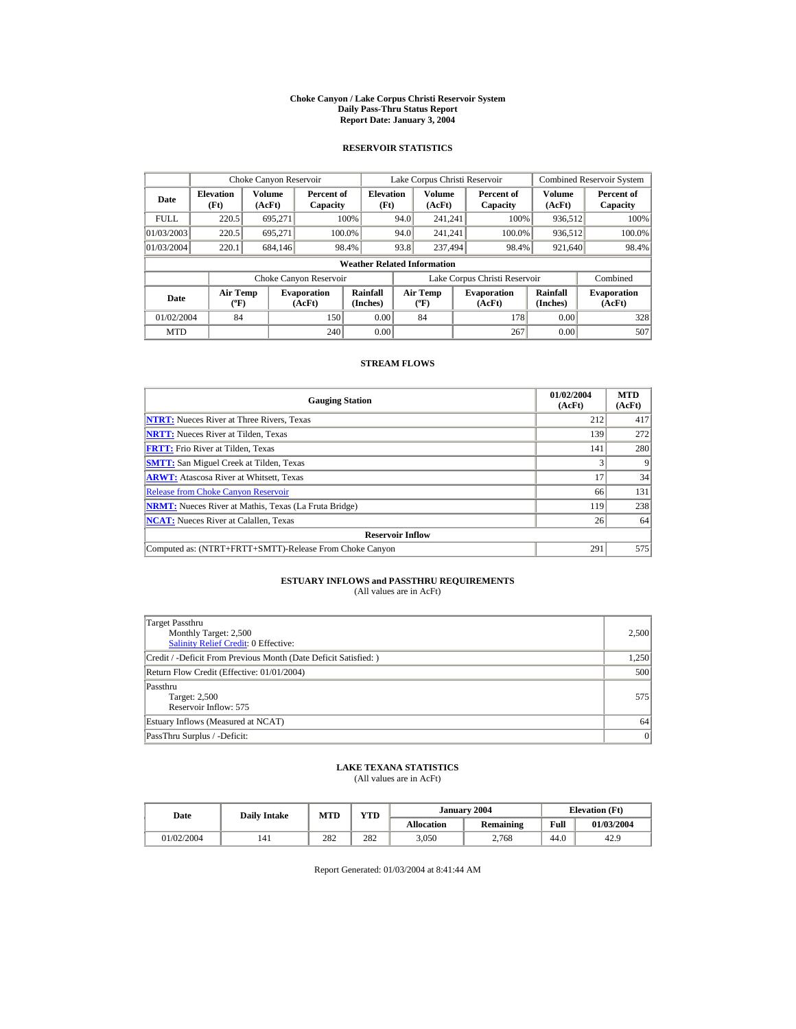#### **Choke Canyon / Lake Corpus Christi Reservoir System Daily Pass-Thru Status Report Report Date: January 3, 2004**

## **RESERVOIR STATISTICS**

|             | Choke Canyon Reservoir                      |                  |                              |                          | Lake Corpus Christi Reservoir |                                             |  |                               |                      | <b>Combined Reservoir System</b> |  |  |
|-------------|---------------------------------------------|------------------|------------------------------|--------------------------|-------------------------------|---------------------------------------------|--|-------------------------------|----------------------|----------------------------------|--|--|
| Date        | <b>Elevation</b><br>(Ft)                    | Volume<br>(AcFt) | Percent of<br>Capacity       | <b>Elevation</b><br>(Ft) |                               | Volume<br>(AcFt)                            |  | Percent of<br>Capacity        | Volume<br>(AcFt)     | Percent of<br>Capacity           |  |  |
| <b>FULL</b> | 220.5                                       | 695.271          |                              | 100%                     | 94.0                          | 241.241                                     |  | 100%                          | 936,512              | 100%                             |  |  |
| 01/03/2003  | 220.5                                       | 695.271          | 100.0%                       |                          | 94.0                          | 241.241                                     |  | 100.0%                        | 936,512              | 100.0%                           |  |  |
| 01/03/2004  | 220.1                                       | 684.146          |                              | 98.4%                    | 93.8                          | 237,494                                     |  | 98.4%                         | 921,640              | 98.4%                            |  |  |
|             | <b>Weather Related Information</b>          |                  |                              |                          |                               |                                             |  |                               |                      |                                  |  |  |
|             |                                             |                  | Choke Canyon Reservoir       |                          |                               |                                             |  | Lake Corpus Christi Reservoir |                      | Combined                         |  |  |
| Date        | <b>Air Temp</b><br>$({}^{\circ}\mathrm{F})$ |                  | <b>Evaporation</b><br>(AcFt) | Rainfall<br>(Inches)     |                               | <b>Air Temp</b><br>$({}^{\circ}\mathrm{F})$ |  | <b>Evaporation</b><br>(AcFt)  | Rainfall<br>(Inches) | <b>Evaporation</b><br>(AcFt)     |  |  |
| 01/02/2004  | 84                                          |                  | 150                          | 0.00                     |                               | 84                                          |  | 178                           | 0.00                 | 328                              |  |  |
| <b>MTD</b>  |                                             |                  | 240                          | 0.00                     |                               |                                             |  | 267                           | 0.00                 | 507                              |  |  |

### **STREAM FLOWS**

| <b>Gauging Station</b>                                       | 01/02/2004<br>(AcFt) | <b>MTD</b><br>(AcFt) |
|--------------------------------------------------------------|----------------------|----------------------|
| <b>NTRT:</b> Nueces River at Three Rivers, Texas             | 212                  | 417                  |
| <b>NRTT:</b> Nueces River at Tilden, Texas                   | 139                  | 272                  |
| <b>FRTT:</b> Frio River at Tilden, Texas                     | 141                  | 280                  |
| <b>SMTT:</b> San Miguel Creek at Tilden, Texas               |                      | q                    |
| <b>ARWT:</b> Atascosa River at Whitsett, Texas               | 17                   | 34                   |
| <b>Release from Choke Canyon Reservoir</b>                   | 66                   | 131                  |
| <b>NRMT:</b> Nueces River at Mathis, Texas (La Fruta Bridge) | 119                  | 238                  |
| <b>NCAT:</b> Nueces River at Calallen, Texas                 | 26                   | 64                   |
| <b>Reservoir Inflow</b>                                      |                      |                      |
| Computed as: (NTRT+FRTT+SMTT)-Release From Choke Canyon      | 291                  | 575                  |

# **ESTUARY INFLOWS and PASSTHRU REQUIREMENTS**<br>(All values are in AcFt)

| Target Passthru<br>Monthly Target: 2,500<br><b>Salinity Relief Credit: 0 Effective:</b> | 2,500 |
|-----------------------------------------------------------------------------------------|-------|
| Credit / -Deficit From Previous Month (Date Deficit Satisfied: )                        | 1,250 |
| Return Flow Credit (Effective: 01/01/2004)                                              | 500   |
| Passthru<br>Target: 2,500<br>Reservoir Inflow: 575                                      | 575   |
| Estuary Inflows (Measured at NCAT)                                                      | 64    |
| PassThru Surplus / -Deficit:                                                            | 0     |

## **LAKE TEXANA STATISTICS**

(All values are in AcFt)

| Date       | <b>Daily Intake</b> | MTD | YTD |                   | January 2004 | <b>Elevation</b> (Ft) |            |
|------------|---------------------|-----|-----|-------------------|--------------|-----------------------|------------|
|            |                     |     |     | <b>Allocation</b> | Remaining    | Full                  | 01/03/2004 |
| 01/02/2004 | 141                 | 282 | 282 | 3,050             | 2.768        | 44.0                  | 42.9       |

Report Generated: 01/03/2004 at 8:41:44 AM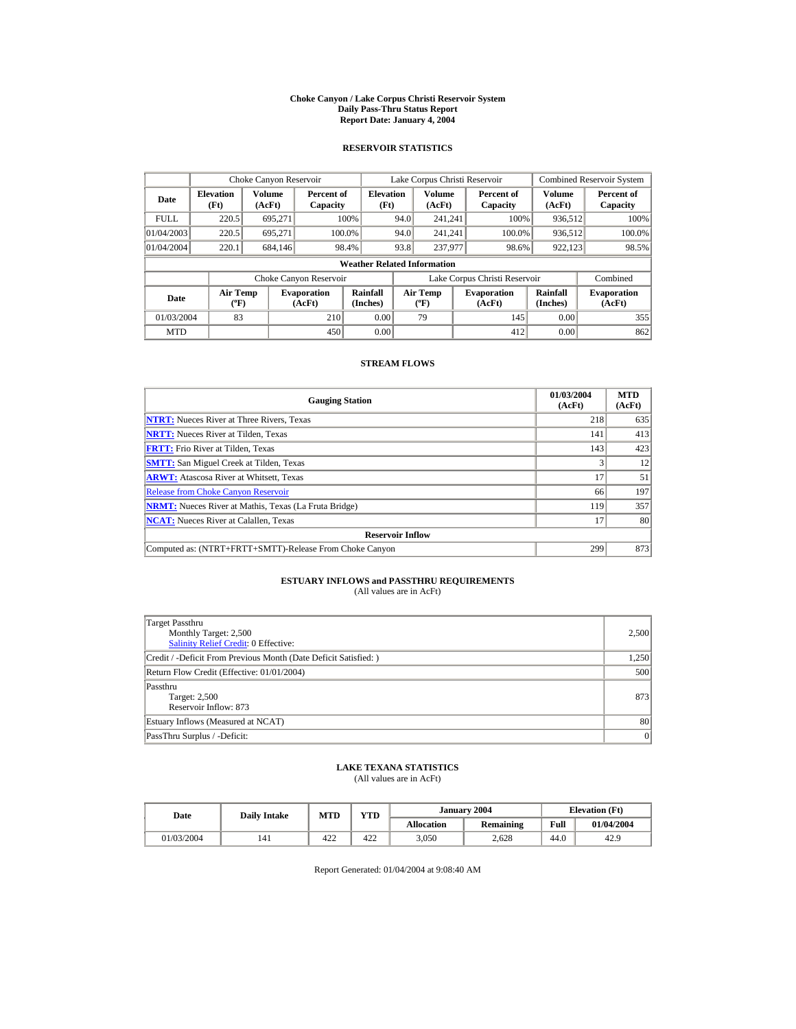#### **Choke Canyon / Lake Corpus Christi Reservoir System Daily Pass-Thru Status Report Report Date: January 4, 2004**

## **RESERVOIR STATISTICS**

|             | Choke Canyon Reservoir                      |                  |                              |                                    |      | Lake Corpus Christi Reservoir               |                               |                      | <b>Combined Reservoir System</b> |
|-------------|---------------------------------------------|------------------|------------------------------|------------------------------------|------|---------------------------------------------|-------------------------------|----------------------|----------------------------------|
| Date        | <b>Elevation</b><br>(Ft)                    | Volume<br>(AcFt) | Percent of<br>Capacity       | <b>Elevation</b><br>(Ft)           |      | Volume<br>(AcFt)                            | Percent of<br>Capacity        | Volume<br>(AcFt)     | Percent of<br>Capacity           |
| <b>FULL</b> | 220.5                                       | 695.271          |                              | 100%                               | 94.0 | 241.241                                     | 100%                          | 936,512              | 100%                             |
| 01/04/2003  | 220.5                                       | 695.271          | 100.0%                       |                                    | 94.0 | 241.241                                     | 100.0%                        | 936,512              | 100.0%                           |
| 01/04/2004  | 220.1                                       | 684.146          | 98.4%                        |                                    | 93.8 | 237,977                                     | 98.6%                         | 922,123              | 98.5%                            |
|             |                                             |                  |                              | <b>Weather Related Information</b> |      |                                             |                               |                      |                                  |
|             |                                             |                  | Choke Canyon Reservoir       |                                    |      |                                             | Lake Corpus Christi Reservoir |                      | Combined                         |
| Date        | <b>Air Temp</b><br>$({}^{\circ}\mathrm{F})$ |                  | <b>Evaporation</b><br>(AcFt) | Rainfall<br>(Inches)               |      | <b>Air Temp</b><br>$({}^{\circ}\mathrm{F})$ | <b>Evaporation</b><br>(AcFt)  | Rainfall<br>(Inches) | <b>Evaporation</b><br>(AcFt)     |
| 01/03/2004  | 83                                          |                  | 210                          | 0.00                               |      | 79                                          | 145                           | 0.00                 | 355                              |
| <b>MTD</b>  |                                             |                  | 450                          | 0.00                               |      |                                             | 412                           | 0.00                 | 862                              |

### **STREAM FLOWS**

| <b>Gauging Station</b>                                       | 01/03/2004<br>(AcFt) | <b>MTD</b><br>(AcFt) |
|--------------------------------------------------------------|----------------------|----------------------|
| <b>NTRT:</b> Nueces River at Three Rivers, Texas             | 218                  | 635                  |
| <b>NRTT:</b> Nueces River at Tilden, Texas                   | 141                  | 413                  |
| <b>FRTT:</b> Frio River at Tilden, Texas                     | 143                  | 423                  |
| <b>SMTT:</b> San Miguel Creek at Tilden, Texas               |                      | 12                   |
| <b>ARWT:</b> Atascosa River at Whitsett, Texas               | 17                   | 51                   |
| <b>Release from Choke Canyon Reservoir</b>                   | 66                   | 197                  |
| <b>NRMT:</b> Nueces River at Mathis, Texas (La Fruta Bridge) | 119                  | 357                  |
| <b>NCAT:</b> Nueces River at Calallen, Texas                 | 17                   | 80                   |
| <b>Reservoir Inflow</b>                                      |                      |                      |
| Computed as: (NTRT+FRTT+SMTT)-Release From Choke Canyon      | 299                  | 873                  |

# **ESTUARY INFLOWS and PASSTHRU REQUIREMENTS**<br>(All values are in AcFt)

| Target Passthru<br>Monthly Target: 2,500<br><b>Salinity Relief Credit: 0 Effective:</b> | 2,500 |
|-----------------------------------------------------------------------------------------|-------|
| Credit / -Deficit From Previous Month (Date Deficit Satisfied: )                        | 1,250 |
| Return Flow Credit (Effective: 01/01/2004)                                              | 500   |
| Passthru<br>Target: 2,500<br>Reservoir Inflow: 873                                      | 873   |
| Estuary Inflows (Measured at NCAT)                                                      | 80    |
| PassThru Surplus / -Deficit:                                                            | 0     |

## **LAKE TEXANA STATISTICS**

(All values are in AcFt)

| Date       | <b>Daily Intake</b> | MTD | <b>VTD</b> |                   | January 2004 |      | <b>Elevation</b> (Ft) |
|------------|---------------------|-----|------------|-------------------|--------------|------|-----------------------|
|            |                     |     |            | <b>Allocation</b> | Remaining    | Full | 01/04/2004            |
| 01/03/2004 | 141                 | 422 | 422        | 3,050             | 2.628        | 44.0 | 42.9                  |

Report Generated: 01/04/2004 at 9:08:40 AM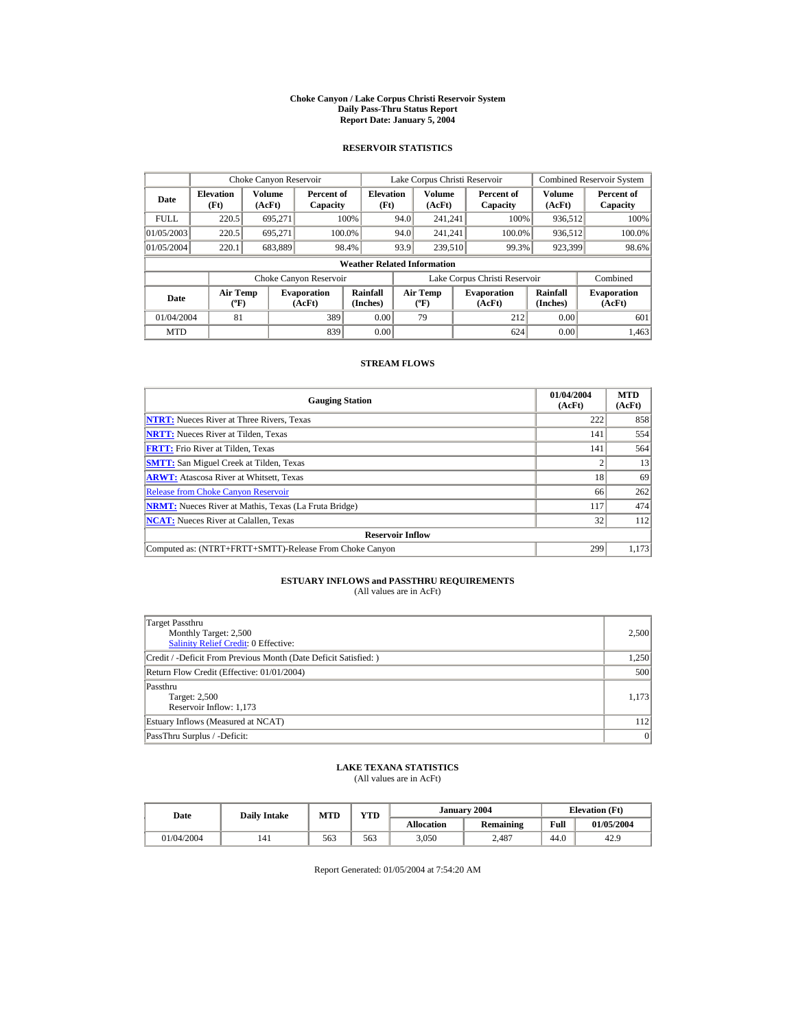#### **Choke Canyon / Lake Corpus Christi Reservoir System Daily Pass-Thru Status Report Report Date: January 5, 2004**

## **RESERVOIR STATISTICS**

|             | Choke Canyon Reservoir                      |                  |                              |                                    |      | Lake Corpus Christi Reservoir             |                               |                      | <b>Combined Reservoir System</b> |
|-------------|---------------------------------------------|------------------|------------------------------|------------------------------------|------|-------------------------------------------|-------------------------------|----------------------|----------------------------------|
| Date        | <b>Elevation</b><br>(Ft)                    | Volume<br>(AcFt) | Percent of<br>Capacity       | <b>Elevation</b><br>(Ft)           |      | Volume<br>(AcFt)                          | Percent of<br>Capacity        | Volume<br>(AcFt)     | Percent of<br>Capacity           |
| <b>FULL</b> | 220.5                                       | 695.271          |                              | 100%                               | 94.0 | 241.241                                   | 100%                          | 936,512              | 100%                             |
| 01/05/2003  | 220.5                                       | 695.271          | 100.0%                       |                                    | 94.0 | 241.241                                   | 100.0%                        | 936,512              | 100.0%                           |
| 01/05/2004  | 220.1                                       | 683,889          |                              | 98.4%                              | 93.9 | 239,510                                   | 99.3%                         | 923,399              | 98.6%                            |
|             |                                             |                  |                              | <b>Weather Related Information</b> |      |                                           |                               |                      |                                  |
|             |                                             |                  | Choke Canyon Reservoir       |                                    |      |                                           | Lake Corpus Christi Reservoir |                      | Combined                         |
| Date        | <b>Air Temp</b><br>$({}^{\circ}\mathrm{F})$ |                  | <b>Evaporation</b><br>(AcFt) | Rainfall<br>(Inches)               |      | <b>Air Temp</b><br>$({}^{\circ}\text{F})$ | <b>Evaporation</b><br>(AcFt)  | Rainfall<br>(Inches) | <b>Evaporation</b><br>(AcFt)     |
| 01/04/2004  | 81                                          |                  | 389                          | 0.00                               |      | 79                                        | 212                           | 0.00                 | 601                              |
| <b>MTD</b>  |                                             |                  | 839                          | 0.00                               |      |                                           | 624                           | 0.00                 | 1,463                            |

### **STREAM FLOWS**

| <b>Gauging Station</b>                                       | 01/04/2004<br>(AcFt) | <b>MTD</b><br>(AcFt) |
|--------------------------------------------------------------|----------------------|----------------------|
| <b>NTRT:</b> Nueces River at Three Rivers, Texas             | 222                  | 858                  |
| <b>NRTT:</b> Nueces River at Tilden, Texas                   | 141                  | 554                  |
| <b>FRTT:</b> Frio River at Tilden, Texas                     | 141                  | 564                  |
| <b>SMTT:</b> San Miguel Creek at Tilden, Texas               |                      | 13                   |
| <b>ARWT:</b> Atascosa River at Whitsett, Texas               | 18                   | 69                   |
| <b>Release from Choke Canyon Reservoir</b>                   | 66                   | 262                  |
| <b>NRMT:</b> Nueces River at Mathis, Texas (La Fruta Bridge) | 117                  | 474                  |
| <b>NCAT:</b> Nueces River at Calallen, Texas                 | 32                   | 112                  |
| <b>Reservoir Inflow</b>                                      |                      |                      |
| Computed as: (NTRT+FRTT+SMTT)-Release From Choke Canyon      | 299                  | 1,173                |

# **ESTUARY INFLOWS and PASSTHRU REQUIREMENTS**<br>(All values are in AcFt)

| <b>Target Passthru</b><br>Monthly Target: 2,500<br><b>Salinity Relief Credit: 0 Effective:</b> | 2,500 |
|------------------------------------------------------------------------------------------------|-------|
| Credit / -Deficit From Previous Month (Date Deficit Satisfied:)                                | 1,250 |
| Return Flow Credit (Effective: 01/01/2004)                                                     | 500   |
| Passthru<br>Target: 2,500<br>Reservoir Inflow: 1,173                                           | 1,173 |
| Estuary Inflows (Measured at NCAT)                                                             | 112   |
| PassThru Surplus / -Deficit:                                                                   | 0     |

## **LAKE TEXANA STATISTICS**

(All values are in AcFt)

| Date       | <b>Daily Intake</b> | <b>MTD</b> | VTD |                   | January 2004     |      | <b>Elevation</b> (Ft) |
|------------|---------------------|------------|-----|-------------------|------------------|------|-----------------------|
|            |                     |            |     | <b>Allocation</b> | <b>Remaining</b> | Full | 01/05/2004            |
| 01/04/2004 | 141                 | 563        | 563 | 3,050             | 2.487            | 44.0 | 42.9                  |

Report Generated: 01/05/2004 at 7:54:20 AM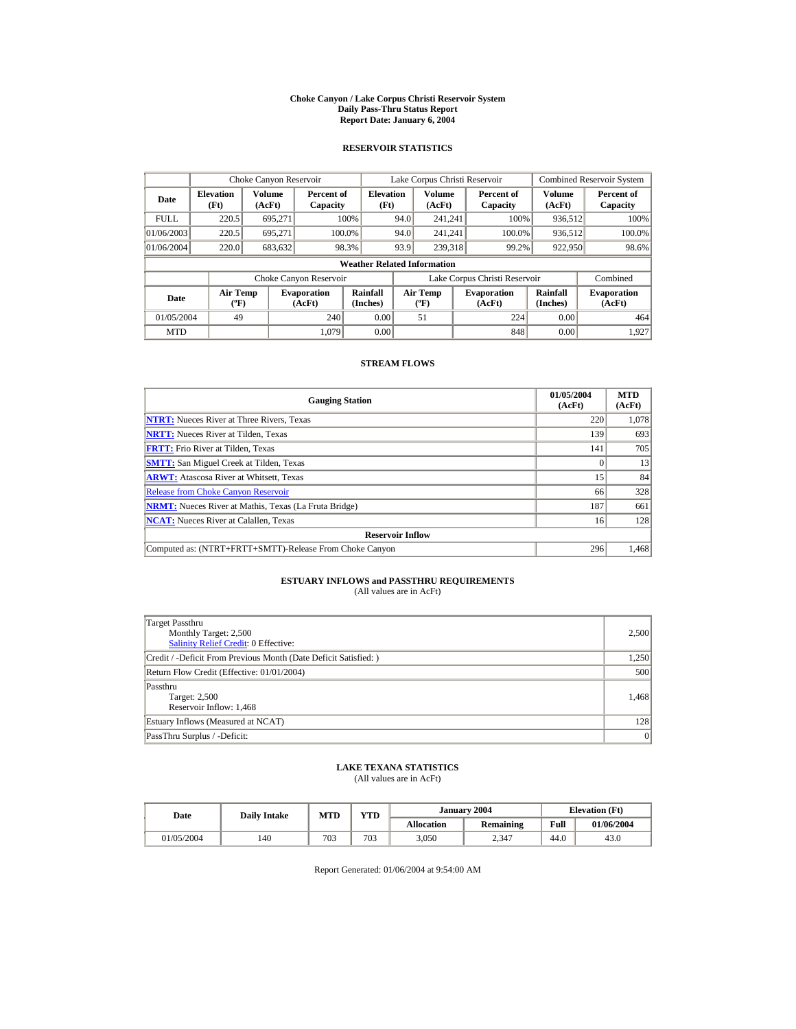#### **Choke Canyon / Lake Corpus Christi Reservoir System Daily Pass-Thru Status Report Report Date: January 6, 2004**

## **RESERVOIR STATISTICS**

|             | Choke Canyon Reservoir                      |                  |                              |                          |      | Lake Corpus Christi Reservoir             |  |                               |                      | <b>Combined Reservoir System</b> |  |  |
|-------------|---------------------------------------------|------------------|------------------------------|--------------------------|------|-------------------------------------------|--|-------------------------------|----------------------|----------------------------------|--|--|
| Date        | <b>Elevation</b><br>(Ft)                    | Volume<br>(AcFt) | Percent of<br>Capacity       | <b>Elevation</b><br>(Ft) |      | Volume<br>(AcFt)                          |  | Percent of<br>Capacity        | Volume<br>(AcFt)     | Percent of<br>Capacity           |  |  |
| <b>FULL</b> | 220.5                                       | 695.271          |                              | 100%                     | 94.0 | 241.241                                   |  | 100%                          | 936,512              | 100%                             |  |  |
| 01/06/2003  | 220.5                                       | 695.271          | 100.0%                       |                          | 94.0 | 241.241                                   |  | 100.0%                        | 936,512              | 100.0%                           |  |  |
| 01/06/2004  | 220.0                                       | 683,632          | 98.3%                        |                          | 93.9 | 239,318                                   |  | 99.2%                         | 922,950              | 98.6%                            |  |  |
|             | <b>Weather Related Information</b>          |                  |                              |                          |      |                                           |  |                               |                      |                                  |  |  |
|             |                                             |                  | Choke Canyon Reservoir       |                          |      |                                           |  | Lake Corpus Christi Reservoir |                      | Combined                         |  |  |
| Date        | <b>Air Temp</b><br>$({}^{\circ}\mathrm{F})$ |                  | <b>Evaporation</b><br>(AcFt) | Rainfall<br>(Inches)     |      | <b>Air Temp</b><br>$({}^{\circ}\text{F})$ |  | <b>Evaporation</b><br>(AcFt)  | Rainfall<br>(Inches) | <b>Evaporation</b><br>(AcFt)     |  |  |
| 01/05/2004  | 49                                          |                  | 240                          | 0.00                     |      | 51                                        |  | 224                           | 0.00                 | 464                              |  |  |
| <b>MTD</b>  |                                             |                  | 1.079                        | 0.00                     |      |                                           |  | 848                           | 0.00                 | 1.927                            |  |  |

### **STREAM FLOWS**

| <b>Gauging Station</b>                                       | 01/05/2004<br>(AcFt) | <b>MTD</b><br>(AcFt) |
|--------------------------------------------------------------|----------------------|----------------------|
| <b>NTRT:</b> Nueces River at Three Rivers, Texas             | 220                  | 1,078                |
| <b>NRTT:</b> Nueces River at Tilden. Texas                   | 139                  | 693                  |
| <b>FRTT:</b> Frio River at Tilden, Texas                     | 141                  | 705                  |
| <b>SMTT:</b> San Miguel Creek at Tilden, Texas               |                      | 13                   |
| <b>ARWT:</b> Atascosa River at Whitsett, Texas               | 15                   | 84                   |
| <b>Release from Choke Canyon Reservoir</b>                   | 66                   | 328                  |
| <b>NRMT:</b> Nueces River at Mathis, Texas (La Fruta Bridge) | 187                  | 661                  |
| <b>NCAT:</b> Nueces River at Calallen, Texas                 | 16                   | 128                  |
| <b>Reservoir Inflow</b>                                      |                      |                      |
| Computed as: (NTRT+FRTT+SMTT)-Release From Choke Canyon      | 296                  | 1,468                |

# **ESTUARY INFLOWS and PASSTHRU REQUIREMENTS**<br>(All values are in AcFt)

| Target Passthru<br>Monthly Target: 2,500<br><b>Salinity Relief Credit: 0 Effective:</b> | 2,500 |
|-----------------------------------------------------------------------------------------|-------|
| Credit / -Deficit From Previous Month (Date Deficit Satisfied:)                         | 1,250 |
| Return Flow Credit (Effective: 01/01/2004)                                              | 500   |
| Passthru<br>Target: 2,500<br>Reservoir Inflow: 1,468                                    | 1.468 |
| Estuary Inflows (Measured at NCAT)                                                      | 128   |
| PassThru Surplus / -Deficit:                                                            | 0     |

## **LAKE TEXANA STATISTICS**

(All values are in AcFt)

| Date       | <b>Daily Intake</b> | MTD | <b>VTD</b> |                   | January 2004     | <b>Elevation</b> (Ft) |            |
|------------|---------------------|-----|------------|-------------------|------------------|-----------------------|------------|
|            |                     |     |            | <b>Allocation</b> | <b>Remaining</b> | Full                  | 01/06/2004 |
| 01/05/2004 | 140                 | 703 | 703        | 3,050             | 2.347            | 44.0                  | 43.0       |

Report Generated: 01/06/2004 at 9:54:00 AM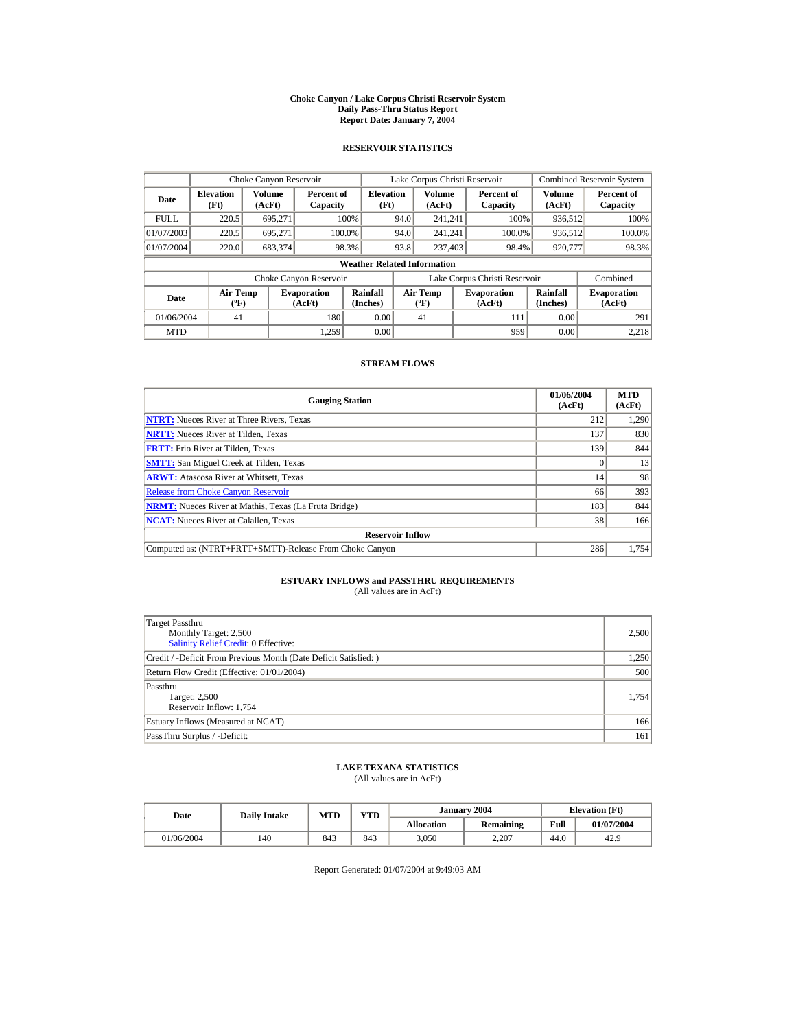#### **Choke Canyon / Lake Corpus Christi Reservoir System Daily Pass-Thru Status Report Report Date: January 7, 2004**

## **RESERVOIR STATISTICS**

|             | Choke Canyon Reservoir                      |                  |                              |                          | Lake Corpus Christi Reservoir |                                  |  |                               |                      | <b>Combined Reservoir System</b> |  |  |
|-------------|---------------------------------------------|------------------|------------------------------|--------------------------|-------------------------------|----------------------------------|--|-------------------------------|----------------------|----------------------------------|--|--|
| Date        | <b>Elevation</b><br>(Ft)                    | Volume<br>(AcFt) | Percent of<br>Capacity       | <b>Elevation</b><br>(Ft) |                               | Volume<br>(AcFt)                 |  | Percent of<br>Capacity        | Volume<br>(AcFt)     | Percent of<br>Capacity           |  |  |
| <b>FULL</b> | 220.5                                       | 695.271          |                              | 100%                     | 94.0                          | 241.241                          |  | 100%                          | 936,512              | 100%                             |  |  |
| 01/07/2003  | 220.5                                       | 695.271          |                              | 100.0%                   | 94.0                          | 241.241                          |  | 100.0%                        | 936,512              | 100.0%                           |  |  |
| 01/07/2004  | 220.0                                       | 683,374          |                              | 98.3%                    | 93.8                          | 237,403                          |  | 98.4%                         | 920,777              | 98.3%                            |  |  |
|             | <b>Weather Related Information</b>          |                  |                              |                          |                               |                                  |  |                               |                      |                                  |  |  |
|             |                                             |                  | Choke Canyon Reservoir       |                          |                               |                                  |  | Lake Corpus Christi Reservoir |                      | Combined                         |  |  |
| Date        | <b>Air Temp</b><br>$({}^{\circ}\mathrm{F})$ |                  | <b>Evaporation</b><br>(AcFt) | Rainfall<br>(Inches)     |                               | <b>Air Temp</b><br>$(^{\circ}F)$ |  | <b>Evaporation</b><br>(AcFt)  | Rainfall<br>(Inches) | <b>Evaporation</b><br>(AcFt)     |  |  |
| 01/06/2004  | 41                                          |                  | 180                          | 0.00                     |                               | 41                               |  | 111                           | 0.00                 | 291                              |  |  |
| <b>MTD</b>  |                                             |                  | 1.259                        | 0.00                     |                               |                                  |  | 959                           | 0.00                 | 2.218                            |  |  |

### **STREAM FLOWS**

| <b>Gauging Station</b>                                       | 01/06/2004<br>(AcFt) | <b>MTD</b><br>(AcFt) |
|--------------------------------------------------------------|----------------------|----------------------|
| <b>NTRT:</b> Nueces River at Three Rivers, Texas             | 212                  | 1,290                |
| <b>NRTT:</b> Nueces River at Tilden, Texas                   | 137                  | 830                  |
| <b>FRTT:</b> Frio River at Tilden, Texas                     | 139                  | 844                  |
| <b>SMTT:</b> San Miguel Creek at Tilden, Texas               |                      | 13                   |
| <b>ARWT:</b> Atascosa River at Whitsett, Texas               | 14                   | 98                   |
| <b>Release from Choke Canyon Reservoir</b>                   | 66                   | 393                  |
| <b>NRMT:</b> Nueces River at Mathis, Texas (La Fruta Bridge) | 183                  | 844                  |
| <b>NCAT:</b> Nueces River at Calallen, Texas                 | 38                   | 166                  |
| <b>Reservoir Inflow</b>                                      |                      |                      |
| Computed as: (NTRT+FRTT+SMTT)-Release From Choke Canyon      | 286                  | 1.754                |

# **ESTUARY INFLOWS and PASSTHRU REQUIREMENTS**<br>(All values are in AcFt)

| Target Passthru<br>Monthly Target: 2,500<br>Salinity Relief Credit: 0 Effective: | 2,500 |
|----------------------------------------------------------------------------------|-------|
| Credit / -Deficit From Previous Month (Date Deficit Satisfied:)                  | 1,250 |
| Return Flow Credit (Effective: 01/01/2004)                                       | 500   |
| Passthru<br>Target: 2,500<br>Reservoir Inflow: 1,754                             | 1,754 |
| Estuary Inflows (Measured at NCAT)                                               | 166   |
| PassThru Surplus / -Deficit:                                                     | 161   |

## **LAKE TEXANA STATISTICS**

(All values are in AcFt)

| Date       | <b>Daily Intake</b> | MTD | <b>YTD</b> |                   | January 2004     | <b>Elevation</b> (Ft) |            |
|------------|---------------------|-----|------------|-------------------|------------------|-----------------------|------------|
|            |                     |     |            | <b>Allocation</b> | <b>Remaining</b> | Full                  | 01/07/2004 |
| 01/06/2004 | 140                 | 843 | 843        | 3,050             | 2.207            | 44.0                  | 42.9       |

Report Generated: 01/07/2004 at 9:49:03 AM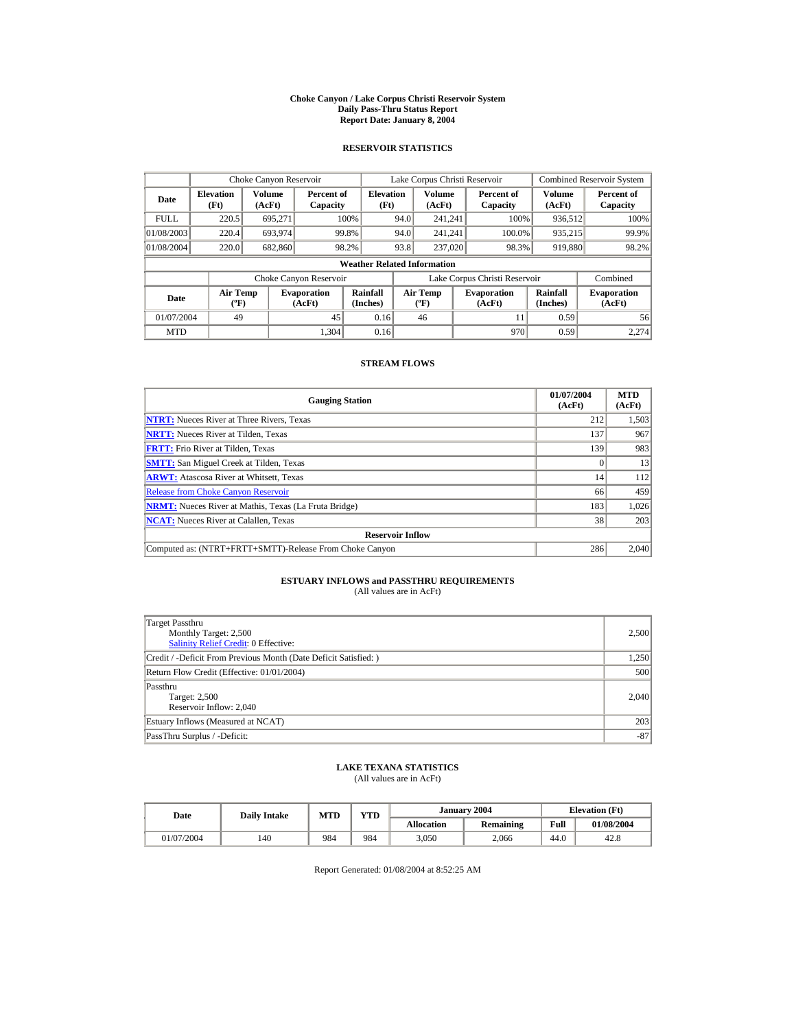#### **Choke Canyon / Lake Corpus Christi Reservoir System Daily Pass-Thru Status Report Report Date: January 8, 2004**

## **RESERVOIR STATISTICS**

|             | Choke Canyon Reservoir                      |                  |                              |                          | Lake Corpus Christi Reservoir           |                         |  |                               |                      | <b>Combined Reservoir System</b> |  |  |
|-------------|---------------------------------------------|------------------|------------------------------|--------------------------|-----------------------------------------|-------------------------|--|-------------------------------|----------------------|----------------------------------|--|--|
| Date        | <b>Elevation</b><br>(Ft)                    | Volume<br>(AcFt) | Percent of<br>Capacity       | <b>Elevation</b><br>(Ft) |                                         | <b>Volume</b><br>(AcFt) |  | Percent of<br>Capacity        | Volume<br>(AcFt)     | Percent of<br>Capacity           |  |  |
| <b>FULL</b> | 220.5                                       | 695.271          |                              | 100%                     | 94.0                                    | 241.241                 |  | 100%                          | 936,512              | 100%                             |  |  |
| 01/08/2003  | 220.4                                       | 693,974          |                              | 99.8%                    | 94.0                                    | 241.241                 |  | 100.0%                        | 935,215              | 99.9%                            |  |  |
| 01/08/2004  | 220.0                                       | 682,860          |                              | 98.2%                    | 93.8                                    | 237,020                 |  | 98.3%                         | 919,880              | 98.2%                            |  |  |
|             | <b>Weather Related Information</b>          |                  |                              |                          |                                         |                         |  |                               |                      |                                  |  |  |
|             |                                             |                  | Choke Canyon Reservoir       |                          |                                         |                         |  | Lake Corpus Christi Reservoir |                      | Combined                         |  |  |
| Date        | <b>Air Temp</b><br>$({}^{\circ}\mathrm{F})$ |                  | <b>Evaporation</b><br>(AcFt) | Rainfall<br>(Inches)     | <b>Air Temp</b><br>$(^{\circ}\text{F})$ |                         |  | <b>Evaporation</b><br>(AcFt)  | Rainfall<br>(Inches) | <b>Evaporation</b><br>(AcFt)     |  |  |
| 01/07/2004  | 49                                          |                  | 45                           | 0.16                     |                                         | 46                      |  | 11                            | 0.59                 | 56                               |  |  |
| <b>MTD</b>  |                                             |                  | 1.304                        | 0.16                     |                                         |                         |  | 970                           | 0.59                 | 2.274                            |  |  |

### **STREAM FLOWS**

| <b>Gauging Station</b>                                       | 01/07/2004<br>(AcFt) | <b>MTD</b><br>(AcFt) |
|--------------------------------------------------------------|----------------------|----------------------|
| <b>NTRT:</b> Nueces River at Three Rivers, Texas             | 212                  | 1,503                |
| <b>NRTT:</b> Nueces River at Tilden. Texas                   | 137                  | 967                  |
| <b>FRTT:</b> Frio River at Tilden, Texas                     | 139                  | 983                  |
| <b>SMTT:</b> San Miguel Creek at Tilden, Texas               |                      | 13                   |
| <b>ARWT:</b> Atascosa River at Whitsett, Texas               | 14                   | 112                  |
| <b>Release from Choke Canyon Reservoir</b>                   | 66                   | 459                  |
| <b>NRMT:</b> Nueces River at Mathis, Texas (La Fruta Bridge) | 183                  | 1,026                |
| <b>NCAT:</b> Nueces River at Calallen, Texas                 | 38                   | 203                  |
| <b>Reservoir Inflow</b>                                      |                      |                      |
| Computed as: (NTRT+FRTT+SMTT)-Release From Choke Canyon      | 286                  | 2,040                |

# **ESTUARY INFLOWS and PASSTHRU REQUIREMENTS**<br>(All values are in AcFt)

| Target Passthru<br>Monthly Target: 2,500<br><b>Salinity Relief Credit: 0 Effective:</b> | 2,500 |
|-----------------------------------------------------------------------------------------|-------|
| Credit / -Deficit From Previous Month (Date Deficit Satisfied:)                         | 1,250 |
| Return Flow Credit (Effective: 01/01/2004)                                              | 500   |
| Passthru<br>Target: 2,500<br>Reservoir Inflow: 2,040                                    | 2,040 |
| Estuary Inflows (Measured at NCAT)                                                      | 203   |
| PassThru Surplus / -Deficit:                                                            | $-87$ |

## **LAKE TEXANA STATISTICS**

(All values are in AcFt)

| Date       | <b>Daily Intake</b> | <b>MTD</b> | YTD |                   | January 2004 | <b>Elevation</b> (Ft) |            |
|------------|---------------------|------------|-----|-------------------|--------------|-----------------------|------------|
|            |                     |            |     | <b>Allocation</b> | Remaining    | Full                  | 01/08/2004 |
| 01/07/2004 | 140                 | 984        | 984 | 3,050             | 2,066        | 44.0                  | 42.8       |

Report Generated: 01/08/2004 at 8:52:25 AM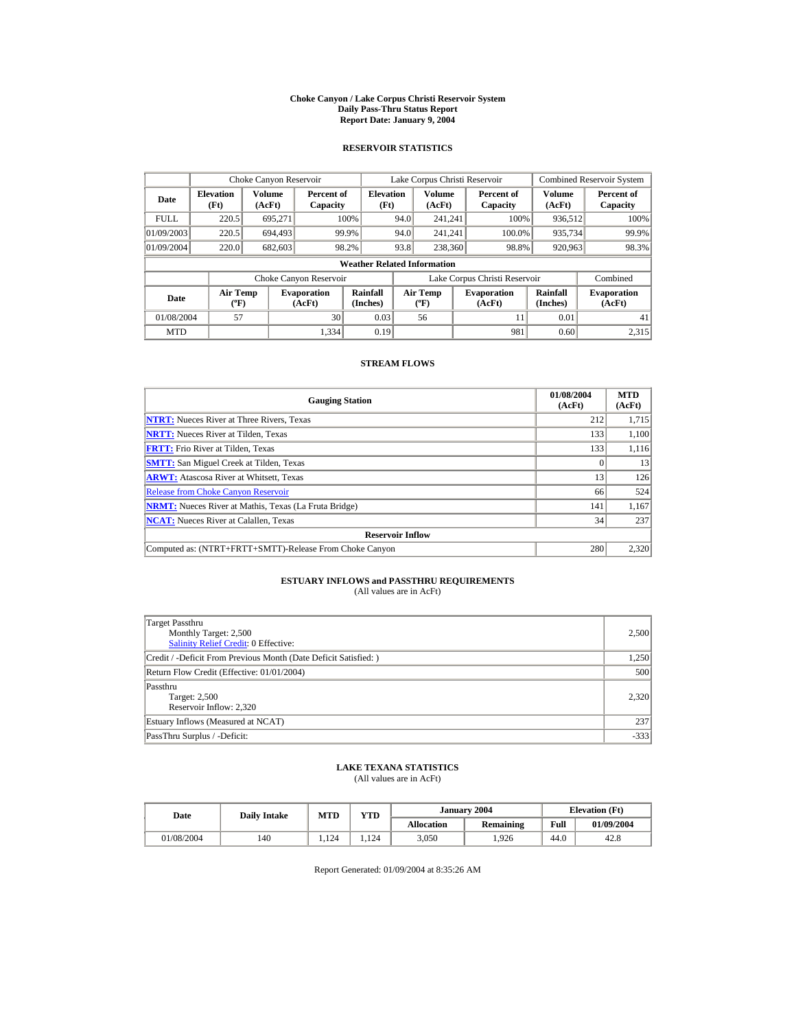#### **Choke Canyon / Lake Corpus Christi Reservoir System Daily Pass-Thru Status Report Report Date: January 9, 2004**

## **RESERVOIR STATISTICS**

|             | Choke Canyon Reservoir                      |                         |                              |                          | Lake Corpus Christi Reservoir |                                          |  |                               |                      | <b>Combined Reservoir System</b> |  |  |
|-------------|---------------------------------------------|-------------------------|------------------------------|--------------------------|-------------------------------|------------------------------------------|--|-------------------------------|----------------------|----------------------------------|--|--|
| Date        | <b>Elevation</b><br>(Ft)                    | <b>Volume</b><br>(AcFt) | Percent of<br>Capacity       | <b>Elevation</b><br>(Ft) |                               | <b>Volume</b><br>(AcFt)                  |  | Percent of<br>Capacity        | Volume<br>(AcFt)     | Percent of<br>Capacity           |  |  |
| <b>FULL</b> | 220.5                                       | 695.271                 |                              | 100%                     | 94.0                          | 241.241                                  |  | 100%                          | 936,512              | 100%                             |  |  |
| 01/09/2003  | 220.5                                       | 694.493                 |                              | 99.9%                    | 94.0                          | 241.241                                  |  | 100.0%                        | 935,734              | 99.9%                            |  |  |
| 01/09/2004  | 220.0                                       | 682,603                 |                              | 98.2%                    | 93.8                          | 238,360                                  |  | 98.8%                         | 920,963              | 98.3%                            |  |  |
|             | <b>Weather Related Information</b>          |                         |                              |                          |                               |                                          |  |                               |                      |                                  |  |  |
|             |                                             |                         | Choke Canyon Reservoir       |                          |                               |                                          |  | Lake Corpus Christi Reservoir |                      | Combined                         |  |  |
| Date        | <b>Air Temp</b><br>$({}^{\circ}\mathrm{F})$ |                         | <b>Evaporation</b><br>(AcFt) | Rainfall<br>(Inches)     |                               | <b>Air Temp</b><br>$({}^{\circ}{\rm F})$ |  | <b>Evaporation</b><br>(AcFt)  | Rainfall<br>(Inches) | <b>Evaporation</b><br>(AcFt)     |  |  |
| 01/08/2004  | 57                                          |                         | 30                           | 0.03                     |                               | 56                                       |  | 11                            | 0.01                 | 41                               |  |  |
| <b>MTD</b>  |                                             |                         | 1.334                        | 0.19                     |                               |                                          |  | 981                           | 0.60                 | 2.315                            |  |  |

### **STREAM FLOWS**

| <b>Gauging Station</b>                                       | 01/08/2004<br>(AcFt) | <b>MTD</b><br>(AcFt) |
|--------------------------------------------------------------|----------------------|----------------------|
| <b>NTRT:</b> Nueces River at Three Rivers, Texas             | 212                  | 1,715                |
| <b>NRTT:</b> Nueces River at Tilden. Texas                   | 133                  | 1,100                |
| <b>FRTT:</b> Frio River at Tilden, Texas                     | 133                  | 1,116                |
| <b>SMTT:</b> San Miguel Creek at Tilden, Texas               |                      | 13                   |
| <b>ARWT:</b> Atascosa River at Whitsett, Texas               | 13                   | 126                  |
| <b>Release from Choke Canyon Reservoir</b>                   | 66                   | 524                  |
| <b>NRMT:</b> Nueces River at Mathis, Texas (La Fruta Bridge) | 141                  | 1.167                |
| <b>NCAT:</b> Nueces River at Calallen, Texas                 | 34                   | 237                  |
| <b>Reservoir Inflow</b>                                      |                      |                      |
| Computed as: (NTRT+FRTT+SMTT)-Release From Choke Canyon      | 280                  | 2,320                |

# **ESTUARY INFLOWS and PASSTHRU REQUIREMENTS**<br>(All values are in AcFt)

| Target Passthru<br>Monthly Target: 2,500<br><b>Salinity Relief Credit: 0 Effective:</b> | 2,500  |
|-----------------------------------------------------------------------------------------|--------|
| Credit / -Deficit From Previous Month (Date Deficit Satisfied:)                         | 1,250  |
| Return Flow Credit (Effective: 01/01/2004)                                              | 500    |
| Passthru<br>Target: 2,500<br>Reservoir Inflow: 2,320                                    | 2,320  |
| Estuary Inflows (Measured at NCAT)                                                      | 237    |
| PassThru Surplus / -Deficit:                                                            | $-333$ |

## **LAKE TEXANA STATISTICS**

(All values are in AcFt)

| Date       | <b>Daily Intake</b> | <b>MTD</b> | $\mathbf{v}\mathbf{T}\mathbf{D}$ |                   | January 2004 | <b>Elevation</b> (Ft) |            |
|------------|---------------------|------------|----------------------------------|-------------------|--------------|-----------------------|------------|
|            |                     |            |                                  | <b>Allocation</b> | Remaining    | Full                  | 01/09/2004 |
| 01/08/2004 | 140                 | 124        | 124                              | 3,050             | .926         | 44.0                  | 42.8       |

Report Generated: 01/09/2004 at 8:35:26 AM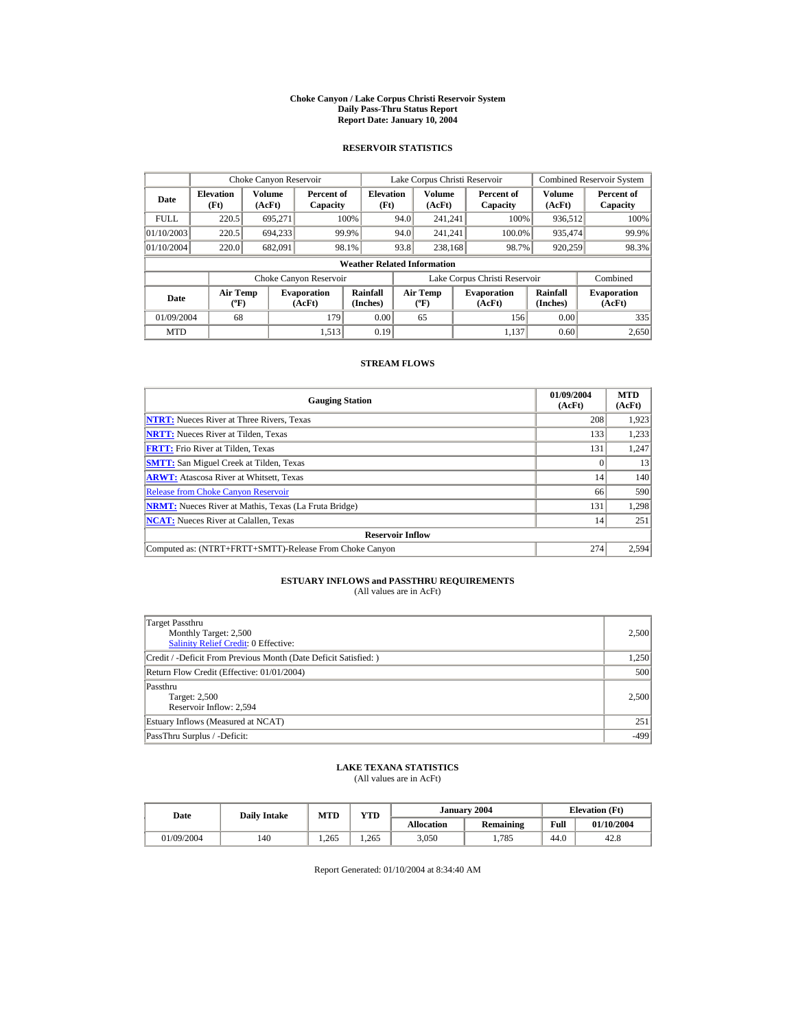#### **Choke Canyon / Lake Corpus Christi Reservoir System Daily Pass-Thru Status Report Report Date: January 10, 2004**

## **RESERVOIR STATISTICS**

|                                                     | Choke Canyon Reservoir                       |                              |                        |                                    |                                  | Lake Corpus Christi Reservoir |                              |                        |                              | Combined Reservoir System |
|-----------------------------------------------------|----------------------------------------------|------------------------------|------------------------|------------------------------------|----------------------------------|-------------------------------|------------------------------|------------------------|------------------------------|---------------------------|
| Date                                                | Volume<br><b>Elevation</b><br>(Ft)<br>(AcFt) |                              | Percent of<br>Capacity | <b>Elevation</b><br>(Ft)           |                                  | Volume<br>(AcFt)              |                              | Percent of<br>Capacity | Volume<br>(AcFt)             | Percent of<br>Capacity    |
| <b>FULL</b>                                         | 220.5                                        | 695.271                      |                        | 100%                               | 94.0                             | 241.241                       |                              | 100%                   | 936,512                      | 100%                      |
| 01/10/2003                                          | 220.5                                        | 694.233                      |                        | 99.9%                              | 94.0                             | 241.241                       |                              | 100.0%                 | 935,474                      | 99.9%                     |
| 01/10/2004                                          | 220.0                                        | 682.091                      |                        | 98.1%                              | 93.8                             | 238,168                       |                              | 98.7%                  | 920.259                      | 98.3%                     |
|                                                     |                                              |                              |                        | <b>Weather Related Information</b> |                                  |                               |                              |                        |                              |                           |
|                                                     |                                              |                              | Choke Canyon Reservoir |                                    | Lake Corpus Christi Reservoir    |                               |                              |                        | Combined                     |                           |
| <b>Air Temp</b><br>Date<br>$({}^{\circ}\mathrm{F})$ |                                              | <b>Evaporation</b><br>(AcFt) | Rainfall<br>(Inches)   |                                    | <b>Air Temp</b><br>$(^{\circ}F)$ |                               | <b>Evaporation</b><br>(AcFt) | Rainfall<br>(Inches)   | <b>Evaporation</b><br>(AcFt) |                           |
| 01/09/2004                                          | 68                                           |                              | 179                    | 0.00                               |                                  | 65                            |                              | 156                    | 0.00                         | 335                       |
| <b>MTD</b>                                          |                                              |                              | 1.513                  | 0.19                               |                                  |                               |                              | 1.137                  | 0.60                         | 2,650                     |

### **STREAM FLOWS**

| <b>Gauging Station</b>                                       | 01/09/2004<br>(AcFt) | <b>MTD</b><br>(AcFt) |
|--------------------------------------------------------------|----------------------|----------------------|
| <b>NTRT:</b> Nueces River at Three Rivers, Texas             | 208                  | 1,923                |
| <b>NRTT:</b> Nueces River at Tilden, Texas                   | 133                  | 1,233                |
| <b>FRTT:</b> Frio River at Tilden, Texas                     | 131                  | 1,247                |
| <b>SMTT:</b> San Miguel Creek at Tilden, Texas               |                      | 13                   |
| <b>ARWT:</b> Atascosa River at Whitsett, Texas               | 14 <sup>1</sup>      | 140                  |
| <b>Release from Choke Canyon Reservoir</b>                   | 66                   | 590                  |
| <b>NRMT:</b> Nueces River at Mathis, Texas (La Fruta Bridge) | 131                  | 1,298                |
| <b>NCAT:</b> Nueces River at Calallen, Texas                 | 14                   | 251                  |
| <b>Reservoir Inflow</b>                                      |                      |                      |
| Computed as: (NTRT+FRTT+SMTT)-Release From Choke Canyon      | 274                  | 2,594                |

# **ESTUARY INFLOWS and PASSTHRU REQUIREMENTS**<br>(All values are in AcFt)

| Target Passthru<br>Monthly Target: 2,500<br>Salinity Relief Credit: 0 Effective: | 2,500  |
|----------------------------------------------------------------------------------|--------|
| Credit / -Deficit From Previous Month (Date Deficit Satisfied:)                  | 1,250  |
| Return Flow Credit (Effective: 01/01/2004)                                       | 500    |
| Passthru<br>Target: 2,500<br>Reservoir Inflow: 2,594                             | 2,500  |
| Estuary Inflows (Measured at NCAT)                                               | 251    |
| PassThru Surplus / -Deficit:                                                     | $-499$ |

## **LAKE TEXANA STATISTICS**

(All values are in AcFt)

| Date       |     | YTD<br><b>MTD</b><br><b>Daily Intake</b> |       |                   | January 2004 | <b>Elevation</b> (Ft) |            |
|------------|-----|------------------------------------------|-------|-------------------|--------------|-----------------------|------------|
|            |     |                                          |       | <b>Allocation</b> | Remaining    | Full                  | 01/10/2004 |
| 01/09/2004 | 140 | .265                                     | 1.265 | 3.050             | 1.785        | 44.0                  | 42.8       |

Report Generated: 01/10/2004 at 8:34:40 AM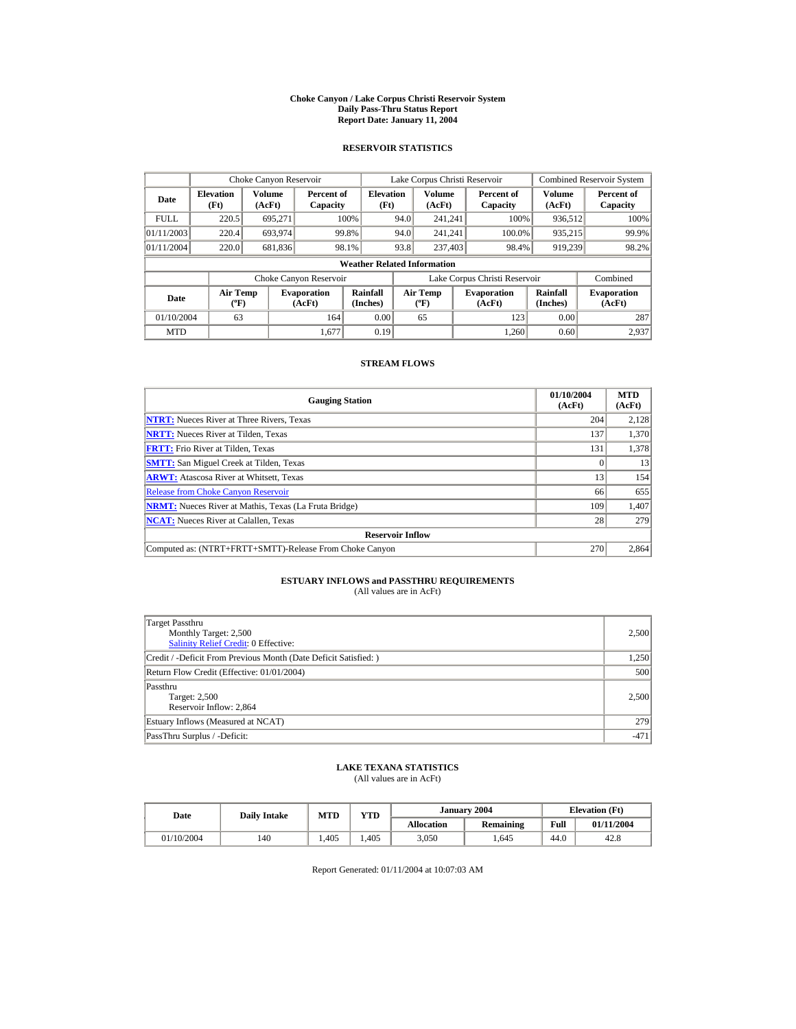#### **Choke Canyon / Lake Corpus Christi Reservoir System Daily Pass-Thru Status Report Report Date: January 11, 2004**

## **RESERVOIR STATISTICS**

|                                        | Choke Canyon Reservoir   |                  |                              |                                    |                               | Lake Corpus Christi Reservoir     |  |                              |                         | <b>Combined Reservoir System</b> |
|----------------------------------------|--------------------------|------------------|------------------------------|------------------------------------|-------------------------------|-----------------------------------|--|------------------------------|-------------------------|----------------------------------|
| Date                                   | <b>Elevation</b><br>(Ft) | Volume<br>(AcFt) | Percent of<br>Capacity       | <b>Elevation</b><br>(Ft)           |                               | Volume<br>(AcFt)                  |  | Percent of<br>Capacity       | <b>Volume</b><br>(AcFt) | Percent of<br>Capacity           |
| <b>FULL</b>                            | 220.5                    | 695.271          |                              | 100%                               | 94.0                          | 241.241                           |  | 100%                         | 936,512                 | 100%                             |
| 01/11/2003                             | 220.4                    | 693.974          |                              | 99.8%                              | 94.0                          | 241.241                           |  | 100.0%                       | 935,215                 | 99.9%                            |
| 01/11/2004                             | 220.0                    | 681,836          |                              | 98.1%                              | 93.8                          | 237,403                           |  | 98.4%                        | 919.239                 | 98.2%                            |
|                                        |                          |                  |                              | <b>Weather Related Information</b> |                               |                                   |  |                              |                         |                                  |
|                                        |                          |                  | Choke Canyon Reservoir       |                                    | Lake Corpus Christi Reservoir |                                   |  |                              | Combined                |                                  |
| Air Temp<br>Date<br>$({}^o\mathrm{F})$ |                          |                  | <b>Evaporation</b><br>(AcFt) | Rainfall<br>(Inches)               |                               | Air Temp<br>$({}^{\circ}{\rm F})$ |  | <b>Evaporation</b><br>(AcFt) | Rainfall<br>(Inches)    | <b>Evaporation</b><br>(AcFt)     |
| 01/10/2004                             | 63                       |                  | 164                          | 0.00                               |                               | 65                                |  | 123                          | 0.00                    | 287                              |
| <b>MTD</b>                             |                          |                  | 1.677                        | 0.19                               |                               |                                   |  | 1.260                        | 0.60                    | 2,937                            |

### **STREAM FLOWS**

| <b>Gauging Station</b>                                       | 01/10/2004<br>(AcFt) | <b>MTD</b><br>(AcFt) |
|--------------------------------------------------------------|----------------------|----------------------|
| <b>NTRT:</b> Nueces River at Three Rivers, Texas             | 204                  | 2,128                |
| <b>NRTT:</b> Nueces River at Tilden, Texas                   | 137                  | 1,370                |
| <b>FRTT:</b> Frio River at Tilden, Texas                     | 131                  | 1,378                |
| <b>SMTT:</b> San Miguel Creek at Tilden, Texas               |                      | 13                   |
| <b>ARWT:</b> Atascosa River at Whitsett, Texas               | 13                   | 154                  |
| <b>Release from Choke Canyon Reservoir</b>                   | 66                   | 655                  |
| <b>NRMT:</b> Nueces River at Mathis, Texas (La Fruta Bridge) | 109                  | 1,407                |
| <b>NCAT:</b> Nueces River at Calallen. Texas                 | 28                   | 279                  |
| <b>Reservoir Inflow</b>                                      |                      |                      |
| Computed as: (NTRT+FRTT+SMTT)-Release From Choke Canyon      | 270                  | 2,864                |

# **ESTUARY INFLOWS and PASSTHRU REQUIREMENTS**<br>(All values are in AcFt)

| <b>Target Passthru</b><br>Monthly Target: 2,500<br><b>Salinity Relief Credit: 0 Effective:</b> | 2,500  |
|------------------------------------------------------------------------------------------------|--------|
| Credit / -Deficit From Previous Month (Date Deficit Satisfied:)                                | 1,250  |
| Return Flow Credit (Effective: 01/01/2004)                                                     | 500    |
| Passthru<br>Target: 2,500<br>Reservoir Inflow: 2,864                                           | 2,500  |
| Estuary Inflows (Measured at NCAT)                                                             | 279    |
| PassThru Surplus / -Deficit:                                                                   | $-471$ |

## **LAKE TEXANA STATISTICS**

(All values are in AcFt)

| Date       | <b>Daily Intake</b> | VTD-<br><b>MTD</b> |      |                   | January 2004 | <b>Elevation</b> (Ft) |            |
|------------|---------------------|--------------------|------|-------------------|--------------|-----------------------|------------|
|            |                     |                    |      | <b>Allocation</b> | Remaining    | Full                  | 01/11/2004 |
| 01/10/2004 | 140                 | .405               | .405 | 3,050             | .645         | 44.0                  | 42.8       |

Report Generated: 01/11/2004 at 10:07:03 AM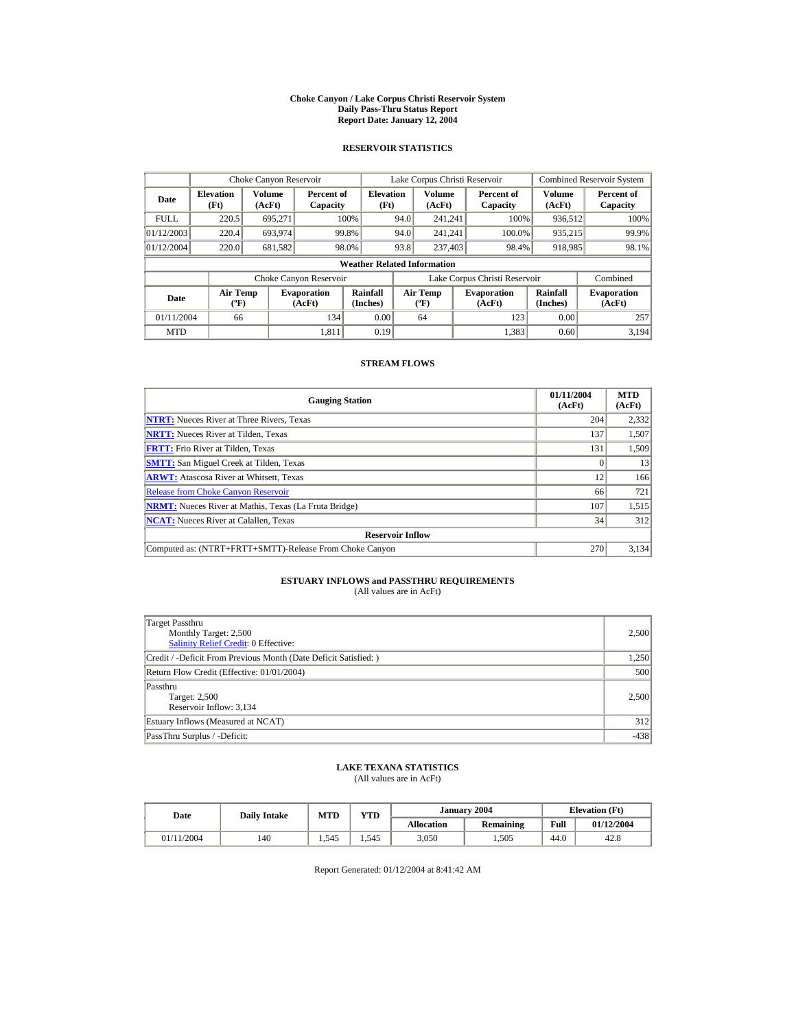#### **Choke Canyon / Lake Corpus Christi Reservoir System Daily Pass-Thru Status Report Report Date: January 12, 2004**

## **RESERVOIR STATISTICS**

|                                                     | Choke Canyon Reservoir                       |         |                              |                                    |                               | Lake Corpus Christi Reservoir    |  |                              |                      | <b>Combined Reservoir System</b> |
|-----------------------------------------------------|----------------------------------------------|---------|------------------------------|------------------------------------|-------------------------------|----------------------------------|--|------------------------------|----------------------|----------------------------------|
| Date                                                | Volume<br><b>Elevation</b><br>(Ft)<br>(AcFt) |         | Percent of<br>Capacity       | <b>Elevation</b><br>(Ft)           |                               | Volume<br>(AcFt)                 |  | Percent of<br>Capacity       | Volume<br>(AcFt)     | Percent of<br>Capacity           |
| <b>FULL</b>                                         | 220.5                                        | 695.271 |                              | 100%                               | 94.0                          | 241.241                          |  | 100%                         | 936,512              | 100%                             |
| 01/12/2003                                          | 220.4                                        | 693,974 | 99.8%                        |                                    | 94.0                          | 241.241                          |  | 100.0%                       | 935,215              | 99.9%                            |
| 01/12/2004                                          | 220.0                                        | 681,582 |                              | 98.0%                              | 93.8                          | 237,403                          |  | 98.4%                        | 918,985              | 98.1%                            |
|                                                     |                                              |         |                              | <b>Weather Related Information</b> |                               |                                  |  |                              |                      |                                  |
|                                                     |                                              |         | Choke Canyon Reservoir       |                                    | Lake Corpus Christi Reservoir |                                  |  |                              | Combined             |                                  |
| <b>Air Temp</b><br>Date<br>$({}^{\circ}\mathrm{F})$ |                                              |         | <b>Evaporation</b><br>(AcFt) | Rainfall<br>(Inches)               |                               | <b>Air Temp</b><br>$(^{\circ}F)$ |  | <b>Evaporation</b><br>(AcFt) | Rainfall<br>(Inches) | <b>Evaporation</b><br>(AcFt)     |
| 01/11/2004                                          | 66                                           |         | 134                          | 0.00                               |                               | 64                               |  | 123                          | 0.00                 | 257                              |
| <b>MTD</b>                                          |                                              |         | 1.811                        | 0.19                               |                               |                                  |  | 1,383                        | 0.60                 | 3.194                            |

### **STREAM FLOWS**

| <b>Gauging Station</b>                                       | 01/11/2004<br>(AcFt) | <b>MTD</b><br>(AcFt) |
|--------------------------------------------------------------|----------------------|----------------------|
| <b>NTRT:</b> Nueces River at Three Rivers, Texas             | 204                  | 2,332                |
| <b>NRTT:</b> Nueces River at Tilden, Texas                   | 137                  | 1,507                |
| <b>FRTT:</b> Frio River at Tilden, Texas                     | 131                  | 1,509                |
| <b>SMTT:</b> San Miguel Creek at Tilden, Texas               |                      | 13                   |
| <b>ARWT:</b> Atascosa River at Whitsett, Texas               | 12                   | 166                  |
| <b>Release from Choke Canyon Reservoir</b>                   | 66                   | 721                  |
| <b>NRMT:</b> Nueces River at Mathis, Texas (La Fruta Bridge) | 107                  | 1,515                |
| <b>NCAT:</b> Nueces River at Calallen. Texas                 | 34                   | 312                  |
| <b>Reservoir Inflow</b>                                      |                      |                      |
| Computed as: (NTRT+FRTT+SMTT)-Release From Choke Canyon      | 270                  | 3,134                |

# **ESTUARY INFLOWS and PASSTHRU REQUIREMENTS**<br>(All values are in AcFt)

| <b>Target Passthru</b><br>Monthly Target: 2,500<br><b>Salinity Relief Credit: 0 Effective:</b> | 2,500  |
|------------------------------------------------------------------------------------------------|--------|
| Credit / -Deficit From Previous Month (Date Deficit Satisfied:)                                | 1,250  |
| Return Flow Credit (Effective: 01/01/2004)                                                     | 500    |
| Passthru<br>Target: 2,500<br>Reservoir Inflow: 3,134                                           | 2,500  |
| Estuary Inflows (Measured at NCAT)                                                             | 312    |
| PassThru Surplus / -Deficit:                                                                   | $-438$ |

## **LAKE TEXANA STATISTICS**

(All values are in AcFt)

| Date       | <b>Daily Intake</b> | <b>MTD</b> | VTD-  |                   | January 2004 | <b>Elevation</b> (Ft) |            |
|------------|---------------------|------------|-------|-------------------|--------------|-----------------------|------------|
|            |                     |            |       | <b>Allocation</b> | Remaining    | Full                  | 01/12/2004 |
| 01/11/2004 | 140                 | . 545      | 1.545 | 3,050             | 1,505        | 44.0                  | 42.8       |

Report Generated: 01/12/2004 at 8:41:42 AM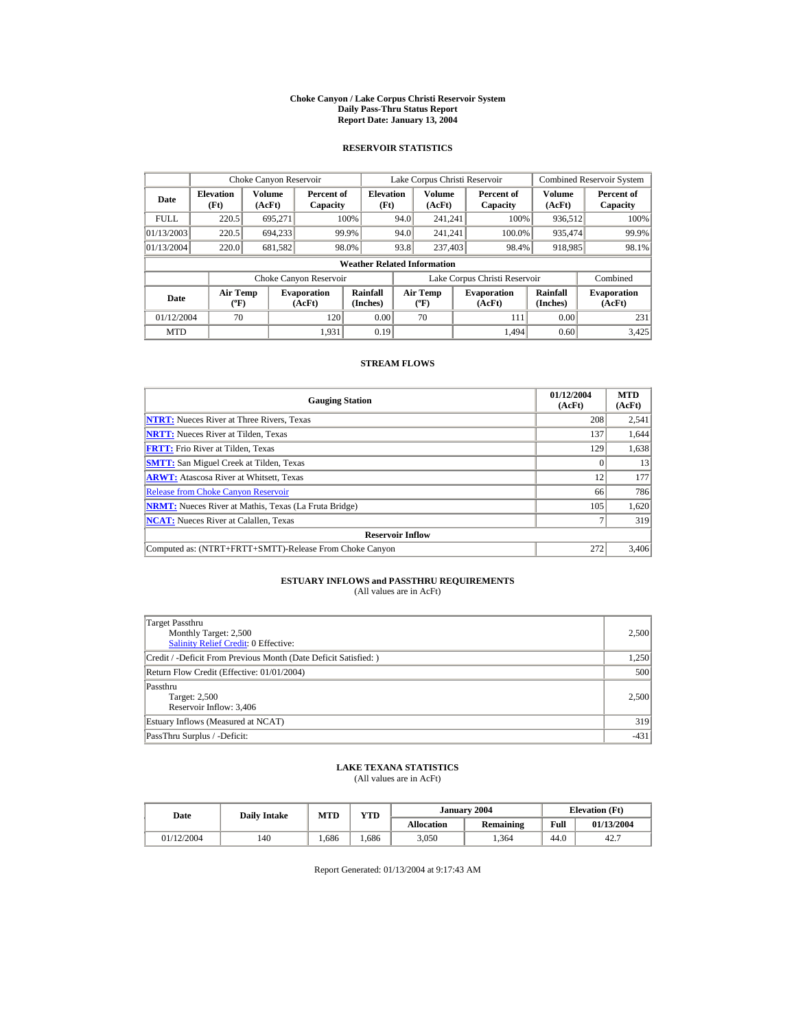#### **Choke Canyon / Lake Corpus Christi Reservoir System Daily Pass-Thru Status Report Report Date: January 13, 2004**

## **RESERVOIR STATISTICS**

|             | Choke Canyon Reservoir                      |                  |                              |                          | Lake Corpus Christi Reservoir |                                  |  |                               |                      | Combined Reservoir System    |  |  |
|-------------|---------------------------------------------|------------------|------------------------------|--------------------------|-------------------------------|----------------------------------|--|-------------------------------|----------------------|------------------------------|--|--|
| Date        | <b>Elevation</b><br>(Ft)                    | Volume<br>(AcFt) | Percent of<br>Capacity       | <b>Elevation</b><br>(Ft) |                               | Volume<br>(AcFt)                 |  | Percent of<br>Capacity        | Volume<br>(AcFt)     | Percent of<br>Capacity       |  |  |
| <b>FULL</b> | 220.5                                       | 695.271          |                              | 100%                     | 94.0                          | 241.241                          |  | 100%                          | 936,512              | 100%                         |  |  |
| 01/13/2003  | 220.5                                       | 694.233          |                              | 99.9%                    | 94.0                          | 241.241                          |  | 100.0%                        | 935,474              | 99.9%                        |  |  |
| 01/13/2004  | 220.0                                       | 681,582          |                              | 98.0%                    | 93.8                          | 237,403                          |  | 98.4%                         | 918,985              | 98.1%                        |  |  |
|             | <b>Weather Related Information</b>          |                  |                              |                          |                               |                                  |  |                               |                      |                              |  |  |
|             |                                             |                  | Choke Canyon Reservoir       |                          |                               |                                  |  | Lake Corpus Christi Reservoir |                      | Combined                     |  |  |
| Date        | <b>Air Temp</b><br>$({}^{\circ}\mathrm{F})$ |                  | <b>Evaporation</b><br>(AcFt) | Rainfall<br>(Inches)     |                               | <b>Air Temp</b><br>$(^{\circ}F)$ |  | <b>Evaporation</b><br>(AcFt)  | Rainfall<br>(Inches) | <b>Evaporation</b><br>(AcFt) |  |  |
| 01/12/2004  | 70                                          |                  | 120                          | 0.00                     |                               | 70                               |  | 111                           | 0.00                 | 231                          |  |  |
| <b>MTD</b>  |                                             |                  | 1.931                        | 0.19                     |                               |                                  |  | 1.494                         | 0.60                 | 3,425                        |  |  |

### **STREAM FLOWS**

| <b>Gauging Station</b>                                       | 01/12/2004<br>(AcFt) | <b>MTD</b><br>(AcFt) |
|--------------------------------------------------------------|----------------------|----------------------|
| <b>NTRT:</b> Nueces River at Three Rivers, Texas             | 208                  | 2,541                |
| <b>NRTT:</b> Nueces River at Tilden, Texas                   | 137                  | 1,644                |
| <b>FRTT:</b> Frio River at Tilden, Texas                     | 129                  | 1,638                |
| <b>SMTT:</b> San Miguel Creek at Tilden, Texas               |                      | 13                   |
| <b>ARWT:</b> Atascosa River at Whitsett, Texas               | 12                   | 177                  |
| <b>Release from Choke Canyon Reservoir</b>                   | 66                   | 786                  |
| <b>NRMT:</b> Nueces River at Mathis, Texas (La Fruta Bridge) | 105                  | 1,620                |
| <b>NCAT:</b> Nueces River at Calallen, Texas                 |                      | 319                  |
| <b>Reservoir Inflow</b>                                      |                      |                      |
| Computed as: (NTRT+FRTT+SMTT)-Release From Choke Canyon      | 272                  | 3,406                |

# **ESTUARY INFLOWS and PASSTHRU REQUIREMENTS**<br>(All values are in AcFt)

| Target Passthru<br>Monthly Target: 2,500<br><b>Salinity Relief Credit: 0 Effective:</b> | 2,500  |
|-----------------------------------------------------------------------------------------|--------|
| Credit / -Deficit From Previous Month (Date Deficit Satisfied:)                         | 1,250  |
| Return Flow Credit (Effective: 01/01/2004)                                              | 500    |
| Passthru<br>Target: 2,500<br>Reservoir Inflow: 3,406                                    | 2,500  |
| Estuary Inflows (Measured at NCAT)                                                      | 319    |
| PassThru Surplus / -Deficit:                                                            | $-431$ |

## **LAKE TEXANA STATISTICS**

(All values are in AcFt)

| Date       | <b>Daily Intake</b> | VTD<br><b>MTD</b> |      |                   | January 2004 | <b>Elevation</b> (Ft) |            |
|------------|---------------------|-------------------|------|-------------------|--------------|-----------------------|------------|
|            |                     |                   |      | <b>Allocation</b> | Remaining    | Full                  | 01/13/2004 |
| 01/12/2004 | 140                 | .686              | .686 | 3,050             | .364         | 44.0                  | 42.7       |

Report Generated: 01/13/2004 at 9:17:43 AM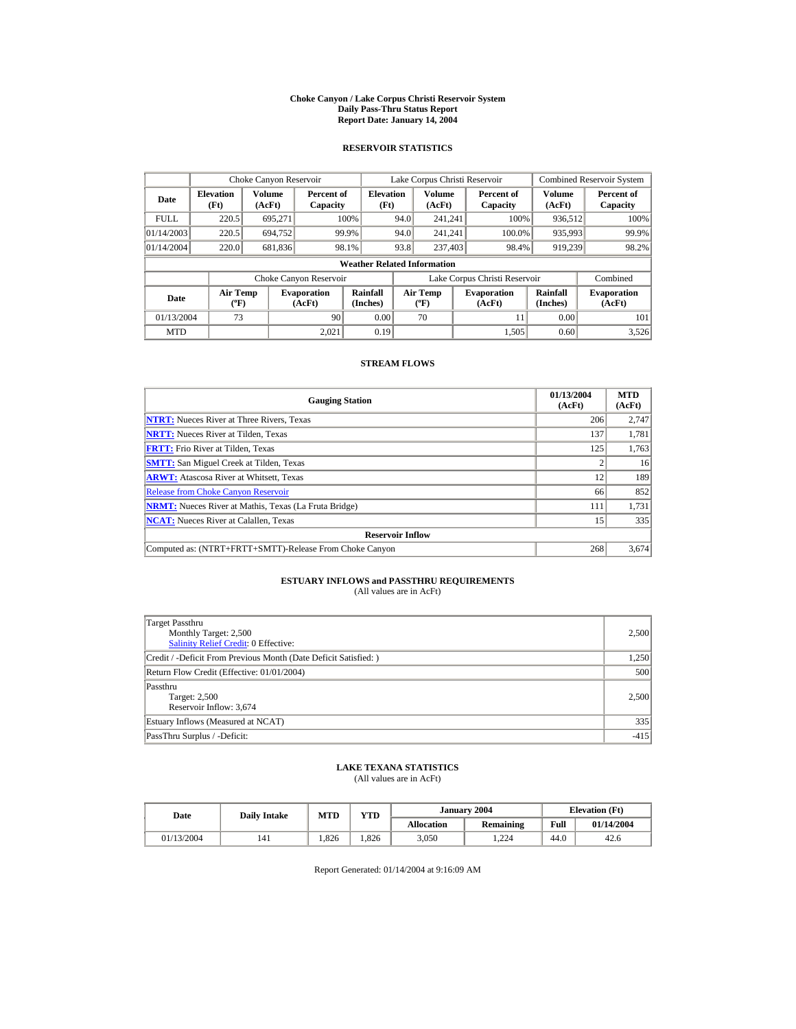#### **Choke Canyon / Lake Corpus Christi Reservoir System Daily Pass-Thru Status Report Report Date: January 14, 2004**

## **RESERVOIR STATISTICS**

|             | Choke Canyon Reservoir                      |                  |                              |                          | Lake Corpus Christi Reservoir |                                           |  |                               |                      | Combined Reservoir System    |  |  |
|-------------|---------------------------------------------|------------------|------------------------------|--------------------------|-------------------------------|-------------------------------------------|--|-------------------------------|----------------------|------------------------------|--|--|
| Date        | <b>Elevation</b><br>(Ft)                    | Volume<br>(AcFt) | Percent of<br>Capacity       | <b>Elevation</b><br>(Ft) |                               | Volume<br>(AcFt)                          |  | Percent of<br>Capacity        | Volume<br>(AcFt)     | Percent of<br>Capacity       |  |  |
| <b>FULL</b> | 220.5                                       | 695.271          |                              | 100%                     | 94.0                          | 241.241                                   |  | 100%                          | 936,512              | 100%                         |  |  |
| 01/14/2003  | 220.5                                       | 694.752          |                              | 99.9%                    | 94.0                          | 241.241                                   |  | 100.0%                        | 935,993              | 99.9%                        |  |  |
| 01/14/2004  | 220.0                                       | 681,836          |                              | 98.1%                    | 93.8                          | 237,403                                   |  | 98.4%                         | 919.239              | 98.2%                        |  |  |
|             | <b>Weather Related Information</b>          |                  |                              |                          |                               |                                           |  |                               |                      |                              |  |  |
|             |                                             |                  | Choke Canyon Reservoir       |                          |                               |                                           |  | Lake Corpus Christi Reservoir |                      | Combined                     |  |  |
| Date        | <b>Air Temp</b><br>$({}^{\circ}\mathrm{F})$ |                  | <b>Evaporation</b><br>(AcFt) | Rainfall<br>(Inches)     |                               | <b>Air Temp</b><br>$({}^{\circ}\text{F})$ |  | <b>Evaporation</b><br>(AcFt)  | Rainfall<br>(Inches) | <b>Evaporation</b><br>(AcFt) |  |  |
| 01/13/2004  | 73                                          |                  | 90                           | 0.00                     |                               | 70                                        |  | 11                            | 0.00                 | 101                          |  |  |
| <b>MTD</b>  |                                             |                  | 2.021                        | 0.19                     |                               |                                           |  | 1,505                         | 0.60                 | 3,526                        |  |  |

### **STREAM FLOWS**

| <b>Gauging Station</b>                                       | 01/13/2004<br>(AcFt) | <b>MTD</b><br>(AcFt) |
|--------------------------------------------------------------|----------------------|----------------------|
| <b>NTRT:</b> Nueces River at Three Rivers, Texas             | 206                  | 2,747                |
| <b>NRTT:</b> Nueces River at Tilden, Texas                   | 137                  | 1,781                |
| <b>FRTT:</b> Frio River at Tilden. Texas                     | 125                  | 1,763                |
| <b>SMTT:</b> San Miguel Creek at Tilden, Texas               |                      | 16                   |
| <b>ARWT:</b> Atascosa River at Whitsett, Texas               | 12                   | 189                  |
| <b>Release from Choke Canyon Reservoir</b>                   | 66                   | 852                  |
| <b>NRMT:</b> Nueces River at Mathis, Texas (La Fruta Bridge) | 111                  | 1,731                |
| <b>NCAT:</b> Nueces River at Calallen, Texas                 | 15                   | 335                  |
| <b>Reservoir Inflow</b>                                      |                      |                      |
| Computed as: (NTRT+FRTT+SMTT)-Release From Choke Canyon      | 268                  | 3,674                |

# **ESTUARY INFLOWS and PASSTHRU REQUIREMENTS**<br>(All values are in AcFt)

| Target Passthru<br>Monthly Target: 2,500<br>Salinity Relief Credit: 0 Effective: | 2,500  |
|----------------------------------------------------------------------------------|--------|
| Credit / -Deficit From Previous Month (Date Deficit Satisfied:)                  | 1,250  |
| Return Flow Credit (Effective: 01/01/2004)                                       | 500    |
| Passthru<br>Target: 2,500<br>Reservoir Inflow: 3,674                             | 2,500  |
| Estuary Inflows (Measured at NCAT)                                               | 335    |
| PassThru Surplus / -Deficit:                                                     | $-415$ |

## **LAKE TEXANA STATISTICS**

(All values are in AcFt)

| Date       | <b>Daily Intake</b> | <b>MTD</b> | <b>VTD</b> |                   | January 2004 | <b>Elevation</b> (Ft) |            |
|------------|---------------------|------------|------------|-------------------|--------------|-----------------------|------------|
|            |                     |            |            | <b>Allocation</b> | Remaining    | Full                  | 01/14/2004 |
| 01/13/2004 | 141                 | .826       | .826       | 3,050             | . 224        | 44.0                  | 42.6       |

Report Generated: 01/14/2004 at 9:16:09 AM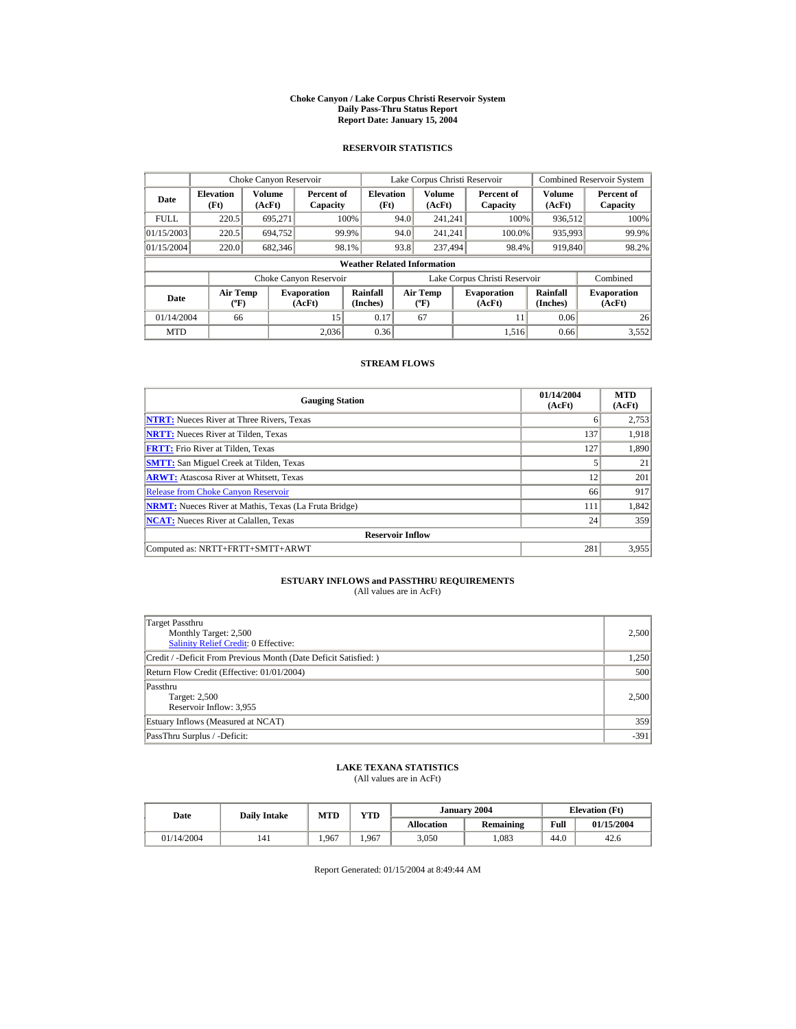#### **Choke Canyon / Lake Corpus Christi Reservoir System Daily Pass-Thru Status Report Report Date: January 15, 2004**

## **RESERVOIR STATISTICS**

|             | Choke Canyon Reservoir                      |                  |                              |                          | Lake Corpus Christi Reservoir |                                           |  |                               |                      | Combined Reservoir System    |  |  |
|-------------|---------------------------------------------|------------------|------------------------------|--------------------------|-------------------------------|-------------------------------------------|--|-------------------------------|----------------------|------------------------------|--|--|
| Date        | <b>Elevation</b><br>(Ft)                    | Volume<br>(AcFt) | Percent of<br>Capacity       | <b>Elevation</b><br>(Ft) |                               | Volume<br>(AcFt)                          |  | Percent of<br>Capacity        | Volume<br>(AcFt)     | Percent of<br>Capacity       |  |  |
| <b>FULL</b> | 220.5                                       | 695.271          |                              | 100%                     | 94.0                          | 241.241                                   |  | 100%                          | 936,512              | 100%                         |  |  |
| 01/15/2003  | 220.5                                       | 694.752          |                              | 99.9%                    | 94.0                          | 241.241                                   |  | 100.0%                        | 935,993              | 99.9%                        |  |  |
| 01/15/2004  | 220.0                                       | 682,346          |                              | 98.1%                    | 93.8                          | 237,494                                   |  | 98.4%                         | 919,840              | 98.2%                        |  |  |
|             | <b>Weather Related Information</b>          |                  |                              |                          |                               |                                           |  |                               |                      |                              |  |  |
|             |                                             |                  | Choke Canyon Reservoir       |                          |                               |                                           |  | Lake Corpus Christi Reservoir |                      | Combined                     |  |  |
| Date        | <b>Air Temp</b><br>$({}^{\circ}\mathrm{F})$ |                  | <b>Evaporation</b><br>(AcFt) | Rainfall<br>(Inches)     |                               | <b>Air Temp</b><br>$({}^{\circ}\text{F})$ |  | <b>Evaporation</b><br>(AcFt)  | Rainfall<br>(Inches) | <b>Evaporation</b><br>(AcFt) |  |  |
| 01/14/2004  | 66                                          |                  | 15                           | 0.17                     |                               | 67                                        |  | 11                            | 0.06                 | 26                           |  |  |
| <b>MTD</b>  |                                             |                  | 2.036                        | 0.36                     |                               |                                           |  | 1.516                         | 0.66                 | 3,552                        |  |  |

### **STREAM FLOWS**

| <b>Gauging Station</b>                                       | 01/14/2004<br>(AcFt) | <b>MTD</b><br>(AcFt) |
|--------------------------------------------------------------|----------------------|----------------------|
| <b>NTRT:</b> Nueces River at Three Rivers, Texas             | 6                    | 2,753                |
| <b>NRTT:</b> Nueces River at Tilden, Texas                   | 137                  | 1.918                |
| <b>FRTT:</b> Frio River at Tilden, Texas                     | 127                  | 1,890                |
| <b>SMTT:</b> San Miguel Creek at Tilden, Texas               |                      | 21                   |
| <b>ARWT:</b> Atascosa River at Whitsett, Texas               | 12                   | 201                  |
| <b>Release from Choke Canyon Reservoir</b>                   | 66                   | 917                  |
| <b>NRMT:</b> Nueces River at Mathis, Texas (La Fruta Bridge) | 111                  | 1,842                |
| <b>NCAT:</b> Nueces River at Calallen, Texas                 | 24                   | 359                  |
| <b>Reservoir Inflow</b>                                      |                      |                      |
| Computed as: NRTT+FRTT+SMTT+ARWT                             | 281                  | 3,955                |

# **ESTUARY INFLOWS and PASSTHRU REQUIREMENTS**<br>(All values are in AcFt)

| <b>Target Passthru</b><br>Monthly Target: 2,500<br><b>Salinity Relief Credit: 0 Effective:</b> | 2,500  |
|------------------------------------------------------------------------------------------------|--------|
| Credit / -Deficit From Previous Month (Date Deficit Satisfied:)                                | 1,250  |
| Return Flow Credit (Effective: 01/01/2004)                                                     | 500    |
| Passthru<br>Target: 2,500<br>Reservoir Inflow: 3,955                                           | 2,500  |
| Estuary Inflows (Measured at NCAT)                                                             | 359    |
| PassThru Surplus / -Deficit:                                                                   | $-391$ |

## **LAKE TEXANA STATISTICS**

(All values are in AcFt)

| Date       | <b>Daily Intake</b> | <b>MTD</b> | <b>VTD</b> |                   | January 2004 | <b>Elevation</b> (Ft) |            |
|------------|---------------------|------------|------------|-------------------|--------------|-----------------------|------------|
|            |                     |            |            | <b>Allocation</b> | Remaining    | Full                  | 01/15/2004 |
| 01/14/2004 | 141                 | .967       | .967       | 3,050             | ,083         | 44.0                  | 42.6       |

Report Generated: 01/15/2004 at 8:49:44 AM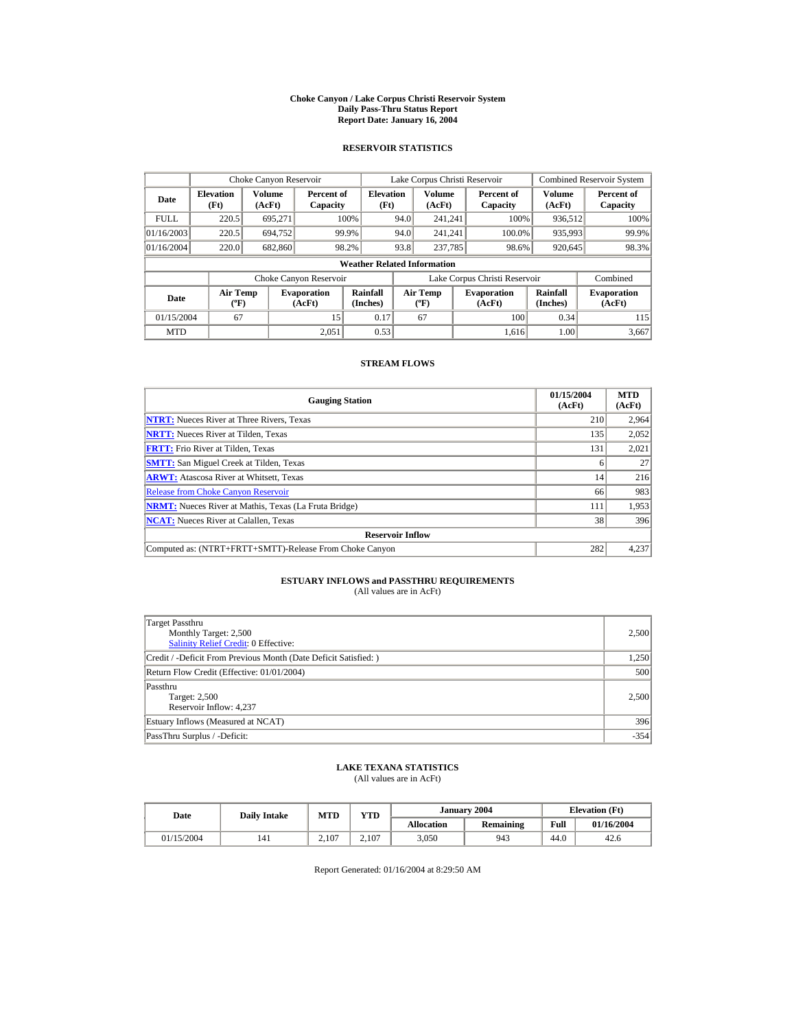#### **Choke Canyon / Lake Corpus Christi Reservoir System Daily Pass-Thru Status Report Report Date: January 16, 2004**

## **RESERVOIR STATISTICS**

|             | Choke Canyon Reservoir                      |                  |                              |                                    |      | Lake Corpus Christi Reservoir    |                               |                      | <b>Combined Reservoir System</b> |
|-------------|---------------------------------------------|------------------|------------------------------|------------------------------------|------|----------------------------------|-------------------------------|----------------------|----------------------------------|
| Date        | <b>Elevation</b><br>(Ft)                    | Volume<br>(AcFt) | Percent of<br>Capacity       | <b>Elevation</b><br>(Ft)           |      | Volume<br>(AcFt)                 | Percent of<br>Capacity        | Volume<br>(AcFt)     | Percent of<br>Capacity           |
| <b>FULL</b> | 220.5                                       | 695.271          |                              | 100%                               | 94.0 | 241.241                          | 100%                          | 936,512              | 100%                             |
| 01/16/2003  | 220.5                                       | 694.752          |                              | 99.9%                              | 94.0 | 241.241                          | 100.0%                        | 935,993              | 99.9%                            |
| 01/16/2004  | 220.0                                       | 682,860          |                              | 98.2%                              | 93.8 | 237,785                          | 98.6%                         | 920.645              | 98.3%                            |
|             |                                             |                  |                              | <b>Weather Related Information</b> |      |                                  |                               |                      |                                  |
|             |                                             |                  | Choke Canyon Reservoir       |                                    |      |                                  | Lake Corpus Christi Reservoir |                      | Combined                         |
| Date        | <b>Air Temp</b><br>$({}^{\circ}\mathrm{F})$ |                  | <b>Evaporation</b><br>(AcFt) | Rainfall<br>(Inches)               |      | <b>Air Temp</b><br>$(^{\circ}F)$ | <b>Evaporation</b><br>(AcFt)  | Rainfall<br>(Inches) | <b>Evaporation</b><br>(AcFt)     |
| 01/15/2004  | 67                                          |                  | 15                           | 0.17                               |      | 67                               | 100                           | 0.34                 | 115                              |
| <b>MTD</b>  |                                             |                  | 2.051                        | 0.53                               |      |                                  | 1.616                         | 1.00                 | 3,667                            |

### **STREAM FLOWS**

| <b>Gauging Station</b>                                       | 01/15/2004<br>(AcFt) | <b>MTD</b><br>(AcFt) |
|--------------------------------------------------------------|----------------------|----------------------|
| <b>NTRT:</b> Nueces River at Three Rivers, Texas             | 210                  | 2,964                |
| <b>NRTT:</b> Nueces River at Tilden, Texas                   | 135                  | 2,052                |
| <b>FRTT:</b> Frio River at Tilden, Texas                     | 131                  | 2,021                |
| <b>SMTT:</b> San Miguel Creek at Tilden, Texas               |                      | 27                   |
| <b>ARWT:</b> Atascosa River at Whitsett, Texas               | 14                   | 216                  |
| <b>Release from Choke Canyon Reservoir</b>                   | 66                   | 983                  |
| <b>NRMT:</b> Nueces River at Mathis, Texas (La Fruta Bridge) | 111                  | 1,953                |
| <b>NCAT:</b> Nueces River at Calallen, Texas                 | 38                   | 396                  |
| <b>Reservoir Inflow</b>                                      |                      |                      |
| Computed as: (NTRT+FRTT+SMTT)-Release From Choke Canyon      | 282                  | 4,237                |

# **ESTUARY INFLOWS and PASSTHRU REQUIREMENTS**<br>(All values are in AcFt)

| Target Passthru<br>Monthly Target: 2,500<br>Salinity Relief Credit: 0 Effective: | 2,500  |
|----------------------------------------------------------------------------------|--------|
| Credit / -Deficit From Previous Month (Date Deficit Satisfied:)                  | 1,250  |
| Return Flow Credit (Effective: 01/01/2004)                                       | 500    |
| Passthru<br>Target: 2,500<br>Reservoir Inflow: 4,237                             | 2,500  |
| Estuary Inflows (Measured at NCAT)                                               | 396    |
| PassThru Surplus / -Deficit:                                                     | $-354$ |

## **LAKE TEXANA STATISTICS**

(All values are in AcFt)

| Date       | <b>Daily Intake</b> | <b>MTD</b> | <b>VTD</b> |                   | January 2004 | <b>Elevation</b> (Ft) |            |
|------------|---------------------|------------|------------|-------------------|--------------|-----------------------|------------|
|            |                     |            |            | <b>Allocation</b> | Remaining    | Full                  | 01/16/2004 |
| 01/15/2004 | 141                 | 2.107      | 2.107      | 3,050             | 943          | 44.0                  | 42.6       |

Report Generated: 01/16/2004 at 8:29:50 AM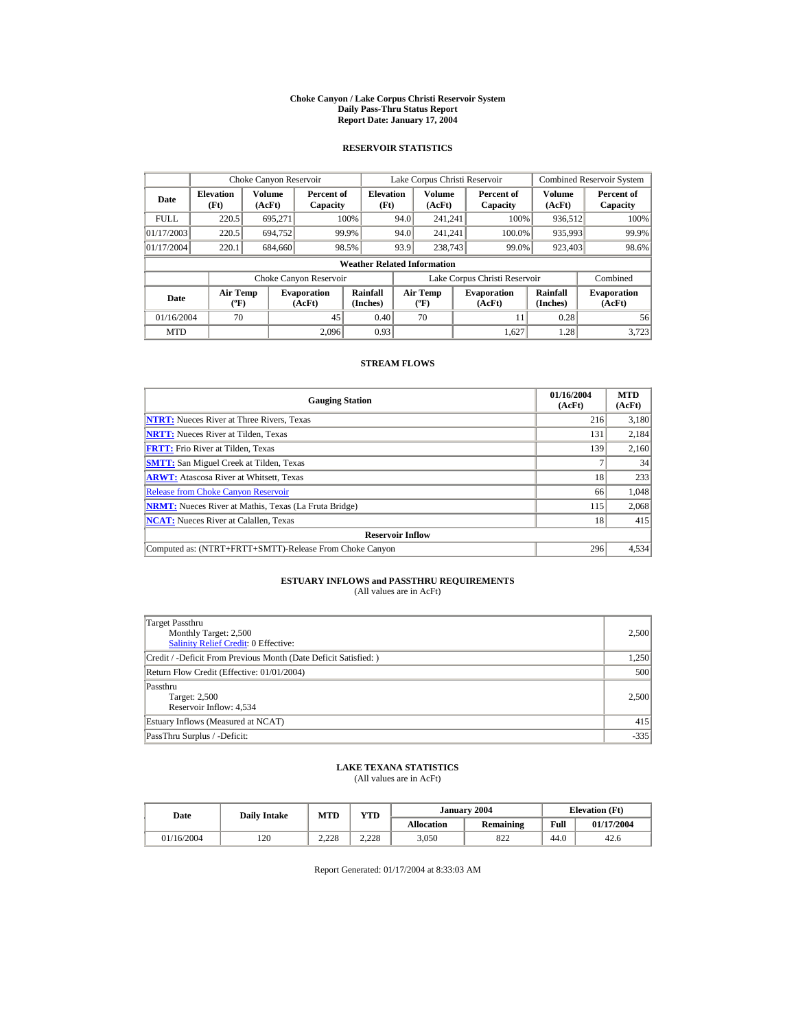#### **Choke Canyon / Lake Corpus Christi Reservoir System Daily Pass-Thru Status Report Report Date: January 17, 2004**

## **RESERVOIR STATISTICS**

|             | Choke Canyon Reservoir                      |                  |                              |                          |      | Lake Corpus Christi Reservoir    |  |                               |                      | Combined Reservoir System    |  |  |
|-------------|---------------------------------------------|------------------|------------------------------|--------------------------|------|----------------------------------|--|-------------------------------|----------------------|------------------------------|--|--|
| Date        | <b>Elevation</b><br>(Ft)                    | Volume<br>(AcFt) | Percent of<br>Capacity       | <b>Elevation</b><br>(Ft) |      | Volume<br>(AcFt)                 |  | Percent of<br>Capacity        | Volume<br>(AcFt)     | Percent of<br>Capacity       |  |  |
| <b>FULL</b> | 220.5                                       | 695.271          |                              | 100%                     | 94.0 | 241.241                          |  | 100%                          | 936,512              | 100%                         |  |  |
| 01/17/2003  | 220.5                                       | 694.752          |                              | 99.9%                    | 94.0 | 241.241                          |  | 100.0%                        | 935,993              | 99.9%                        |  |  |
| 01/17/2004  | 220.1                                       | 684.660          |                              | 98.5%                    | 93.9 | 238,743                          |  | 99.0%                         | 923,403              | 98.6%                        |  |  |
|             | <b>Weather Related Information</b>          |                  |                              |                          |      |                                  |  |                               |                      |                              |  |  |
|             |                                             |                  | Choke Canyon Reservoir       |                          |      |                                  |  | Lake Corpus Christi Reservoir |                      | Combined                     |  |  |
| Date        | <b>Air Temp</b><br>$({}^{\circ}\mathrm{F})$ |                  | <b>Evaporation</b><br>(AcFt) | Rainfall<br>(Inches)     |      | <b>Air Temp</b><br>$(^{\circ}F)$ |  | <b>Evaporation</b><br>(AcFt)  | Rainfall<br>(Inches) | <b>Evaporation</b><br>(AcFt) |  |  |
| 01/16/2004  | 70                                          |                  | 45                           | 0.40                     |      | 70                               |  | 11                            | 0.28                 | 56                           |  |  |
| <b>MTD</b>  |                                             |                  | 2.096                        | 0.93                     |      |                                  |  | 1.627                         | 1.28                 | 3.723                        |  |  |

### **STREAM FLOWS**

| <b>Gauging Station</b>                                       | 01/16/2004<br>(AcFt) | <b>MTD</b><br>(AcFt) |
|--------------------------------------------------------------|----------------------|----------------------|
| <b>NTRT:</b> Nueces River at Three Rivers, Texas             | 216                  | 3,180                |
| <b>NRTT:</b> Nueces River at Tilden, Texas                   | 131                  | 2,184                |
| <b>FRTT:</b> Frio River at Tilden, Texas                     | 139                  | 2,160                |
| <b>SMTT:</b> San Miguel Creek at Tilden, Texas               |                      | 34                   |
| <b>ARWT:</b> Atascosa River at Whitsett, Texas               | 18                   | 233                  |
| <b>Release from Choke Canyon Reservoir</b>                   | 66                   | 1,048                |
| <b>NRMT:</b> Nueces River at Mathis, Texas (La Fruta Bridge) | 115                  | 2,068                |
| <b>NCAT:</b> Nueces River at Calallen, Texas                 | 18                   | 415                  |
| <b>Reservoir Inflow</b>                                      |                      |                      |
| Computed as: (NTRT+FRTT+SMTT)-Release From Choke Canyon      | 296                  | 4,534                |

# **ESTUARY INFLOWS and PASSTHRU REQUIREMENTS**<br>(All values are in AcFt)

| Target Passthru<br>Monthly Target: 2,500<br><b>Salinity Relief Credit: 0 Effective:</b> | 2,500  |
|-----------------------------------------------------------------------------------------|--------|
| Credit / -Deficit From Previous Month (Date Deficit Satisfied:)                         | 1,250  |
| Return Flow Credit (Effective: 01/01/2004)                                              | 500    |
| Passthru<br>Target: 2,500<br>Reservoir Inflow: 4,534                                    | 2,500  |
| Estuary Inflows (Measured at NCAT)                                                      | 415    |
| PassThru Surplus / -Deficit:                                                            | $-335$ |

## **LAKE TEXANA STATISTICS**

(All values are in AcFt)

| Date       |     | YTD<br><b>MTD</b><br><b>Daily Intake</b> |       |                   | January 2004 | <b>Elevation</b> (Ft) |            |
|------------|-----|------------------------------------------|-------|-------------------|--------------|-----------------------|------------|
|            |     |                                          |       | <b>Allocation</b> | Remaining    | Full                  | 01/17/2004 |
| 01/16/2004 | 120 | 2.228                                    | 2.228 | 3,050             | 822          | 44.0                  | 42.6       |

Report Generated: 01/17/2004 at 8:33:03 AM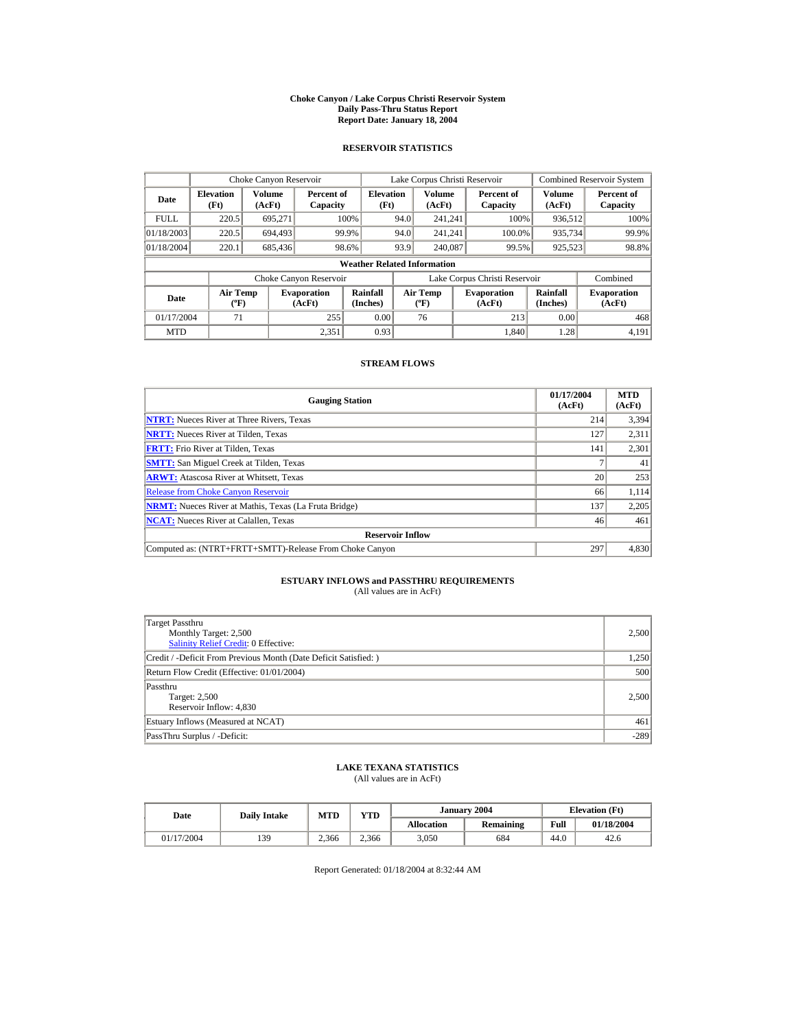#### **Choke Canyon / Lake Corpus Christi Reservoir System Daily Pass-Thru Status Report Report Date: January 18, 2004**

## **RESERVOIR STATISTICS**

|             | Choke Canyon Reservoir                      |                  |                              |                          |      | Lake Corpus Christi Reservoir               |  |                               |                      | Combined Reservoir System    |  |  |  |
|-------------|---------------------------------------------|------------------|------------------------------|--------------------------|------|---------------------------------------------|--|-------------------------------|----------------------|------------------------------|--|--|--|
| Date        | <b>Elevation</b><br>(Ft)                    | Volume<br>(AcFt) | Percent of<br>Capacity       | <b>Elevation</b><br>(Ft) |      | Volume<br>(AcFt)                            |  | Percent of<br>Capacity        | Volume<br>(AcFt)     | Percent of<br>Capacity       |  |  |  |
| <b>FULL</b> | 220.5                                       | 695.271          |                              | 100%                     | 94.0 | 241.241                                     |  | 100%                          | 936,512              | 100%                         |  |  |  |
| 01/18/2003  | 220.5                                       | 694.493          |                              | 99.9%                    | 94.0 | 241.241                                     |  | 100.0%                        | 935,734              | 99.9%                        |  |  |  |
| 01/18/2004  | 220.1                                       | 685,436          |                              | 98.6%                    | 93.9 | 240,087                                     |  | 99.5%                         | 925,523              | 98.8%                        |  |  |  |
|             | <b>Weather Related Information</b>          |                  |                              |                          |      |                                             |  |                               |                      |                              |  |  |  |
|             |                                             |                  | Choke Canyon Reservoir       |                          |      |                                             |  | Lake Corpus Christi Reservoir |                      | Combined                     |  |  |  |
| Date        | <b>Air Temp</b><br>$({}^{\circ}\mathrm{F})$ |                  | <b>Evaporation</b><br>(AcFt) | Rainfall<br>(Inches)     |      | <b>Air Temp</b><br>$({}^{\circ}\mathbf{F})$ |  | <b>Evaporation</b><br>(AcFt)  | Rainfall<br>(Inches) | <b>Evaporation</b><br>(AcFt) |  |  |  |
| 01/17/2004  | 71                                          |                  | 255                          | 0.00                     |      | 76                                          |  | 213                           | 0.00                 | 468                          |  |  |  |
| <b>MTD</b>  |                                             |                  | 2.351                        | 0.93                     |      |                                             |  | 1.840                         | 1.28                 | 4.191                        |  |  |  |

### **STREAM FLOWS**

| <b>Gauging Station</b>                                       | 01/17/2004<br>(AcFt) | <b>MTD</b><br>(AcFt) |
|--------------------------------------------------------------|----------------------|----------------------|
| <b>NTRT:</b> Nueces River at Three Rivers, Texas             | 214                  | 3,394                |
| <b>NRTT:</b> Nueces River at Tilden, Texas                   | 127                  | 2,311                |
| <b>FRTT:</b> Frio River at Tilden, Texas                     | 141                  | 2,301                |
| <b>SMTT:</b> San Miguel Creek at Tilden, Texas               |                      | 41                   |
| <b>ARWT:</b> Atascosa River at Whitsett, Texas               | 20                   | 253                  |
| <b>Release from Choke Canyon Reservoir</b>                   | 66                   | 1,114                |
| <b>NRMT:</b> Nueces River at Mathis, Texas (La Fruta Bridge) | 137                  | 2,205                |
| <b>NCAT:</b> Nueces River at Calallen, Texas                 | 46                   | 461                  |
| <b>Reservoir Inflow</b>                                      |                      |                      |
| Computed as: (NTRT+FRTT+SMTT)-Release From Choke Canyon      | 297                  | 4,830                |

# **ESTUARY INFLOWS and PASSTHRU REQUIREMENTS**<br>(All values are in AcFt)

| Target Passthru<br>Monthly Target: 2,500<br><b>Salinity Relief Credit: 0 Effective:</b> | 2,500  |
|-----------------------------------------------------------------------------------------|--------|
| Credit / -Deficit From Previous Month (Date Deficit Satisfied:)                         | 1,250  |
| Return Flow Credit (Effective: 01/01/2004)                                              | 500    |
| Passthru<br>Target: 2,500<br>Reservoir Inflow: 4,830                                    | 2,500  |
| Estuary Inflows (Measured at NCAT)                                                      | 461    |
| PassThru Surplus / -Deficit:                                                            | $-289$ |

## **LAKE TEXANA STATISTICS**

(All values are in AcFt)

| Date       |     | <b>VTD</b><br><b>MTD</b><br><b>Daily Intake</b> |       | January 2004      | <b>Elevation</b> (Ft) |      |            |
|------------|-----|-------------------------------------------------|-------|-------------------|-----------------------|------|------------|
|            |     |                                                 |       | <b>Allocation</b> | Remaining             | Full | 01/18/2004 |
| 01/17/2004 | 139 | 2.366                                           | 2.366 | 3,050             | 684                   | 44.0 | 42.6       |

Report Generated: 01/18/2004 at 8:32:44 AM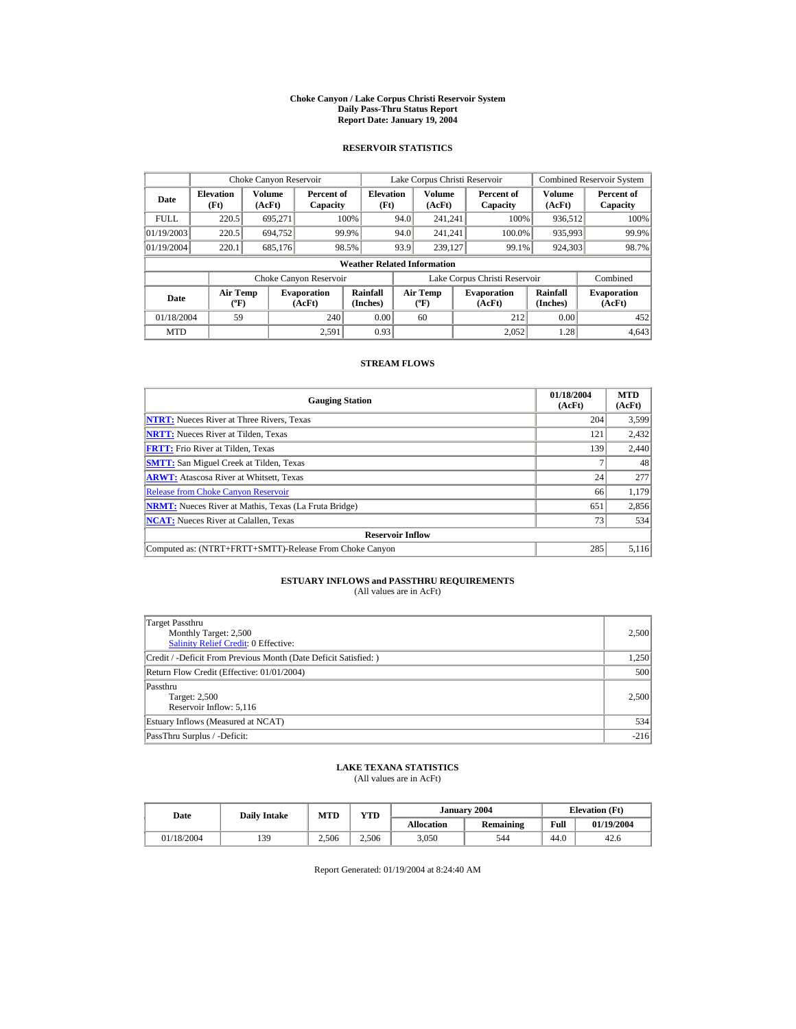#### **Choke Canyon / Lake Corpus Christi Reservoir System Daily Pass-Thru Status Report Report Date: January 19, 2004**

## **RESERVOIR STATISTICS**

|             | Choke Canyon Reservoir                      |                  |                              |                          | Lake Corpus Christi Reservoir |                                             |  |                               | Combined Reservoir System |                              |  |  |
|-------------|---------------------------------------------|------------------|------------------------------|--------------------------|-------------------------------|---------------------------------------------|--|-------------------------------|---------------------------|------------------------------|--|--|
| Date        | <b>Elevation</b><br>(Ft)                    | Volume<br>(AcFt) | Percent of<br>Capacity       | <b>Elevation</b><br>(Ft) |                               | Volume<br>(AcFt)                            |  | Percent of<br>Capacity        | Volume<br>(AcFt)          | Percent of<br>Capacity       |  |  |
| <b>FULL</b> | 220.5                                       | 695.271          |                              | 100%                     | 94.0                          | 241.241                                     |  | 100%                          | 936,512                   | 100%                         |  |  |
| 01/19/2003  | 220.5                                       | 694.752          |                              | 99.9%                    | 94.0                          | 241.241                                     |  | 100.0%                        | 935,993                   | 99.9%                        |  |  |
| 01/19/2004  | 220.1                                       | 685,176          |                              | 98.5%                    | 93.9                          | 239,127                                     |  | 99.1%                         | 924,303                   | 98.7%                        |  |  |
|             | <b>Weather Related Information</b>          |                  |                              |                          |                               |                                             |  |                               |                           |                              |  |  |
|             |                                             |                  | Choke Canyon Reservoir       |                          |                               |                                             |  | Lake Corpus Christi Reservoir |                           | Combined                     |  |  |
| Date        | <b>Air Temp</b><br>$({}^{\circ}\mathrm{F})$ |                  | <b>Evaporation</b><br>(AcFt) | Rainfall<br>(Inches)     |                               | <b>Air Temp</b><br>$({}^{\circ}\mathbf{F})$ |  | <b>Evaporation</b><br>(AcFt)  | Rainfall<br>(Inches)      | <b>Evaporation</b><br>(AcFt) |  |  |
| 01/18/2004  | 59                                          |                  | 240                          | 0.00                     |                               | 60                                          |  | 212                           | 0.00                      | 452                          |  |  |
| <b>MTD</b>  |                                             |                  | 2.591                        | 0.93                     |                               |                                             |  | 2.052                         | 1.28                      | 4,643                        |  |  |

### **STREAM FLOWS**

| <b>Gauging Station</b>                                       | 01/18/2004<br>(AcFt) | <b>MTD</b><br>(AcFt) |
|--------------------------------------------------------------|----------------------|----------------------|
| <b>NTRT:</b> Nueces River at Three Rivers, Texas             | 204                  | 3,599                |
| <b>NRTT:</b> Nueces River at Tilden, Texas                   | 121                  | 2,432                |
| <b>FRTT:</b> Frio River at Tilden, Texas                     | 139                  | 2,440                |
| <b>SMTT:</b> San Miguel Creek at Tilden, Texas               |                      | 48                   |
| <b>ARWT:</b> Atascosa River at Whitsett, Texas               | 24                   | 277                  |
| <b>Release from Choke Canyon Reservoir</b>                   | 66                   | 1,179                |
| <b>NRMT:</b> Nueces River at Mathis, Texas (La Fruta Bridge) | 651                  | 2,856                |
| <b>NCAT:</b> Nueces River at Calallen, Texas                 | 73                   | 534                  |
| <b>Reservoir Inflow</b>                                      |                      |                      |
| Computed as: (NTRT+FRTT+SMTT)-Release From Choke Canyon      | 285                  | 5,116                |

# **ESTUARY INFLOWS and PASSTHRU REQUIREMENTS**<br>(All values are in AcFt)

| Target Passthru<br>Monthly Target: 2,500<br>Salinity Relief Credit: 0 Effective: | 2,500  |
|----------------------------------------------------------------------------------|--------|
| Credit / -Deficit From Previous Month (Date Deficit Satisfied:)                  | 1,250  |
| Return Flow Credit (Effective: 01/01/2004)                                       | 500    |
| Passthru<br>Target: 2,500<br>Reservoir Inflow: 5,116                             | 2,500  |
| Estuary Inflows (Measured at NCAT)                                               | 534    |
| PassThru Surplus / -Deficit:                                                     | $-216$ |

## **LAKE TEXANA STATISTICS**

(All values are in AcFt)

| Date       | <b>Daily Intake</b> | <b>MTD</b> | YTD   |                   | January 2004 | <b>Elevation</b> (Ft) |            |
|------------|---------------------|------------|-------|-------------------|--------------|-----------------------|------------|
|            |                     |            |       | <b>Allocation</b> | Remaining    | Full                  | 01/19/2004 |
| 01/18/2004 | 139                 | 2.506      | 2.506 | 3.050             | 544          | 44.0                  | 42.6       |

Report Generated: 01/19/2004 at 8:24:40 AM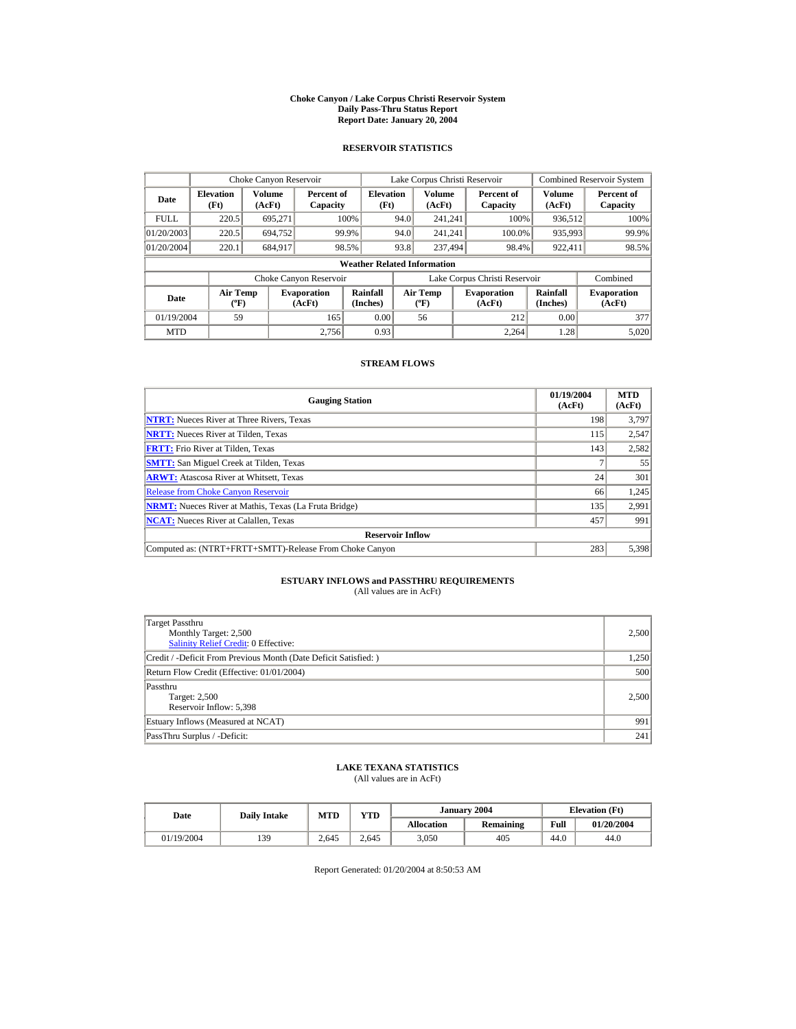#### **Choke Canyon / Lake Corpus Christi Reservoir System Daily Pass-Thru Status Report Report Date: January 20, 2004**

## **RESERVOIR STATISTICS**

|             | Choke Canyon Reservoir                      |                  |                              |                          | Lake Corpus Christi Reservoir |                                             |  |                               |                      | Combined Reservoir System    |  |  |
|-------------|---------------------------------------------|------------------|------------------------------|--------------------------|-------------------------------|---------------------------------------------|--|-------------------------------|----------------------|------------------------------|--|--|
| Date        | <b>Elevation</b><br>(Ft)                    | Volume<br>(AcFt) | Percent of<br>Capacity       | <b>Elevation</b><br>(Ft) |                               | Volume<br>(AcFt)                            |  | Percent of<br>Capacity        | Volume<br>(AcFt)     | Percent of<br>Capacity       |  |  |
| <b>FULL</b> | 220.5                                       | 695.271          |                              | 100%                     | 94.0                          | 241.241                                     |  | 100%                          | 936,512              | 100%                         |  |  |
| 01/20/2003  | 220.5                                       | 694.752          |                              | 99.9%                    | 94.0                          | 241.241                                     |  | 100.0%                        | 935,993              | 99.9%                        |  |  |
| 01/20/2004  | 220.1                                       | 684.917          |                              | 98.5%                    | 93.8                          | 237,494                                     |  | 98.4%                         | 922,411              | 98.5%                        |  |  |
|             | <b>Weather Related Information</b>          |                  |                              |                          |                               |                                             |  |                               |                      |                              |  |  |
|             |                                             |                  | Choke Canyon Reservoir       |                          |                               |                                             |  | Lake Corpus Christi Reservoir |                      | Combined                     |  |  |
| Date        | <b>Air Temp</b><br>$({}^{\circ}\mathrm{F})$ |                  | <b>Evaporation</b><br>(AcFt) | Rainfall<br>(Inches)     |                               | <b>Air Temp</b><br>$({}^{\circ}\mathbf{F})$ |  | <b>Evaporation</b><br>(AcFt)  | Rainfall<br>(Inches) | <b>Evaporation</b><br>(AcFt) |  |  |
| 01/19/2004  | 59                                          |                  | 165                          | 0.00                     |                               | 56                                          |  | 212                           | 0.00                 | 377                          |  |  |
| <b>MTD</b>  |                                             |                  | 2.756                        | 0.93                     |                               |                                             |  | 2.264                         | 1.28                 | 5,020                        |  |  |

### **STREAM FLOWS**

| <b>Gauging Station</b>                                       | 01/19/2004<br>(AcFt) | <b>MTD</b><br>(AcFt) |
|--------------------------------------------------------------|----------------------|----------------------|
| <b>NTRT:</b> Nueces River at Three Rivers, Texas             | 198                  | 3.797                |
| <b>NRTT:</b> Nueces River at Tilden, Texas                   | 115                  | 2,547                |
| <b>FRTT:</b> Frio River at Tilden, Texas                     | 143                  | 2,582                |
| <b>SMTT:</b> San Miguel Creek at Tilden, Texas               |                      | 55                   |
| <b>ARWT:</b> Atascosa River at Whitsett, Texas               | 24                   | 301                  |
| <b>Release from Choke Canyon Reservoir</b>                   | 66                   | 1,245                |
| <b>NRMT:</b> Nueces River at Mathis, Texas (La Fruta Bridge) | 135                  | 2,991                |
| <b>NCAT:</b> Nueces River at Calallen, Texas                 | 457                  | 991                  |
| <b>Reservoir Inflow</b>                                      |                      |                      |
| Computed as: (NTRT+FRTT+SMTT)-Release From Choke Canyon      | 283                  | 5,398                |

# **ESTUARY INFLOWS and PASSTHRU REQUIREMENTS**<br>(All values are in AcFt)

| Target Passthru<br>Monthly Target: 2,500<br>Salinity Relief Credit: 0 Effective: | 2,500 |
|----------------------------------------------------------------------------------|-------|
| Credit / -Deficit From Previous Month (Date Deficit Satisfied: )                 | 1,250 |
| Return Flow Credit (Effective: 01/01/2004)                                       | 500   |
| Passthru<br>Target: 2,500<br>Reservoir Inflow: 5,398                             | 2,500 |
| Estuary Inflows (Measured at NCAT)                                               | 991   |
| PassThru Surplus / -Deficit:                                                     | 241   |

## **LAKE TEXANA STATISTICS**

(All values are in AcFt)

| Date       | <b>Daily Intake</b> | <b>MTD</b> | YTD   |                   | January 2004 | <b>Elevation</b> (Ft) |            |
|------------|---------------------|------------|-------|-------------------|--------------|-----------------------|------------|
|            |                     |            |       | <b>Allocation</b> | Remaining    | Full                  | 01/20/2004 |
| 01/19/2004 | 139                 | 2.645      | 2.645 | 3.050             | 405          | 44.0                  | 44.0       |

Report Generated: 01/20/2004 at 8:50:53 AM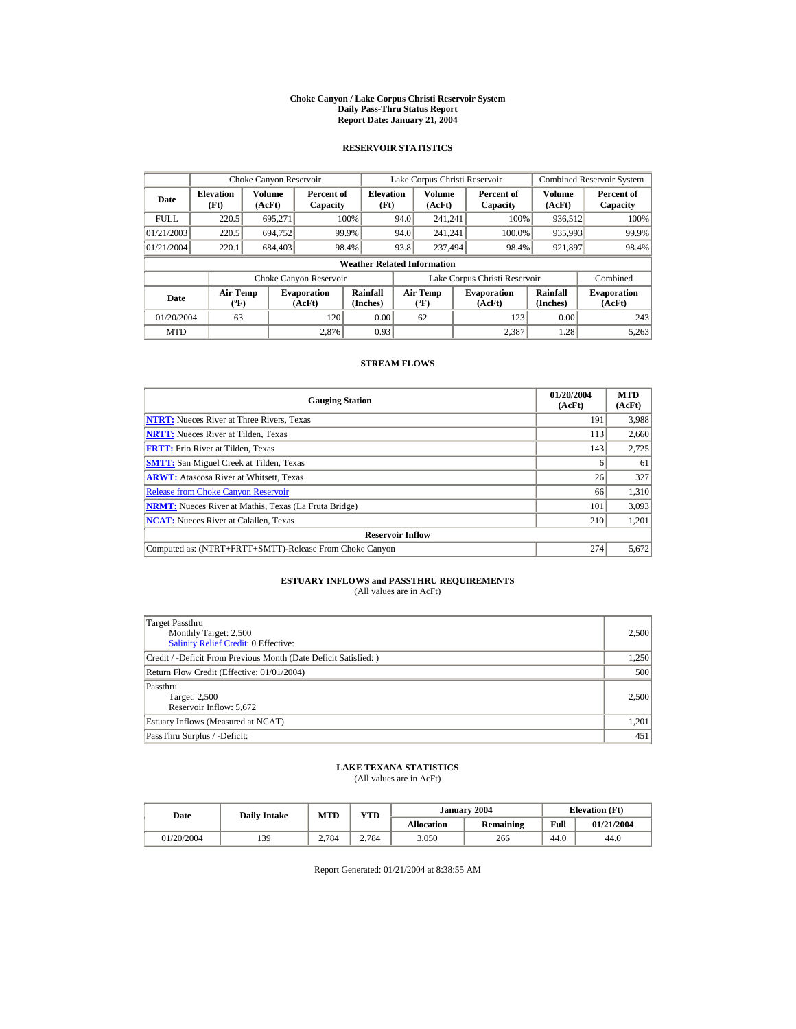#### **Choke Canyon / Lake Corpus Christi Reservoir System Daily Pass-Thru Status Report Report Date: January 21, 2004**

## **RESERVOIR STATISTICS**

|             | Choke Canyon Reservoir                      |                  |                              |                          | Lake Corpus Christi Reservoir |                                          |  |                               |                      | <b>Combined Reservoir System</b> |  |  |
|-------------|---------------------------------------------|------------------|------------------------------|--------------------------|-------------------------------|------------------------------------------|--|-------------------------------|----------------------|----------------------------------|--|--|
| Date        | <b>Elevation</b><br>(Ft)                    | Volume<br>(AcFt) | Percent of<br>Capacity       | <b>Elevation</b><br>(Ft) |                               | <b>Volume</b><br>(AcFt)                  |  | Percent of<br>Capacity        | Volume<br>(AcFt)     | Percent of<br>Capacity           |  |  |
| <b>FULL</b> | 220.5                                       | 695.271          |                              | 100%                     | 94.0                          | 241.241                                  |  | 100%                          | 936,512              | 100%                             |  |  |
| 01/21/2003  | 220.5                                       | 694,752          |                              | 99.9%                    | 94.0                          | 241.241                                  |  | 100.0%                        | 935,993              | 99.9%                            |  |  |
| 01/21/2004  | 220.1                                       | 684,403          |                              | 98.4%                    | 93.8                          | 237,494                                  |  | 98.4%                         | 921,897              | 98.4%                            |  |  |
|             | <b>Weather Related Information</b>          |                  |                              |                          |                               |                                          |  |                               |                      |                                  |  |  |
|             |                                             |                  | Choke Canyon Reservoir       |                          |                               |                                          |  | Lake Corpus Christi Reservoir |                      | Combined                         |  |  |
| Date        | <b>Air Temp</b><br>$({}^{\circ}\mathrm{F})$ |                  | <b>Evaporation</b><br>(AcFt) | Rainfall<br>(Inches)     |                               | <b>Air Temp</b><br>$({}^{\circ}{\rm F})$ |  | <b>Evaporation</b><br>(AcFt)  | Rainfall<br>(Inches) | <b>Evaporation</b><br>(AcFt)     |  |  |
| 01/20/2004  | 63                                          |                  | 120                          | 0.00                     |                               | 62                                       |  | 123                           | 0.00                 | 243                              |  |  |
| <b>MTD</b>  |                                             |                  | 2.876                        | 0.93                     |                               |                                          |  | 2.387                         | 1.28                 | 5,263                            |  |  |

### **STREAM FLOWS**

| <b>Gauging Station</b>                                       | 01/20/2004<br>(AcFt) | <b>MTD</b><br>(AcFt) |
|--------------------------------------------------------------|----------------------|----------------------|
| <b>NTRT:</b> Nueces River at Three Rivers, Texas             | 191                  | 3,988                |
| <b>NRTT:</b> Nueces River at Tilden, Texas                   | 113                  | 2,660                |
| <b>FRTT:</b> Frio River at Tilden, Texas                     | 143                  | 2,725                |
| <b>SMTT:</b> San Miguel Creek at Tilden, Texas               | o                    | 61                   |
| <b>ARWT:</b> Atascosa River at Whitsett, Texas               | 26                   | 327                  |
| <b>Release from Choke Canyon Reservoir</b>                   | 66                   | 1,310                |
| <b>NRMT:</b> Nueces River at Mathis, Texas (La Fruta Bridge) | 101                  | 3,093                |
| <b>NCAT:</b> Nueces River at Calallen, Texas                 | 210                  | 1,201                |
| <b>Reservoir Inflow</b>                                      |                      |                      |
| Computed as: (NTRT+FRTT+SMTT)-Release From Choke Canyon      | 274                  | 5,672                |

# **ESTUARY INFLOWS and PASSTHRU REQUIREMENTS**<br>(All values are in AcFt)

| Target Passthru<br>Monthly Target: 2,500<br><b>Salinity Relief Credit: 0 Effective:</b> | 2,500 |
|-----------------------------------------------------------------------------------------|-------|
| Credit / -Deficit From Previous Month (Date Deficit Satisfied:)                         | 1,250 |
| Return Flow Credit (Effective: 01/01/2004)                                              | 500   |
| Passthru<br>Target: 2,500<br>Reservoir Inflow: 5,672                                    | 2,500 |
| Estuary Inflows (Measured at NCAT)                                                      | 1,201 |
| PassThru Surplus / -Deficit:                                                            | 451   |

## **LAKE TEXANA STATISTICS**

(All values are in AcFt)

| Date       | <b>Daily Intake</b> | <b>MTD</b> | $\mathbf{v}\mathbf{T}\mathbf{D}$ |                   | January 2004 | <b>Elevation</b> (Ft) |            |
|------------|---------------------|------------|----------------------------------|-------------------|--------------|-----------------------|------------|
|            |                     |            |                                  | <b>Allocation</b> | Remaining    | Full                  | 01/21/2004 |
| 01/20/2004 | 139                 | 2.784      | 2.784                            | 3,050             | 266          | 44.0                  | 44.0       |

Report Generated: 01/21/2004 at 8:38:55 AM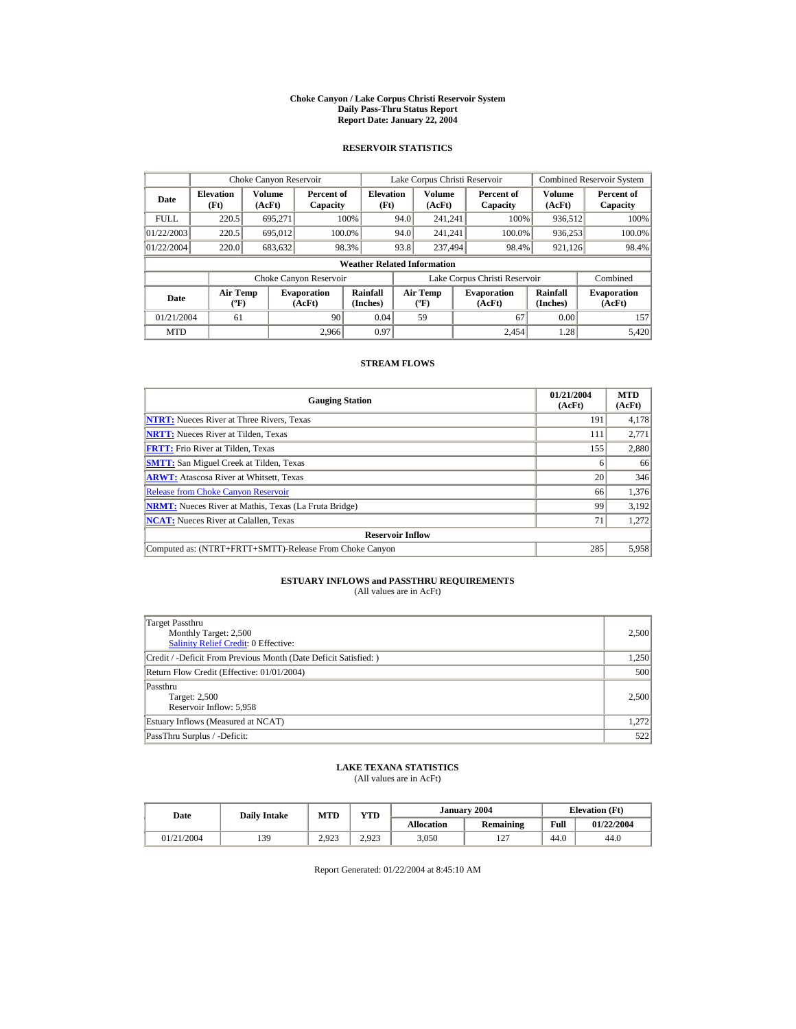#### **Choke Canyon / Lake Corpus Christi Reservoir System Daily Pass-Thru Status Report Report Date: January 22, 2004**

## **RESERVOIR STATISTICS**

|             | Choke Canyon Reservoir                      |                  |                              |                          | Lake Corpus Christi Reservoir |                                             |  |                               |                      | Combined Reservoir System    |  |  |  |
|-------------|---------------------------------------------|------------------|------------------------------|--------------------------|-------------------------------|---------------------------------------------|--|-------------------------------|----------------------|------------------------------|--|--|--|
| Date        | <b>Elevation</b><br>(Ft)                    | Volume<br>(AcFt) | Percent of<br>Capacity       | <b>Elevation</b><br>(Ft) |                               | Volume<br>(AcFt)                            |  | Percent of<br>Capacity        | Volume<br>(AcFt)     | Percent of<br>Capacity       |  |  |  |
| <b>FULL</b> | 220.5                                       | 695.271          |                              | 100%                     | 94.0                          | 241.241                                     |  | 100%                          | 936,512              | 100%                         |  |  |  |
| 01/22/2003  | 220.5                                       | 695,012          |                              | 100.0%                   | 94.0                          | 241.241                                     |  | 100.0%                        | 936,253              | 100.0%                       |  |  |  |
| 01/22/2004  | 220.0                                       | 683,632          |                              | 98.3%                    | 93.8                          | 237,494                                     |  | 98.4%                         | 921,126              | 98.4%                        |  |  |  |
|             | <b>Weather Related Information</b>          |                  |                              |                          |                               |                                             |  |                               |                      |                              |  |  |  |
|             |                                             |                  | Choke Canyon Reservoir       |                          |                               |                                             |  | Lake Corpus Christi Reservoir |                      | Combined                     |  |  |  |
| Date        | <b>Air Temp</b><br>$({}^{\circ}\mathrm{F})$ |                  | <b>Evaporation</b><br>(AcFt) | Rainfall<br>(Inches)     |                               | <b>Air Temp</b><br>$({}^{\circ}\mathbf{F})$ |  | <b>Evaporation</b><br>(AcFt)  | Rainfall<br>(Inches) | <b>Evaporation</b><br>(AcFt) |  |  |  |
| 01/21/2004  | 61                                          |                  | 90                           | 0.04                     |                               | 59                                          |  | 67                            | 0.00                 | 157                          |  |  |  |
| <b>MTD</b>  |                                             |                  | 2.966                        | 0.97                     |                               |                                             |  | 2.454                         | 1.28                 | 5.420                        |  |  |  |

### **STREAM FLOWS**

| <b>Gauging Station</b>                                       | 01/21/2004<br>(AcFt) | <b>MTD</b><br>(AcFt) |
|--------------------------------------------------------------|----------------------|----------------------|
| <b>NTRT:</b> Nueces River at Three Rivers, Texas             | 191                  | 4,178                |
| <b>NRTT:</b> Nueces River at Tilden, Texas                   | 111                  | 2,771                |
| <b>FRTT:</b> Frio River at Tilden, Texas                     | 155                  | 2,880                |
| <b>SMTT:</b> San Miguel Creek at Tilden, Texas               | o                    | 66                   |
| <b>ARWT:</b> Atascosa River at Whitsett, Texas               | 20                   | 346                  |
| <b>Release from Choke Canyon Reservoir</b>                   | 66                   | 1,376                |
| <b>NRMT:</b> Nueces River at Mathis, Texas (La Fruta Bridge) | 99                   | 3,192                |
| <b>NCAT:</b> Nueces River at Calallen, Texas                 | 71                   | 1,272                |
| <b>Reservoir Inflow</b>                                      |                      |                      |
| Computed as: (NTRT+FRTT+SMTT)-Release From Choke Canyon      | 285                  | 5,958                |

# **ESTUARY INFLOWS and PASSTHRU REQUIREMENTS**<br>(All values are in AcFt)

| Target Passthru<br>Monthly Target: 2,500<br><b>Salinity Relief Credit: 0 Effective:</b> | 2,500 |
|-----------------------------------------------------------------------------------------|-------|
| Credit / -Deficit From Previous Month (Date Deficit Satisfied:)                         | 1,250 |
| Return Flow Credit (Effective: 01/01/2004)                                              | 500   |
| Passthru<br>Target: 2,500<br>Reservoir Inflow: 5,958                                    | 2,500 |
| Estuary Inflows (Measured at NCAT)                                                      | 1,272 |
| PassThru Surplus / -Deficit:                                                            | 522   |

## **LAKE TEXANA STATISTICS**

(All values are in AcFt)

| Date       |     | YTD<br><b>MTD</b><br><b>Daily Intake</b> |       |                   | January 2004     | <b>Elevation</b> (Ft) |            |
|------------|-----|------------------------------------------|-------|-------------------|------------------|-----------------------|------------|
|            |     |                                          |       | <b>Allocation</b> | Remaining        | Full                  | 01/22/2004 |
| 01/21/2004 | 139 | 2.923                                    | 2.923 | 3.050             | $\sim$<br>$\sim$ | 44.0                  | 44.0       |

Report Generated: 01/22/2004 at 8:45:10 AM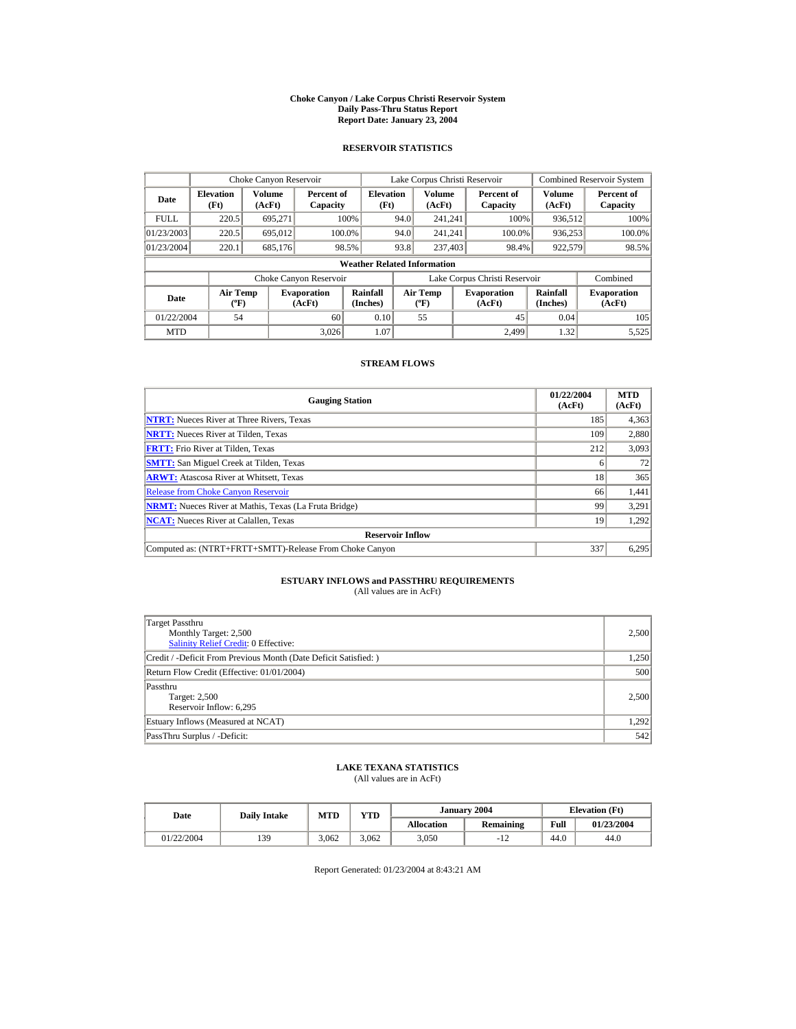#### **Choke Canyon / Lake Corpus Christi Reservoir System Daily Pass-Thru Status Report Report Date: January 23, 2004**

## **RESERVOIR STATISTICS**

|             | Choke Canyon Reservoir                      |                  |                              |                          |      | Lake Corpus Christi Reservoir             |  |                               |                      | <b>Combined Reservoir System</b> |  |  |  |
|-------------|---------------------------------------------|------------------|------------------------------|--------------------------|------|-------------------------------------------|--|-------------------------------|----------------------|----------------------------------|--|--|--|
| Date        | <b>Elevation</b><br>(Ft)                    | Volume<br>(AcFt) | Percent of<br>Capacity       | <b>Elevation</b><br>(Ft) |      | Volume<br>(AcFt)                          |  | Percent of<br>Capacity        | Volume<br>(AcFt)     | Percent of<br>Capacity           |  |  |  |
| <b>FULL</b> | 220.5                                       | 695.271          |                              | 100%                     | 94.0 | 241.241                                   |  | 100%                          | 936,512              | 100%                             |  |  |  |
| 01/23/2003  | 220.5                                       | 695,012          |                              | 100.0%                   | 94.0 | 241.241                                   |  | 100.0%                        | 936,253              | 100.0%                           |  |  |  |
| 01/23/2004  | 220.1                                       | 685,176          |                              | 98.5%                    | 93.8 | 237,403                                   |  | 98.4%                         | 922,579              | 98.5%                            |  |  |  |
|             | <b>Weather Related Information</b>          |                  |                              |                          |      |                                           |  |                               |                      |                                  |  |  |  |
|             |                                             |                  | Choke Canyon Reservoir       |                          |      |                                           |  | Lake Corpus Christi Reservoir |                      | Combined                         |  |  |  |
| Date        | <b>Air Temp</b><br>$({}^{\circ}\mathrm{F})$ |                  | <b>Evaporation</b><br>(AcFt) | Rainfall<br>(Inches)     |      | <b>Air Temp</b><br>$({}^{\circ}\text{F})$ |  | <b>Evaporation</b><br>(AcFt)  | Rainfall<br>(Inches) | <b>Evaporation</b><br>(AcFt)     |  |  |  |
| 01/22/2004  | 54                                          |                  | 60                           | 0.10                     |      | 55                                        |  | 45                            | 0.04                 | 105                              |  |  |  |
| <b>MTD</b>  |                                             |                  | 3.026                        | 1.07                     |      |                                           |  | 2.499                         | 1.32                 | 5,525                            |  |  |  |

### **STREAM FLOWS**

| <b>Gauging Station</b>                                       | 01/22/2004<br>(AcFt) | <b>MTD</b><br>(AcFt) |
|--------------------------------------------------------------|----------------------|----------------------|
| <b>NTRT:</b> Nueces River at Three Rivers, Texas             | 185                  | 4,363                |
| <b>NRTT:</b> Nueces River at Tilden, Texas                   | 109                  | 2,880                |
| <b>FRTT:</b> Frio River at Tilden, Texas                     | 212                  | 3,093                |
| <b>SMTT:</b> San Miguel Creek at Tilden, Texas               |                      | 72                   |
| <b>ARWT:</b> Atascosa River at Whitsett, Texas               | 18                   | 365                  |
| <b>Release from Choke Canyon Reservoir</b>                   | 66                   | 1,441                |
| <b>NRMT:</b> Nueces River at Mathis, Texas (La Fruta Bridge) | 99                   | 3,291                |
| <b>NCAT:</b> Nueces River at Calallen, Texas                 | 19                   | 1.292                |
| <b>Reservoir Inflow</b>                                      |                      |                      |
| Computed as: (NTRT+FRTT+SMTT)-Release From Choke Canyon      | 337                  | 6,295                |

# **ESTUARY INFLOWS and PASSTHRU REQUIREMENTS**<br>(All values are in AcFt)

| Target Passthru<br>Monthly Target: 2,500<br><b>Salinity Relief Credit: 0 Effective:</b> | 2,500 |
|-----------------------------------------------------------------------------------------|-------|
| Credit / -Deficit From Previous Month (Date Deficit Satisfied:)                         | 1,250 |
| Return Flow Credit (Effective: 01/01/2004)                                              | 500   |
| Passthru<br>Target: 2,500<br>Reservoir Inflow: 6,295                                    | 2,500 |
| Estuary Inflows (Measured at NCAT)                                                      | 1,292 |
| PassThru Surplus / -Deficit:                                                            | 542   |

## **LAKE TEXANA STATISTICS**

(All values are in AcFt)

| Date       | <b>Daily Intake</b> | <b>MTD</b> | YTD   |                   | January 2004 |      | <b>Elevation</b> (Ft) |
|------------|---------------------|------------|-------|-------------------|--------------|------|-----------------------|
|            |                     |            |       | <b>Allocation</b> | Remaining    | Full | 01/23/2004            |
| 01/22/2004 | 139                 | 3.062      | 3.062 | 3,050             | -14          | 44.0 | 44.0                  |

Report Generated: 01/23/2004 at 8:43:21 AM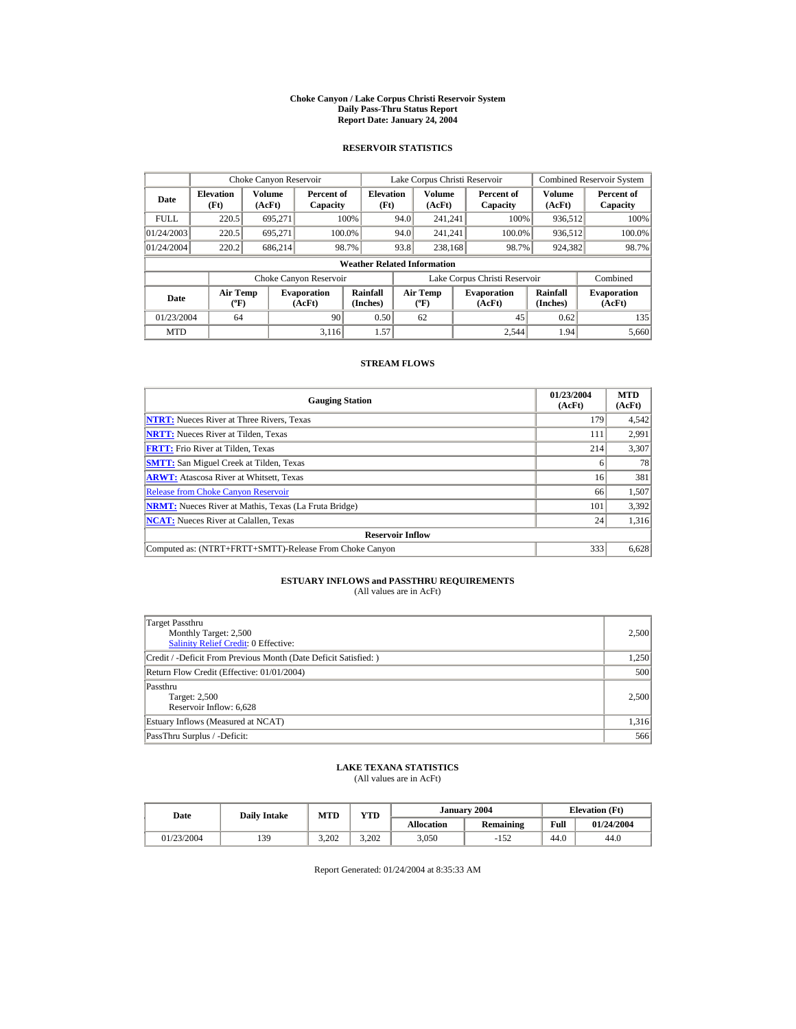#### **Choke Canyon / Lake Corpus Christi Reservoir System Daily Pass-Thru Status Report Report Date: January 24, 2004**

## **RESERVOIR STATISTICS**

|             | Choke Canyon Reservoir                      |                  |                              |                          |      | Lake Corpus Christi Reservoir               |  |                               |                      | Combined Reservoir System    |  |  |
|-------------|---------------------------------------------|------------------|------------------------------|--------------------------|------|---------------------------------------------|--|-------------------------------|----------------------|------------------------------|--|--|
| Date        | <b>Elevation</b><br>(Ft)                    | Volume<br>(AcFt) | Percent of<br>Capacity       | <b>Elevation</b><br>(Ft) |      | Volume<br>(AcFt)                            |  | Percent of<br>Capacity        | Volume<br>(AcFt)     | Percent of<br>Capacity       |  |  |
| <b>FULL</b> | 220.5                                       | 695.271          |                              | 100%                     | 94.0 | 241.241                                     |  | 100%                          | 936,512              | 100%                         |  |  |
| 01/24/2003  | 220.5                                       | 695.271          |                              | 100.0%                   | 94.0 | 241.241                                     |  | 100.0%                        | 936,512              | 100.0%                       |  |  |
| 01/24/2004  | 220.2                                       | 686.214          |                              | 98.7%                    | 93.8 | 238,168                                     |  | 98.7%                         | 924,382              | 98.7%                        |  |  |
|             | <b>Weather Related Information</b>          |                  |                              |                          |      |                                             |  |                               |                      |                              |  |  |
|             |                                             |                  | Choke Canyon Reservoir       |                          |      |                                             |  | Lake Corpus Christi Reservoir |                      | Combined                     |  |  |
| Date        | <b>Air Temp</b><br>$({}^{\circ}\mathrm{F})$ |                  | <b>Evaporation</b><br>(AcFt) | Rainfall<br>(Inches)     |      | <b>Air Temp</b><br>$({}^{\circ}\mathbf{F})$ |  | <b>Evaporation</b><br>(AcFt)  | Rainfall<br>(Inches) | <b>Evaporation</b><br>(AcFt) |  |  |
| 01/23/2004  | 64                                          |                  | 90                           | 0.50                     |      | 62                                          |  | 45                            | 0.62                 | 135                          |  |  |
| <b>MTD</b>  |                                             |                  | 3.116                        | 1.57                     |      |                                             |  | 2.544                         | 1.94                 | 5,660                        |  |  |

### **STREAM FLOWS**

| <b>Gauging Station</b>                                       | 01/23/2004<br>(AcFt) | <b>MTD</b><br>(AcFt) |
|--------------------------------------------------------------|----------------------|----------------------|
| <b>NTRT:</b> Nueces River at Three Rivers, Texas             | 179                  | 4,542                |
| <b>NRTT:</b> Nueces River at Tilden, Texas                   | 111                  | 2,991                |
| <b>FRTT:</b> Frio River at Tilden, Texas                     | 214                  | 3,307                |
| <b>SMTT:</b> San Miguel Creek at Tilden, Texas               | o                    | 78                   |
| <b>ARWT:</b> Atascosa River at Whitsett, Texas               | 16                   | 381                  |
| <b>Release from Choke Canyon Reservoir</b>                   | 66                   | 1,507                |
| <b>NRMT:</b> Nueces River at Mathis, Texas (La Fruta Bridge) | 101                  | 3,392                |
| <b>NCAT:</b> Nueces River at Calallen, Texas                 | 24                   | 1,316                |
| <b>Reservoir Inflow</b>                                      |                      |                      |
| Computed as: (NTRT+FRTT+SMTT)-Release From Choke Canyon      | 333                  | 6,628                |

# **ESTUARY INFLOWS and PASSTHRU REQUIREMENTS**<br>(All values are in AcFt)

| Target Passthru<br>Monthly Target: 2,500<br><b>Salinity Relief Credit: 0 Effective:</b> | 2,500 |
|-----------------------------------------------------------------------------------------|-------|
| Credit / -Deficit From Previous Month (Date Deficit Satisfied:)                         | 1,250 |
| Return Flow Credit (Effective: 01/01/2004)                                              | 500   |
| Passthru<br>Target: 2,500<br>Reservoir Inflow: 6,628                                    | 2,500 |
| Estuary Inflows (Measured at NCAT)                                                      | 1,316 |
| PassThru Surplus / -Deficit:                                                            | 566   |

## **LAKE TEXANA STATISTICS**

(All values are in AcFt)

| Date       | <b>Daily Intake</b> | <b>MTD</b> | $_{\rm VTD}$ |                   | January 2004 |      | <b>Elevation</b> (Ft) |
|------------|---------------------|------------|--------------|-------------------|--------------|------|-----------------------|
|            |                     |            |              | <b>Allocation</b> | Remaining    | Full | 01/24/2004            |
| 01/23/2004 | 139                 | 3.202      | 3.202        | 3,050             | $-152$       | 44.0 | 44.0                  |

Report Generated: 01/24/2004 at 8:35:33 AM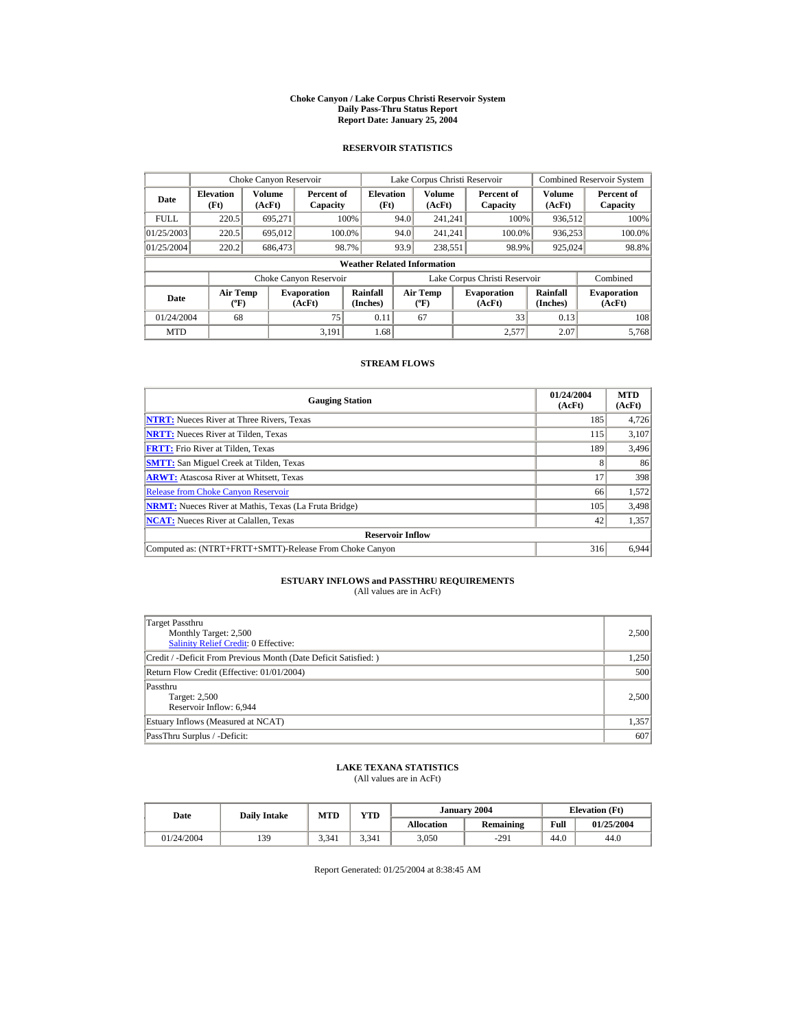#### **Choke Canyon / Lake Corpus Christi Reservoir System Daily Pass-Thru Status Report Report Date: January 25, 2004**

## **RESERVOIR STATISTICS**

|             | Choke Canyon Reservoir                      |                  |                              |                          | Lake Corpus Christi Reservoir |                                          |  |                               | <b>Combined Reservoir System</b> |                              |  |  |
|-------------|---------------------------------------------|------------------|------------------------------|--------------------------|-------------------------------|------------------------------------------|--|-------------------------------|----------------------------------|------------------------------|--|--|
| Date        | <b>Elevation</b><br>(Ft)                    | Volume<br>(AcFt) | Percent of<br>Capacity       | <b>Elevation</b><br>(Ft) |                               | <b>Volume</b><br>(AcFt)                  |  | Percent of<br>Capacity        | Volume<br>(AcFt)                 | Percent of<br>Capacity       |  |  |
| <b>FULL</b> | 220.5                                       | 695.271          |                              | 100%                     | 94.0                          | 241.241                                  |  | 100%                          | 936,512                          | 100%                         |  |  |
| 01/25/2003  | 220.5                                       | 695,012          | 100.0%                       |                          | 94.0                          | 241.241                                  |  | 100.0%                        | 936,253                          | 100.0%                       |  |  |
| 01/25/2004  | 220.2                                       | 686,473          |                              | 98.7%                    | 93.9                          | 238,551                                  |  | 98.9%                         | 925,024                          | 98.8%                        |  |  |
|             | <b>Weather Related Information</b>          |                  |                              |                          |                               |                                          |  |                               |                                  |                              |  |  |
|             |                                             |                  | Choke Canyon Reservoir       |                          |                               |                                          |  | Lake Corpus Christi Reservoir |                                  | Combined                     |  |  |
| Date        | <b>Air Temp</b><br>$({}^{\circ}\mathrm{F})$ |                  | <b>Evaporation</b><br>(AcFt) | Rainfall<br>(Inches)     |                               | <b>Air Temp</b><br>$({}^{\circ}{\rm F})$ |  | <b>Evaporation</b><br>(AcFt)  | Rainfall<br>(Inches)             | <b>Evaporation</b><br>(AcFt) |  |  |
| 01/24/2004  | 68                                          |                  | 75                           | 0.11                     |                               | 67                                       |  | 33                            | 0.13                             | 108                          |  |  |
| <b>MTD</b>  |                                             |                  | 3.191                        | 1.68                     |                               |                                          |  | 2.577                         | 2.07                             | 5.768                        |  |  |

### **STREAM FLOWS**

| <b>Gauging Station</b>                                       | 01/24/2004<br>(AcFt) | <b>MTD</b><br>(AcFt) |
|--------------------------------------------------------------|----------------------|----------------------|
| <b>NTRT:</b> Nueces River at Three Rivers, Texas             | 185                  | 4,726                |
| <b>NRTT:</b> Nueces River at Tilden, Texas                   | 115                  | 3,107                |
| <b>FRTT:</b> Frio River at Tilden, Texas                     | 189                  | 3,496                |
| <b>SMTT:</b> San Miguel Creek at Tilden, Texas               | 8                    | 86                   |
| <b>ARWT:</b> Atascosa River at Whitsett, Texas               | 17                   | 398                  |
| <b>Release from Choke Canyon Reservoir</b>                   | 66                   | 1,572                |
| <b>NRMT:</b> Nueces River at Mathis, Texas (La Fruta Bridge) | 105                  | 3,498                |
| <b>NCAT:</b> Nueces River at Calallen, Texas                 | 42                   | 1,357                |
| <b>Reservoir Inflow</b>                                      |                      |                      |
| Computed as: (NTRT+FRTT+SMTT)-Release From Choke Canyon      | 316                  | 6.944                |

# **ESTUARY INFLOWS and PASSTHRU REQUIREMENTS**<br>(All values are in AcFt)

| Target Passthru<br>Monthly Target: 2,500<br><b>Salinity Relief Credit: 0 Effective:</b> | 2,500 |
|-----------------------------------------------------------------------------------------|-------|
| Credit / -Deficit From Previous Month (Date Deficit Satisfied:)                         | 1,250 |
| Return Flow Credit (Effective: 01/01/2004)                                              | 500   |
| Passthru<br>Target: 2,500<br>Reservoir Inflow: 6,944                                    | 2,500 |
| Estuary Inflows (Measured at NCAT)                                                      | 1,357 |
| PassThru Surplus / -Deficit:                                                            | 607   |

## **LAKE TEXANA STATISTICS**

(All values are in AcFt)

| Date       | <b>Daily Intake</b> | <b>MTD</b> | <b>VTD</b> |                   | January 2004 |      | <b>Elevation</b> (Ft) |
|------------|---------------------|------------|------------|-------------------|--------------|------|-----------------------|
|            |                     |            |            | <b>Allocation</b> | Remaining    | Full | 01/25/2004            |
| 01/24/2004 | 139                 | 3.341      | 3.341      | 3,050             | $-291$       | 44.0 | 44.0                  |

Report Generated: 01/25/2004 at 8:38:45 AM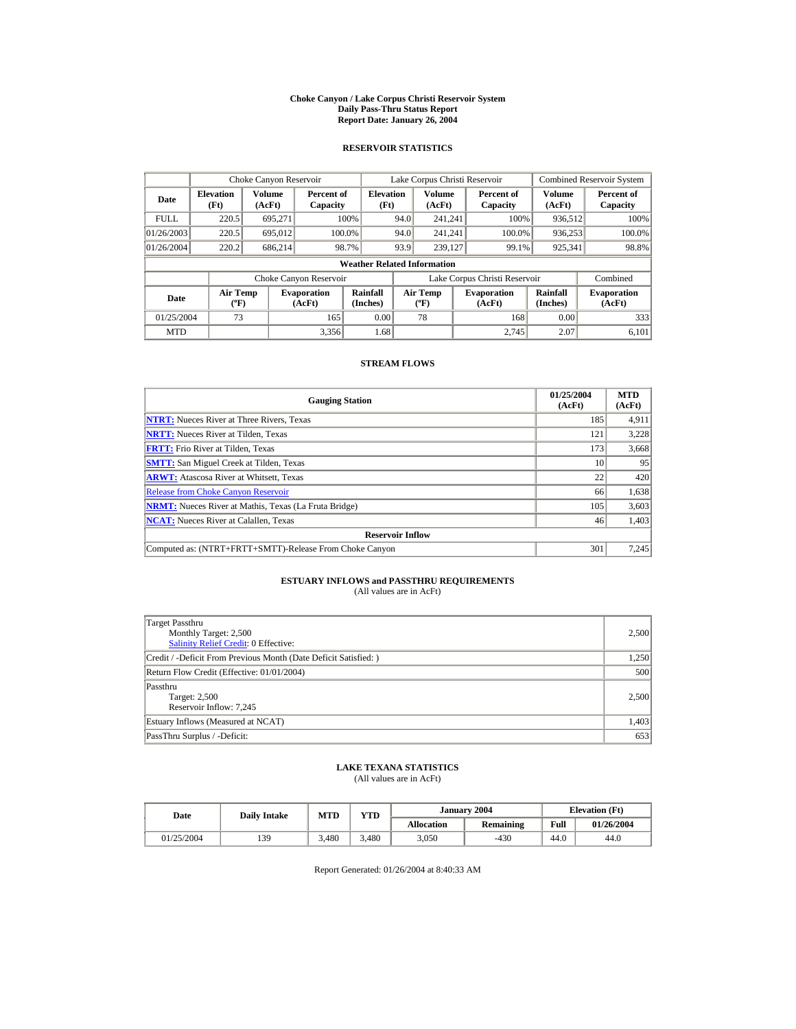#### **Choke Canyon / Lake Corpus Christi Reservoir System Daily Pass-Thru Status Report Report Date: January 26, 2004**

## **RESERVOIR STATISTICS**

|             | Choke Canyon Reservoir                      |                  |                              |                          | Lake Corpus Christi Reservoir |                                           |  |                               |                      | <b>Combined Reservoir System</b> |  |  |
|-------------|---------------------------------------------|------------------|------------------------------|--------------------------|-------------------------------|-------------------------------------------|--|-------------------------------|----------------------|----------------------------------|--|--|
| Date        | <b>Elevation</b><br>(Ft)                    | Volume<br>(AcFt) | Percent of<br>Capacity       | <b>Elevation</b><br>(Ft) |                               | Volume<br>(AcFt)                          |  | Percent of<br>Capacity        | Volume<br>(AcFt)     | Percent of<br>Capacity           |  |  |
| <b>FULL</b> | 220.5                                       | 695.271          |                              | 100%                     | 94.0                          | 241.241                                   |  | 100%                          | 936,512              | 100%                             |  |  |
| 01/26/2003  | 220.5                                       | 695,012          |                              | 100.0%                   | 94.0                          | 241.241                                   |  | 100.0%                        | 936,253              | 100.0%                           |  |  |
| 01/26/2004  | 220.2                                       | 686.214          |                              | 98.7%                    | 93.9                          | 239,127                                   |  | 99.1%                         | 925,341              | 98.8%                            |  |  |
|             | <b>Weather Related Information</b>          |                  |                              |                          |                               |                                           |  |                               |                      |                                  |  |  |
|             |                                             |                  | Choke Canyon Reservoir       |                          |                               |                                           |  | Lake Corpus Christi Reservoir |                      | Combined                         |  |  |
| Date        | <b>Air Temp</b><br>$({}^{\circ}\mathrm{F})$ |                  | <b>Evaporation</b><br>(AcFt) | Rainfall<br>(Inches)     |                               | <b>Air Temp</b><br>$({}^{\circ}\text{F})$ |  | <b>Evaporation</b><br>(AcFt)  | Rainfall<br>(Inches) | <b>Evaporation</b><br>(AcFt)     |  |  |
| 01/25/2004  | 73                                          |                  | 165                          | 0.00                     |                               | 78                                        |  | 168                           | 0.00                 | 333                              |  |  |
| <b>MTD</b>  |                                             |                  | 3.356                        | 1.68                     |                               |                                           |  | 2.745                         | 2.07                 | 6.101                            |  |  |

### **STREAM FLOWS**

| <b>Gauging Station</b>                                       | 01/25/2004<br>(AcFt) | <b>MTD</b><br>(AcFt) |
|--------------------------------------------------------------|----------------------|----------------------|
| <b>NTRT:</b> Nueces River at Three Rivers, Texas             | 185                  | 4,911                |
| <b>NRTT:</b> Nueces River at Tilden, Texas                   | 121                  | 3.228                |
| <b>FRTT:</b> Frio River at Tilden, Texas                     | 173                  | 3,668                |
| <b>SMTT:</b> San Miguel Creek at Tilden, Texas               | 10                   | 95                   |
| <b>ARWT:</b> Atascosa River at Whitsett, Texas               | 22                   | 420                  |
| <b>Release from Choke Canyon Reservoir</b>                   | 66                   | 1,638                |
| <b>NRMT:</b> Nueces River at Mathis, Texas (La Fruta Bridge) | 105                  | 3,603                |
| <b>NCAT:</b> Nueces River at Calallen, Texas                 | 46                   | 1,403                |
| <b>Reservoir Inflow</b>                                      |                      |                      |
| Computed as: (NTRT+FRTT+SMTT)-Release From Choke Canyon      | 301                  | 7,245                |

# **ESTUARY INFLOWS and PASSTHRU REQUIREMENTS**<br>(All values are in AcFt)

| Target Passthru<br>Monthly Target: 2,500<br>Salinity Relief Credit: 0 Effective: | 2,500 |
|----------------------------------------------------------------------------------|-------|
| Credit / -Deficit From Previous Month (Date Deficit Satisfied:)                  | 1,250 |
| Return Flow Credit (Effective: 01/01/2004)                                       | 500   |
| Passthru<br>Target: 2,500<br>Reservoir Inflow: 7,245                             | 2,500 |
| Estuary Inflows (Measured at NCAT)                                               | 1,403 |
| PassThru Surplus / -Deficit:                                                     | 653   |

## **LAKE TEXANA STATISTICS**

(All values are in AcFt)

| Date       | <b>Daily Intake</b> | <b>MTD</b> | YTD |                   | January 2004 | <b>Elevation</b> (Ft) |            |
|------------|---------------------|------------|-----|-------------------|--------------|-----------------------|------------|
|            |                     |            |     | <b>Allocation</b> | Remaining    | Full                  | 01/26/2004 |
| 01/25/2004 | 139                 | 3.480      |     | 3.050             | $-430$       | 44.0                  | 44.0       |

Report Generated: 01/26/2004 at 8:40:33 AM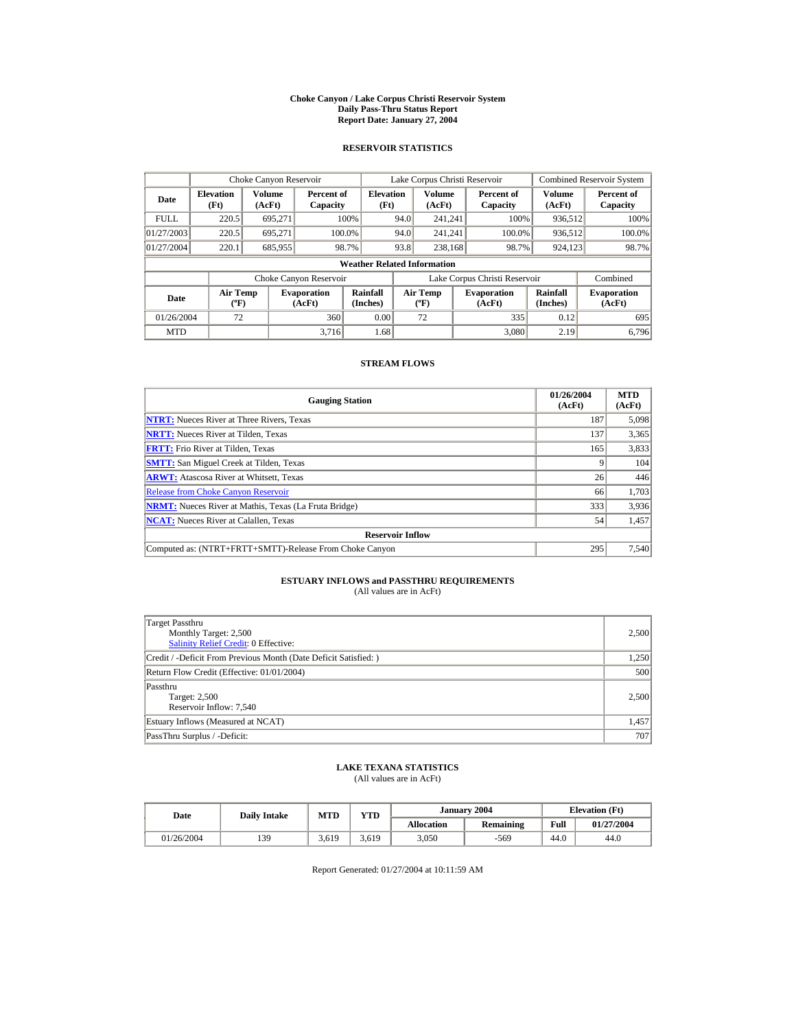#### **Choke Canyon / Lake Corpus Christi Reservoir System Daily Pass-Thru Status Report Report Date: January 27, 2004**

## **RESERVOIR STATISTICS**

|             | Choke Canyon Reservoir                      |                  |                              |                          | Lake Corpus Christi Reservoir |                                             |  |                               |                      | <b>Combined Reservoir System</b> |  |  |
|-------------|---------------------------------------------|------------------|------------------------------|--------------------------|-------------------------------|---------------------------------------------|--|-------------------------------|----------------------|----------------------------------|--|--|
| Date        | <b>Elevation</b><br>(Ft)                    | Volume<br>(AcFt) | Percent of<br>Capacity       | <b>Elevation</b><br>(Ft) |                               | Volume<br>(AcFt)                            |  | Percent of<br>Capacity        | Volume<br>(AcFt)     | Percent of<br>Capacity           |  |  |
| <b>FULL</b> | 220.5                                       | 695.271          |                              | 100%                     | 94.0                          | 241.241                                     |  | 100%                          | 936,512              | 100%                             |  |  |
| 01/27/2003  | 220.5                                       | 695.271          |                              | 100.0%                   | 94.0                          | 241.241                                     |  | 100.0%                        | 936,512              | 100.0%                           |  |  |
| 01/27/2004  | 220.1                                       | 685,955          |                              | 98.7%                    | 93.8                          | 238,168                                     |  | 98.7%                         | 924,123              | 98.7%                            |  |  |
|             | <b>Weather Related Information</b>          |                  |                              |                          |                               |                                             |  |                               |                      |                                  |  |  |
|             |                                             |                  | Choke Canyon Reservoir       |                          |                               |                                             |  | Lake Corpus Christi Reservoir |                      | Combined                         |  |  |
| Date        | <b>Air Temp</b><br>$({}^{\circ}\mathrm{F})$ |                  | <b>Evaporation</b><br>(AcFt) | Rainfall<br>(Inches)     |                               | <b>Air Temp</b><br>$({}^{\circ}\mathbf{F})$ |  | <b>Evaporation</b><br>(AcFt)  | Rainfall<br>(Inches) | <b>Evaporation</b><br>(AcFt)     |  |  |
| 01/26/2004  | 72                                          |                  | 360                          | 0.00                     |                               | 72                                          |  | 335                           | 0.12                 | 695                              |  |  |
| <b>MTD</b>  |                                             |                  | 3.716                        | 1.68                     |                               |                                             |  | 3.080                         | 2.19                 | 6.796                            |  |  |

### **STREAM FLOWS**

| <b>Gauging Station</b>                                       | 01/26/2004<br>(AcFt) | <b>MTD</b><br>(AcFt) |
|--------------------------------------------------------------|----------------------|----------------------|
| <b>NTRT:</b> Nueces River at Three Rivers, Texas             | 187                  | 5,098                |
| <b>NRTT:</b> Nueces River at Tilden, Texas                   | 137                  | 3,365                |
| <b>FRTT:</b> Frio River at Tilden, Texas                     | 165                  | 3,833                |
| <b>SMTT:</b> San Miguel Creek at Tilden, Texas               |                      | 104                  |
| <b>ARWT:</b> Atascosa River at Whitsett, Texas               | 26                   | 446                  |
| <b>Release from Choke Canyon Reservoir</b>                   | 66                   | 1,703                |
| <b>NRMT:</b> Nueces River at Mathis, Texas (La Fruta Bridge) | 333                  | 3,936                |
| <b>NCAT:</b> Nueces River at Calallen, Texas                 | 54                   | 1,457                |
| <b>Reservoir Inflow</b>                                      |                      |                      |
| Computed as: (NTRT+FRTT+SMTT)-Release From Choke Canyon      | 295                  | 7,540                |

# **ESTUARY INFLOWS and PASSTHRU REQUIREMENTS**<br>(All values are in AcFt)

| Target Passthru<br>Monthly Target: 2,500<br><b>Salinity Relief Credit: 0 Effective:</b> | 2,500 |
|-----------------------------------------------------------------------------------------|-------|
| Credit / -Deficit From Previous Month (Date Deficit Satisfied:)                         | 1,250 |
| Return Flow Credit (Effective: 01/01/2004)                                              | 500   |
| Passthru<br>Target: 2,500<br>Reservoir Inflow: 7,540                                    | 2,500 |
| Estuary Inflows (Measured at NCAT)                                                      | 1,457 |
| PassThru Surplus / -Deficit:                                                            | 707   |

## **LAKE TEXANA STATISTICS**

(All values are in AcFt)

| Date       | <b>Daily Intake</b> | <b>MTD</b> | YTD   |                   | January 2004 |      | <b>Elevation</b> (Ft) |  |
|------------|---------------------|------------|-------|-------------------|--------------|------|-----------------------|--|
|            |                     |            |       | <b>Allocation</b> | Remaining    | Full | 01/27/2004            |  |
| 01/26/2004 | 139                 | 3.619      | 3.619 | 3,050             | $-569$       | 44.0 | 44.0                  |  |

Report Generated: 01/27/2004 at 10:11:59 AM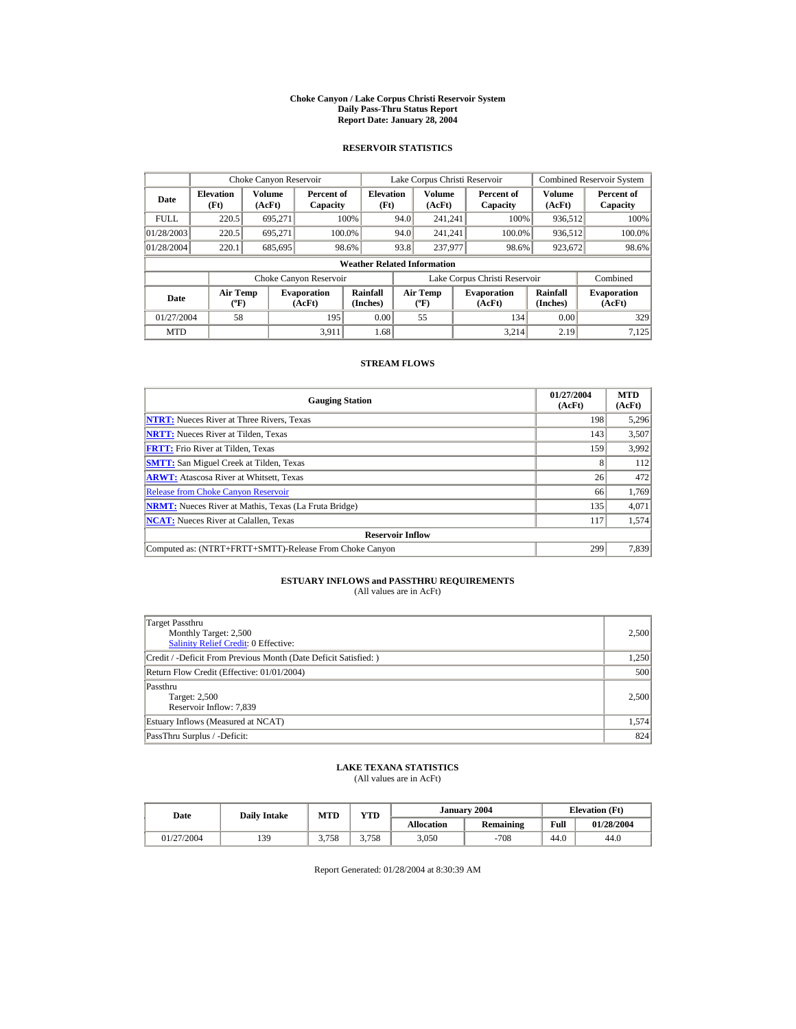#### **Choke Canyon / Lake Corpus Christi Reservoir System Daily Pass-Thru Status Report Report Date: January 28, 2004**

## **RESERVOIR STATISTICS**

|             | Choke Canyon Reservoir                      |                  |                              |                          | Lake Corpus Christi Reservoir             |                  |  |                               |                      | <b>Combined Reservoir System</b> |  |  |
|-------------|---------------------------------------------|------------------|------------------------------|--------------------------|-------------------------------------------|------------------|--|-------------------------------|----------------------|----------------------------------|--|--|
| Date        | <b>Elevation</b><br>(Ft)                    | Volume<br>(AcFt) | Percent of<br>Capacity       | <b>Elevation</b><br>(Ft) |                                           | Volume<br>(AcFt) |  | Percent of<br>Capacity        | Volume<br>(AcFt)     | Percent of<br>Capacity           |  |  |
| <b>FULL</b> | 220.5                                       | 695.271          |                              | 100%                     | 94.0                                      | 241.241          |  | 100%                          | 936,512              | 100%                             |  |  |
| 01/28/2003  | 220.5                                       | 695.271          | 100.0%                       |                          | 94.0                                      | 241.241          |  | 100.0%                        | 936,512              | 100.0%                           |  |  |
| 01/28/2004  | 220.1                                       | 685,695          |                              | 98.6%                    | 93.8                                      | 237,977          |  | 98.6%                         | 923,672              | 98.6%                            |  |  |
|             | <b>Weather Related Information</b>          |                  |                              |                          |                                           |                  |  |                               |                      |                                  |  |  |
|             |                                             |                  | Choke Canyon Reservoir       |                          |                                           |                  |  | Lake Corpus Christi Reservoir |                      | Combined                         |  |  |
| Date        | <b>Air Temp</b><br>$({}^{\circ}\mathrm{F})$ |                  | <b>Evaporation</b><br>(AcFt) | Rainfall<br>(Inches)     | <b>Air Temp</b><br>$({}^{\circ}\text{F})$ |                  |  | <b>Evaporation</b><br>(AcFt)  | Rainfall<br>(Inches) | <b>Evaporation</b><br>(AcFt)     |  |  |
| 01/27/2004  | 58                                          |                  | 195                          | 0.00                     |                                           | 55               |  | 134                           | 0.00                 | 329                              |  |  |
| <b>MTD</b>  |                                             |                  | 3.911                        | 1.68                     |                                           |                  |  | 3.214                         | 2.19                 | 7,125                            |  |  |

### **STREAM FLOWS**

| <b>Gauging Station</b>                                       | 01/27/2004<br>(AcFt) | <b>MTD</b><br>(AcFt) |
|--------------------------------------------------------------|----------------------|----------------------|
| <b>NTRT:</b> Nueces River at Three Rivers, Texas             | 198                  | 5,296                |
| <b>NRTT:</b> Nueces River at Tilden, Texas                   | 143                  | 3,507                |
| <b>FRTT:</b> Frio River at Tilden, Texas                     | 159                  | 3,992                |
| <b>SMTT:</b> San Miguel Creek at Tilden, Texas               | 8                    | 112                  |
| <b>ARWT:</b> Atascosa River at Whitsett, Texas               | 26                   | 472                  |
| <b>Release from Choke Canyon Reservoir</b>                   | 66                   | 1,769                |
| <b>NRMT:</b> Nueces River at Mathis, Texas (La Fruta Bridge) | 135                  | 4,071                |
| <b>NCAT:</b> Nueces River at Calallen, Texas                 | 117                  | 1,574                |
| <b>Reservoir Inflow</b>                                      |                      |                      |
| Computed as: (NTRT+FRTT+SMTT)-Release From Choke Canyon      | 299                  | 7,839                |

# **ESTUARY INFLOWS and PASSTHRU REQUIREMENTS**<br>(All values are in AcFt)

| Target Passthru<br>Monthly Target: 2,500<br><b>Salinity Relief Credit: 0 Effective:</b> | 2,500 |
|-----------------------------------------------------------------------------------------|-------|
| Credit / -Deficit From Previous Month (Date Deficit Satisfied:)                         | 1,250 |
| Return Flow Credit (Effective: 01/01/2004)                                              | 500   |
| Passthru<br>Target: 2,500<br>Reservoir Inflow: 7,839                                    | 2,500 |
| Estuary Inflows (Measured at NCAT)                                                      | 1,574 |
| PassThru Surplus / -Deficit:                                                            | 824   |

## **LAKE TEXANA STATISTICS**

(All values are in AcFt)

| Date       | <b>Daily Intake</b> | <b>MTD</b> | $_{\rm VTD}$ |                   | January 2004 | <b>Elevation</b> (Ft) |            |
|------------|---------------------|------------|--------------|-------------------|--------------|-----------------------|------------|
|            |                     |            |              | <b>Allocation</b> | Remaining    | Full                  | 01/28/2004 |
| 01/27/2004 | 139                 | 3.758      | 3.758        | 3,050             | $-708$       | 44.0                  | 44.0       |

Report Generated: 01/28/2004 at 8:30:39 AM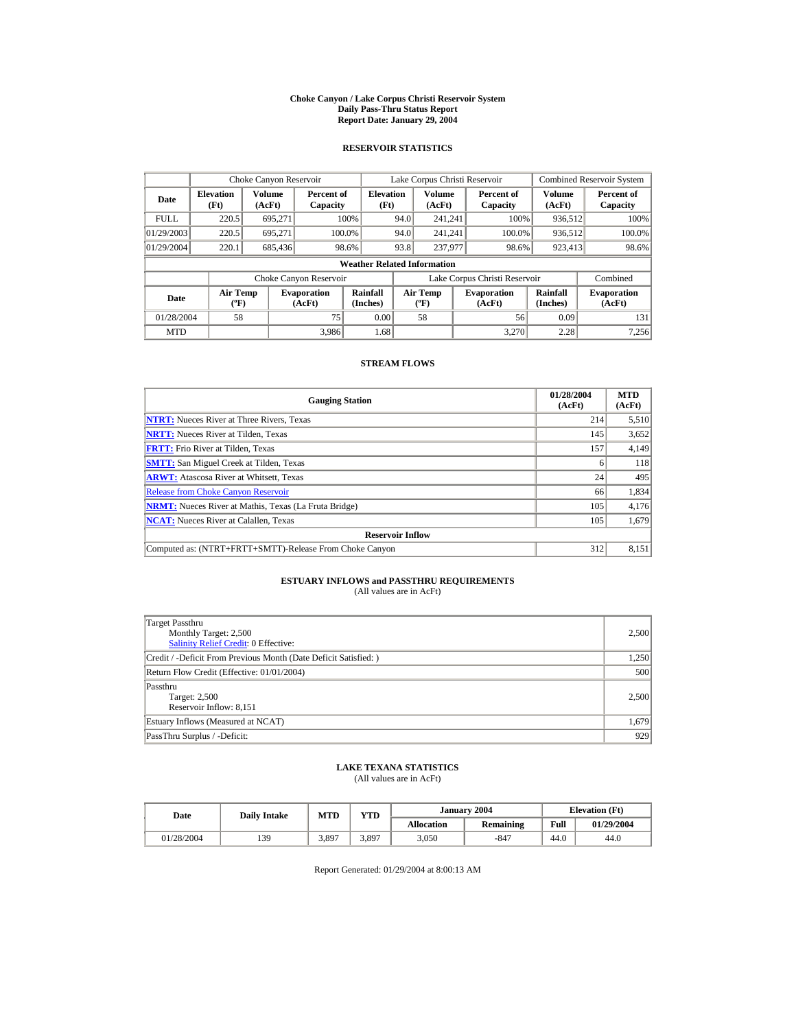#### **Choke Canyon / Lake Corpus Christi Reservoir System Daily Pass-Thru Status Report Report Date: January 29, 2004**

## **RESERVOIR STATISTICS**

|             | Choke Canyon Reservoir                      |                  |                              |                          | Lake Corpus Christi Reservoir            |                         |  |                               | <b>Combined Reservoir System</b> |                              |  |  |
|-------------|---------------------------------------------|------------------|------------------------------|--------------------------|------------------------------------------|-------------------------|--|-------------------------------|----------------------------------|------------------------------|--|--|
| Date        | <b>Elevation</b><br>(Ft)                    | Volume<br>(AcFt) | Percent of<br>Capacity       | <b>Elevation</b><br>(Ft) |                                          | <b>Volume</b><br>(AcFt) |  | Percent of<br>Capacity        | Volume<br>(AcFt)                 | Percent of<br>Capacity       |  |  |
| <b>FULL</b> | 220.5                                       | 695.271          |                              | 100%                     | 94.0                                     | 241.241                 |  | 100%                          | 936,512                          | 100%                         |  |  |
| 01/29/2003  | 220.5                                       | 695.271          | 100.0%                       |                          | 94.0                                     | 241.241                 |  | 100.0%                        | 936,512                          | 100.0%                       |  |  |
| 01/29/2004  | 220.1                                       | 685,436          |                              | 98.6%                    | 93.8                                     | 237,977                 |  | 98.6%                         | 923,413                          | 98.6%                        |  |  |
|             | <b>Weather Related Information</b>          |                  |                              |                          |                                          |                         |  |                               |                                  |                              |  |  |
|             |                                             |                  | Choke Canyon Reservoir       |                          |                                          |                         |  | Lake Corpus Christi Reservoir |                                  | Combined                     |  |  |
| Date        | <b>Air Temp</b><br>$({}^{\circ}\mathrm{F})$ |                  | <b>Evaporation</b><br>(AcFt) | Rainfall<br>(Inches)     | <b>Air Temp</b><br>$({}^{\circ}{\rm F})$ |                         |  | <b>Evaporation</b><br>(AcFt)  | Rainfall<br>(Inches)             | <b>Evaporation</b><br>(AcFt) |  |  |
| 01/28/2004  | 58                                          |                  | 75                           | 0.00                     |                                          | 58                      |  | 56                            | 0.09                             | 131                          |  |  |
| <b>MTD</b>  |                                             |                  | 3.986                        | 1.68                     |                                          |                         |  | 3.270                         | 2.28                             | 7.256                        |  |  |

### **STREAM FLOWS**

| <b>Gauging Station</b>                                       | 01/28/2004<br>(AcFt) | <b>MTD</b><br>(AcFt) |
|--------------------------------------------------------------|----------------------|----------------------|
| <b>NTRT:</b> Nueces River at Three Rivers, Texas             | 214                  | 5,510                |
| <b>NRTT:</b> Nueces River at Tilden, Texas                   | 145                  | 3,652                |
| <b>FRTT:</b> Frio River at Tilden, Texas                     | 157                  | 4,149                |
| <b>SMTT:</b> San Miguel Creek at Tilden, Texas               | <sub>0</sub>         | 118                  |
| <b>ARWT:</b> Atascosa River at Whitsett, Texas               | 24                   | 495                  |
| <b>Release from Choke Canyon Reservoir</b>                   | 66                   | 1,834                |
| <b>NRMT:</b> Nueces River at Mathis, Texas (La Fruta Bridge) | 105                  | 4,176                |
| <b>NCAT:</b> Nueces River at Calallen, Texas                 | 105                  | 1,679                |
| <b>Reservoir Inflow</b>                                      |                      |                      |
| Computed as: (NTRT+FRTT+SMTT)-Release From Choke Canyon      | 312                  | 8,151                |

# **ESTUARY INFLOWS and PASSTHRU REQUIREMENTS**<br>(All values are in AcFt)

| Target Passthru<br>Monthly Target: 2,500<br><b>Salinity Relief Credit: 0 Effective:</b> | 2,500 |
|-----------------------------------------------------------------------------------------|-------|
| Credit / -Deficit From Previous Month (Date Deficit Satisfied:)                         | 1,250 |
| Return Flow Credit (Effective: 01/01/2004)                                              | 500   |
| Passthru<br>Target: 2,500<br>Reservoir Inflow: 8,151                                    | 2,500 |
| Estuary Inflows (Measured at NCAT)                                                      | 1,679 |
| PassThru Surplus / -Deficit:                                                            | 929   |

## **LAKE TEXANA STATISTICS**

(All values are in AcFt)

| Date       | <b>Daily Intake</b> | <b>MTD</b> | $\mathbf{v}\mathbf{T}\mathbf{D}$ |                   | January 2004 | <b>Elevation</b> (Ft) |            |
|------------|---------------------|------------|----------------------------------|-------------------|--------------|-----------------------|------------|
|            |                     |            |                                  | <b>Allocation</b> | Remaining    | Full                  | 01/29/2004 |
| 01/28/2004 | 139                 | 3,897      | 3,897                            | 3,050             | $-847$       | 44.0                  | 44.0       |

Report Generated: 01/29/2004 at 8:00:13 AM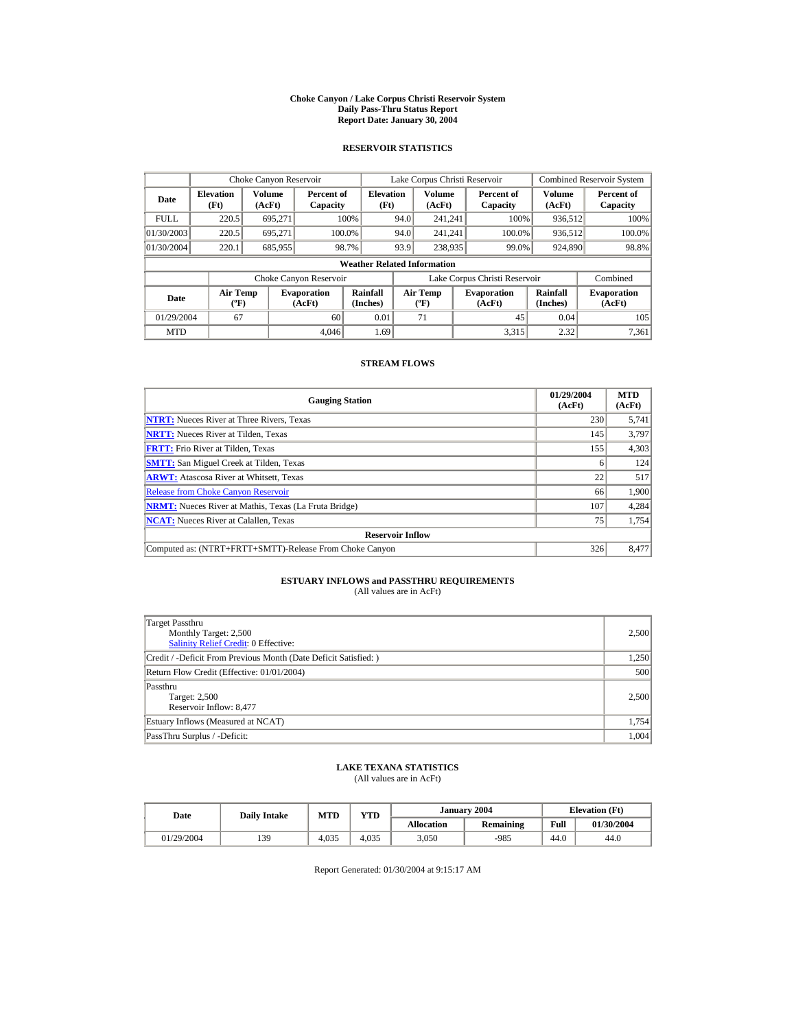#### **Choke Canyon / Lake Corpus Christi Reservoir System Daily Pass-Thru Status Report Report Date: January 30, 2004**

## **RESERVOIR STATISTICS**

|             | Choke Canyon Reservoir                      |                  |                              |                          | Lake Corpus Christi Reservoir             |                  |  |                               |                      | <b>Combined Reservoir System</b> |  |  |
|-------------|---------------------------------------------|------------------|------------------------------|--------------------------|-------------------------------------------|------------------|--|-------------------------------|----------------------|----------------------------------|--|--|
| Date        | <b>Elevation</b><br>(Ft)                    | Volume<br>(AcFt) | Percent of<br>Capacity       | <b>Elevation</b><br>(Ft) |                                           | Volume<br>(AcFt) |  | Percent of<br>Capacity        | Volume<br>(AcFt)     | Percent of<br>Capacity           |  |  |
| <b>FULL</b> | 220.5                                       | 695.271          |                              | 100%                     | 94.0                                      | 241.241          |  | 100%                          | 936,512              | 100%                             |  |  |
| 01/30/2003  | 220.5                                       | 695.271          |                              | 100.0%                   | 94.0                                      | 241.241          |  | 100.0%                        | 936,512              | 100.0%                           |  |  |
| 01/30/2004  | 220.1                                       | 685,955          |                              | 98.7%                    | 93.9                                      | 238,935          |  | 99.0%                         | 924,890              | 98.8%                            |  |  |
|             | <b>Weather Related Information</b>          |                  |                              |                          |                                           |                  |  |                               |                      |                                  |  |  |
|             |                                             |                  | Choke Canyon Reservoir       |                          |                                           |                  |  | Lake Corpus Christi Reservoir |                      | Combined                         |  |  |
| Date        | <b>Air Temp</b><br>$({}^{\circ}\mathrm{F})$ |                  | <b>Evaporation</b><br>(AcFt) | Rainfall<br>(Inches)     | <b>Air Temp</b><br>$({}^{\circ}\text{F})$ |                  |  | <b>Evaporation</b><br>(AcFt)  | Rainfall<br>(Inches) | <b>Evaporation</b><br>(AcFt)     |  |  |
| 01/29/2004  | 67                                          |                  | 60                           | 0.01                     |                                           | 71               |  | 45                            | 0.04                 | 105                              |  |  |
| <b>MTD</b>  |                                             |                  | 4.046                        | 1.69                     |                                           |                  |  | 3.315                         | 2.32                 | 7.361                            |  |  |

### **STREAM FLOWS**

| <b>Gauging Station</b>                                       | 01/29/2004<br>(AcFt) | <b>MTD</b><br>(AcFt) |
|--------------------------------------------------------------|----------------------|----------------------|
| <b>NTRT:</b> Nueces River at Three Rivers, Texas             | 230                  | 5,741                |
| <b>NRTT:</b> Nueces River at Tilden. Texas                   | 145                  | 3,797                |
| <b>FRTT:</b> Frio River at Tilden, Texas                     | 155                  | 4,303                |
| <b>SMTT:</b> San Miguel Creek at Tilden, Texas               |                      | 124                  |
| <b>ARWT:</b> Atascosa River at Whitsett, Texas               | 22                   | 517                  |
| <b>Release from Choke Canyon Reservoir</b>                   | 66                   | 1,900                |
| <b>NRMT:</b> Nueces River at Mathis, Texas (La Fruta Bridge) | 107                  | 4,284                |
| <b>NCAT:</b> Nueces River at Calallen, Texas                 | 75                   | 1,754                |
| <b>Reservoir Inflow</b>                                      |                      |                      |
| Computed as: (NTRT+FRTT+SMTT)-Release From Choke Canyon      | 326                  | 8,477                |

# **ESTUARY INFLOWS and PASSTHRU REQUIREMENTS**<br>(All values are in AcFt)

| Target Passthru<br>Monthly Target: 2,500<br>Salinity Relief Credit: 0 Effective: | 2,500 |
|----------------------------------------------------------------------------------|-------|
| Credit / -Deficit From Previous Month (Date Deficit Satisfied:)                  | 1,250 |
| Return Flow Credit (Effective: 01/01/2004)                                       | 500   |
| Passthru<br>Target: 2,500<br>Reservoir Inflow: 8,477                             | 2,500 |
| Estuary Inflows (Measured at NCAT)                                               | 1,754 |
| PassThru Surplus / -Deficit:                                                     | 1.004 |

## **LAKE TEXANA STATISTICS**

(All values are in AcFt)

| Date       | <b>Daily Intake</b> | <b>MTD</b> | $_{\rm VTD}$ |                   | January 2004 |      | <b>Elevation</b> (Ft) |
|------------|---------------------|------------|--------------|-------------------|--------------|------|-----------------------|
|            |                     |            |              | <b>Allocation</b> | Remaining    | Full | 01/30/2004            |
| 01/29/2004 | 139                 | 4.035      | 4.035        | 3,050             | $-985$       | 44.0 | 44.0                  |

Report Generated: 01/30/2004 at 9:15:17 AM